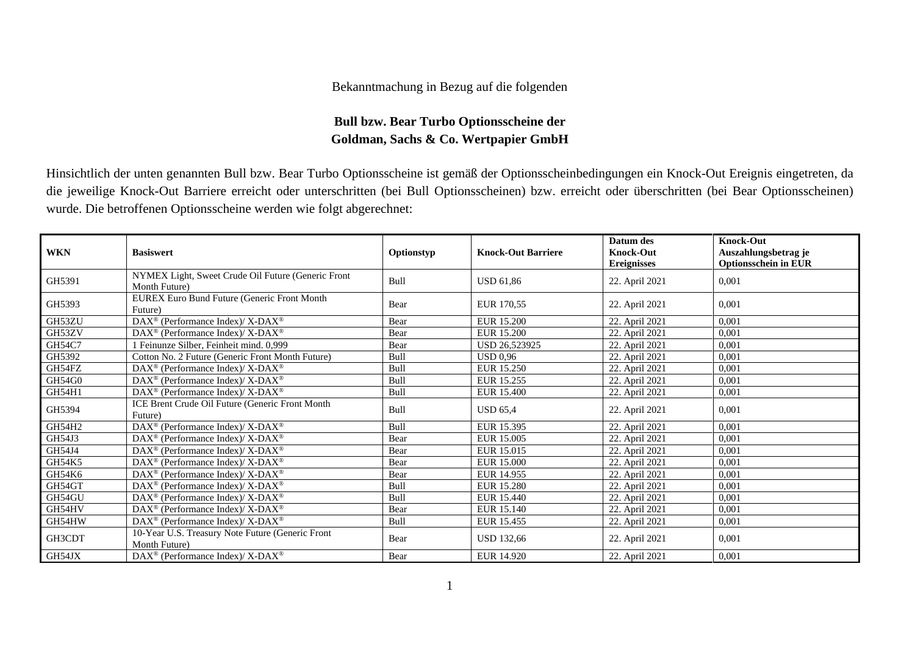## Bekanntmachung in Bezug auf die folgenden

## **Bull bzw. Bear Turbo Optionsscheine der Goldman, Sachs & Co. Wertpapier GmbH**

Hinsichtlich der unten genannten Bull bzw. Bear Turbo Optionsscheine ist gemäß der Optionsscheinbedingungen ein Knock-Out Ereignis eingetreten, da die jeweilige Knock-Out Barriere erreicht oder unterschritten (bei Bull Optionsscheinen) bzw. erreicht oder überschritten (bei Bear Optionsscheinen) wurde. Die betroffenen Optionsscheine werden wie folgt abgerechnet:

| <b>WKN</b>    | <b>Basiswert</b>                                                       | Optionstyp | <b>Knock-Out Barriere</b> | Datum des<br><b>Knock-Out</b><br><b>Ereignisses</b> | <b>Knock-Out</b><br>Auszahlungsbetrag je<br><b>Optionsschein in EUR</b> |
|---------------|------------------------------------------------------------------------|------------|---------------------------|-----------------------------------------------------|-------------------------------------------------------------------------|
| GH5391        | NYMEX Light, Sweet Crude Oil Future (Generic Front<br>Month Future)    | Bull       | <b>USD 61,86</b>          | 22. April 2021                                      | 0,001                                                                   |
| GH5393        | <b>EUREX Euro Bund Future (Generic Front Month</b><br>Future)          | Bear       | EUR 170,55                | 22. April 2021                                      | 0,001                                                                   |
| GH53ZU        | DAX <sup>®</sup> (Performance Index)/X-DAX <sup>®</sup>                | Bear       | <b>EUR 15.200</b>         | 22. April 2021                                      | 0,001                                                                   |
| GH53ZV        | DAX <sup>®</sup> (Performance Index)/ X-DAX <sup>®</sup>               | Bear       | <b>EUR 15.200</b>         | 22. April 2021                                      | 0,001                                                                   |
| <b>GH54C7</b> | 1 Feinunze Silber, Feinheit mind. 0,999                                | Bear       | USD 26,523925             | 22. April 2021                                      | 0,001                                                                   |
| GH5392        | Cotton No. 2 Future (Generic Front Month Future)                       | Bull       | <b>USD 0.96</b>           | 22. April 2021                                      | 0,001                                                                   |
| GH54FZ        | $DAX^{\circledcirc}$ (Performance Index)/X-DAX <sup>®</sup>            | Bull       | EUR 15.250                | 22. April 2021                                      | 0,001                                                                   |
| GH54G0        | DAX <sup>®</sup> (Performance Index)/ X-DAX <sup>®</sup>               | Bull       | EUR 15.255                | 22. April 2021                                      | 0,001                                                                   |
| GH54H1        | $\text{DAX}^{\circledast}$ (Performance Index)/ X-DAX $^{\circledast}$ | Bull       | EUR 15.400                | 22. April 2021                                      | 0,001                                                                   |
| GH5394        | ICE Brent Crude Oil Future (Generic Front Month<br>Future)             | Bull       | <b>USD 65.4</b>           | 22. April 2021                                      | 0,001                                                                   |
| GH54H2        | DAX <sup>®</sup> (Performance Index)/X-DAX <sup>®</sup>                | Bull       | EUR 15.395                | 22. April 2021                                      | 0.001                                                                   |
| GH54J3        | DAX <sup>®</sup> (Performance Index)/ X-DAX <sup>®</sup>               | Bear       | EUR 15.005                | 22. April 2021                                      | 0,001                                                                   |
| GH54J4        | DAX <sup>®</sup> (Performance Index)/ X-DAX <sup>®</sup>               | Bear       | EUR 15.015                | 22. April 2021                                      | 0.001                                                                   |
| GH54K5        | DAX <sup>®</sup> (Performance Index)/X-DAX <sup>®</sup>                | Bear       | EUR 15.000                | 22. April 2021                                      | 0,001                                                                   |
| GH54K6        | DAX <sup>®</sup> (Performance Index)/ X-DAX <sup>®</sup>               | Bear       | EUR 14.955                | 22. April 2021                                      | 0,001                                                                   |
| GH54GT        | DAX <sup>®</sup> (Performance Index)/X-DAX <sup>®</sup>                | Bull       | EUR 15.280                | 22. April 2021                                      | 0,001                                                                   |
| GH54GU        | DAX <sup>®</sup> (Performance Index)/X-DAX <sup>®</sup>                | Bull       | EUR 15.440                | 22. April 2021                                      | 0,001                                                                   |
| GH54HV        | $\text{DAX}^{\circledast}$ (Performance Index)/X-DAX <sup>®</sup>      | Bear       | EUR 15.140                | 22. April 2021                                      | 0.001                                                                   |
| GH54HW        | DAX <sup>®</sup> (Performance Index)/X-DAX <sup>®</sup>                | Bull       | EUR 15.455                | 22. April 2021                                      | 0.001                                                                   |
| GH3CDT        | 10-Year U.S. Treasury Note Future (Generic Front<br>Month Future)      | Bear       | <b>USD 132,66</b>         | 22. April 2021                                      | 0,001                                                                   |
| GH54JX        | $DAX^{\circledast}$ (Performance Index)/X-DAX <sup>®</sup>             | Bear       | EUR 14.920                | 22. April 2021                                      | 0,001                                                                   |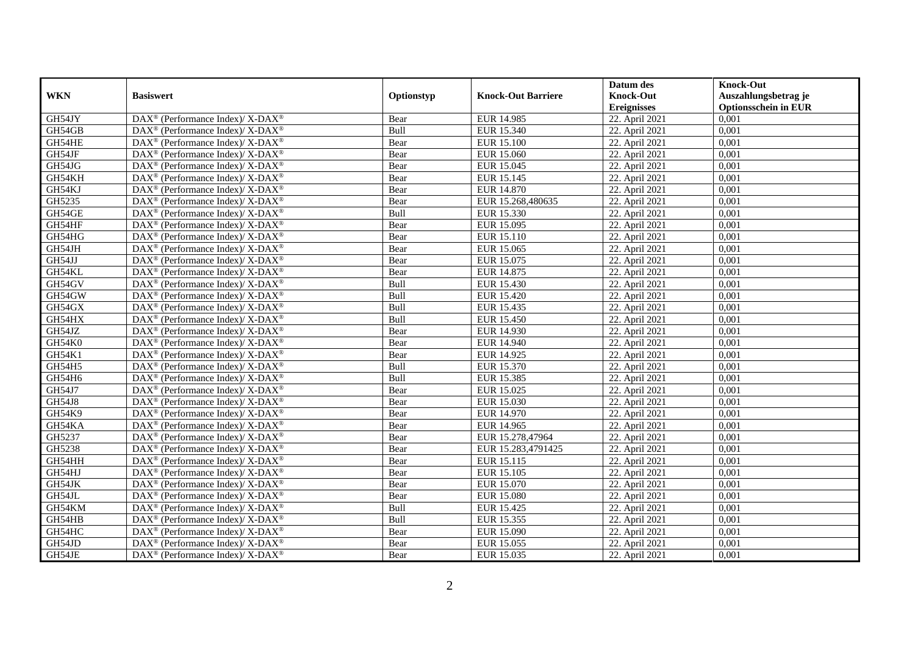|               |                                                                   |            |                           | Datum des          | <b>Knock-Out</b>            |
|---------------|-------------------------------------------------------------------|------------|---------------------------|--------------------|-----------------------------|
| <b>WKN</b>    | <b>Basiswert</b>                                                  | Optionstyp | <b>Knock-Out Barriere</b> | <b>Knock-Out</b>   | Auszahlungsbetrag je        |
|               |                                                                   |            |                           | <b>Ereignisses</b> | <b>Optionsschein in EUR</b> |
| GH54JY        | DAX <sup>®</sup> (Performance Index)/X-DAX <sup>®</sup>           | Bear       | EUR 14.985                | 22. April 2021     | 0,001                       |
| GH54GB        | $DAX^{\circledast}$ (Performance Index)/ X-DAX <sup>®</sup>       | Bull       | EUR 15.340                | 22. April 2021     | 0,001                       |
| GH54HE        | $DAX^{\circledast}$ (Performance Index)/ X-DAX <sup>®</sup>       | Bear       | <b>EUR 15.100</b>         | 22. April 2021     | 0,001                       |
| GH54JF        | $DAX^{\circledast}$ (Performance Index)/ X-DAX <sup>®</sup>       | Bear       | EUR 15.060                | 22. April 2021     | 0,001                       |
| GH54JG        | $\text{DAX}^{\circledast}$ (Performance Index)/X-DAX <sup>®</sup> | Bear       | EUR 15.045                | 22. April 2021     | 0,001                       |
| GH54KH        | DAX <sup>®</sup> (Performance Index)/ X-DAX <sup>®</sup>          | Bear       | EUR 15.145                | 22. April 2021     | 0,001                       |
| GH54KJ        | $DAX^{\circledast}$ (Performance Index)/ X-DAX <sup>®</sup>       | Bear       | EUR 14.870                | 22. April 2021     | 0,001                       |
| GH5235        | $DAX^{\circledast}$ (Performance Index)/ X-DAX <sup>®</sup>       | Bear       | EUR 15.268,480635         | 22. April 2021     | 0,001                       |
| GH54GE        | $DAX^{\circledast}$ (Performance Index)/ X-DAX <sup>®</sup>       | Bull       | EUR 15.330                | 22. April 2021     | 0,001                       |
| GH54HF        | DAX <sup>®</sup> (Performance Index)/ X-DAX <sup>®</sup>          | Bear       | EUR 15.095                | 22. April 2021     | 0,001                       |
| GH54HG        | DAX <sup>®</sup> (Performance Index)/ X-DAX <sup>®</sup>          | Bear       | EUR 15.110                | 22. April 2021     | 0,001                       |
| GH54JH        | DAX <sup>®</sup> (Performance Index)/ X-DAX <sup>®</sup>          | Bear       | EUR 15.065                | 22. April 2021     | 0,001                       |
| GH54JJ        | $DAX^{\circledast}$ (Performance Index)/ X-DAX <sup>®</sup>       | Bear       | EUR 15.075                | 22. April 2021     | 0,001                       |
| GH54KL        | DAX <sup>®</sup> (Performance Index)/X-DAX <sup>®</sup>           | Bear       | EUR 14.875                | 22. April 2021     | 0,001                       |
| GH54GV        | DAX <sup>®</sup> (Performance Index)/ X-DAX <sup>®</sup>          | Bull       | EUR 15.430                | 22. April 2021     | 0,001                       |
| GH54GW        | DAX <sup>®</sup> (Performance Index)/ X-DAX <sup>®</sup>          | Bull       | <b>EUR 15.420</b>         | 22. April 2021     | 0,001                       |
| GH54GX        | DAX <sup>®</sup> (Performance Index)/ X-DAX <sup>®</sup>          | Bull       | EUR 15.435                | 22. April 2021     | 0,001                       |
| GH54HX        | $DAX^{\circledast}$ (Performance Index)/ X-DAX <sup>®</sup>       | Bull       | EUR 15.450                | 22. April 2021     | 0,001                       |
| GH54JZ        | $DAX^{\circledast}$ (Performance Index)/ X-DAX <sup>®</sup>       | Bear       | EUR 14.930                | 22. April 2021     | 0,001                       |
| GH54K0        | DAX <sup>®</sup> (Performance Index)/X-DAX <sup>®</sup>           | Bear       | EUR 14.940                | 22. April 2021     | 0,001                       |
| GH54K1        | DAX <sup>®</sup> (Performance Index)/X-DAX <sup>®</sup>           | Bear       | EUR 14.925                | 22. April 2021     | 0,001                       |
| GH54H5        | $\text{DAX}^{\circledast}$ (Performance Index)/X-DAX <sup>®</sup> | Bull       | EUR 15.370                | 22. April 2021     | 0,001                       |
| GH54H6        | DAX <sup>®</sup> (Performance Index)/ X-DAX <sup>®</sup>          | Bull       | EUR 15.385                | 22. April 2021     | 0,001                       |
| GH54J7        | $DAX^{\circledast}$ (Performance Index)/ X-DAX <sup>®</sup>       | Bear       | EUR 15.025                | 22. April 2021     | 0,001                       |
| <b>GH54J8</b> | DAX <sup>®</sup> (Performance Index)/X-DAX <sup>®</sup>           | Bear       | EUR 15.030                | 22. April 2021     | 0.001                       |
| GH54K9        | $DAX^{\circledast}$ (Performance Index)/ X-DAX <sup>®</sup>       | Bear       | EUR 14.970                | 22. April 2021     | 0,001                       |
| GH54KA        | DAX <sup>®</sup> (Performance Index)/ X-DAX <sup>®</sup>          | Bear       | EUR 14.965                | 22. April 2021     | 0,001                       |
| GH5237        | DAX <sup>®</sup> (Performance Index)/ X-DAX <sup>®</sup>          | Bear       | EUR 15.278,47964          | 22. April 2021     | 0,001                       |
| GH5238        | DAX <sup>®</sup> (Performance Index)/ X-DAX <sup>®</sup>          | Bear       | EUR 15.283,4791425        | 22. April 2021     | 0,001                       |
| GH54HH        | $\text{DAX}^{\circledast}$ (Performance Index)/X-DAX <sup>®</sup> | Bear       | EUR 15.115                | 22. April 2021     | 0,001                       |
| GH54HJ        | $DAX^{\circledast}$ (Performance Index)/ X-DAX <sup>®</sup>       | Bear       | EUR 15.105                | 22. April 2021     | 0,001                       |
| GH54JK        | DAX <sup>®</sup> (Performance Index)/ X-DAX <sup>®</sup>          | Bear       | EUR 15.070                | 22. April 2021     | 0.001                       |
| GH54JL        | $DAX^{\circledast}$ (Performance Index)/ X-DAX <sup>®</sup>       | Bear       | <b>EUR 15.080</b>         | 22. April 2021     | 0,001                       |
| GH54KM        | DAX <sup>®</sup> (Performance Index)/ X-DAX <sup>®</sup>          | Bull       | EUR 15.425                | 22. April 2021     | 0,001                       |
| GH54HB        | DAX <sup>®</sup> (Performance Index)/ X-DAX <sup>®</sup>          | Bull       | EUR 15.355                | 22. April 2021     | 0,001                       |
| GH54HC        | $\text{DAX}^{\circledast}$ (Performance Index)/X-DAX <sup>®</sup> | Bear       | EUR 15.090                | 22. April 2021     | 0,001                       |
| GH54JD        | DAX <sup>®</sup> (Performance Index)/ X-DAX <sup>®</sup>          | Bear       | EUR 15.055                | 22. April 2021     | 0,001                       |
| GH54JE        | DAX <sup>®</sup> (Performance Index)/ X-DAX <sup>®</sup>          | Bear       | EUR 15.035                | 22. April 2021     | 0,001                       |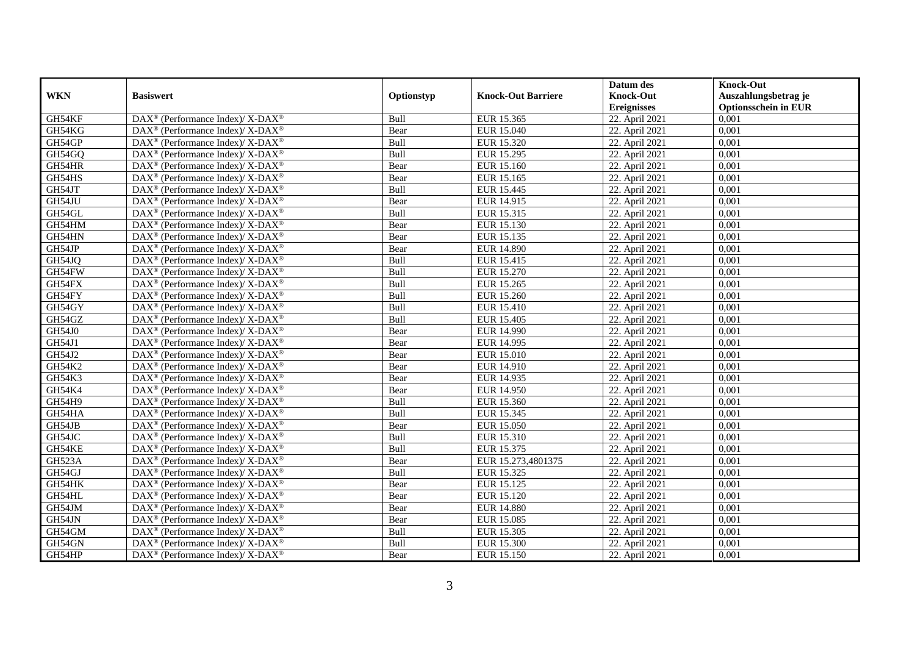|               |                                                                    |            |                           | Datum des          | <b>Knock-Out</b>            |
|---------------|--------------------------------------------------------------------|------------|---------------------------|--------------------|-----------------------------|
| <b>WKN</b>    | <b>Basiswert</b>                                                   | Optionstyp | <b>Knock-Out Barriere</b> | <b>Knock-Out</b>   | Auszahlungsbetrag je        |
|               |                                                                    |            |                           | <b>Ereignisses</b> | <b>Optionsschein in EUR</b> |
| GH54KF        | DAX <sup>®</sup> (Performance Index)/X-DAX <sup>®</sup>            | Bull       | EUR 15.365                | 22. April 2021     | 0,001                       |
| GH54KG        | $DAX^{\circledast}$ (Performance Index)/ X-DAX <sup>®</sup>        | Bear       | EUR 15.040                | 22. April 2021     | 0,001                       |
| GH54GP        | $DAX^{\circledast}$ (Performance Index)/ X-DAX <sup>®</sup>        | Bull       | EUR 15.320                | 22. April 2021     | 0,001                       |
| GH54GQ        | $DAX^{\circledast}$ (Performance Index)/ X-DAX <sup>®</sup>        | Bull       | EUR 15.295                | 22. April 2021     | 0,001                       |
| GH54HR        | $\text{DAX}^{\circledast}$ (Performance Index)/X-DAX <sup>®</sup>  | Bear       | EUR 15.160                | 22. April 2021     | 0,001                       |
| GH54HS        | DAX <sup>®</sup> (Performance Index)/ X-DAX <sup>®</sup>           | Bear       | EUR 15.165                | 22. April 2021     | 0,001                       |
| GH54JT        | $DAX^{\circledast}$ (Performance Index)/ X-DAX <sup>®</sup>        | Bull       | EUR 15.445                | 22. April 2021     | 0,001                       |
| GH54JU        | $DAX^{\circledast}$ (Performance Index)/ X-DAX <sup>®</sup>        | Bear       | EUR 14.915                | 22. April 2021     | 0,001                       |
| GH54GL        | $DAX^{\circledast}$ (Performance Index)/ X-DAX <sup>®</sup>        | Bull       | EUR 15.315                | 22. April 2021     | 0,001                       |
| GH54HM        | DAX <sup>®</sup> (Performance Index)/ X-DAX <sup>®</sup>           | Bear       | EUR 15.130                | 22. April 2021     | 0,001                       |
| GH54HN        | DAX <sup>®</sup> (Performance Index)/ X-DAX <sup>®</sup>           | Bear       | EUR 15.135                | 22. April 2021     | 0,001                       |
| GH54JP        | DAX <sup>®</sup> (Performance Index)/ X-DAX <sup>®</sup>           | Bear       | <b>EUR 14.890</b>         | 22. April 2021     | 0,001                       |
| GH54JQ        | $DAX^{\circledast}$ (Performance Index)/ X-DAX <sup>®</sup>        | Bull       | EUR 15.415                | 22. April 2021     | 0,001                       |
| GH54FW        | DAX <sup>®</sup> (Performance Index)/X-DAX <sup>®</sup>            | Bull       | EUR 15.270                | 22. April 2021     | 0,001                       |
| GH54FX        | DAX <sup>®</sup> (Performance Index)/ X-DAX <sup>®</sup>           | Bull       | EUR 15.265                | 22. April 2021     | 0,001                       |
| GH54FY        | DAX <sup>®</sup> (Performance Index)/ X-DAX <sup>®</sup>           | Bull       | <b>EUR 15.260</b>         | 22. April 2021     | 0,001                       |
| GH54GY        | DAX <sup>®</sup> (Performance Index)/ X-DAX <sup>®</sup>           | Bull       | EUR 15.410                | 22. April 2021     | 0,001                       |
| GH54GZ        | $DAX^{\circledast}$ (Performance Index)/ X-DAX <sup>®</sup>        | Bull       | EUR 15.405                | 22. April 2021     | 0,001                       |
| <b>GH54J0</b> | $DAX^{\circledast}$ (Performance Index)/ X-DAX <sup>®</sup>        | Bear       | <b>EUR 14.990</b>         | 22. April 2021     | 0,001                       |
| GH54J1        | DAX <sup>®</sup> (Performance Index)/X-DAX <sup>®</sup>            | Bear       | EUR 14.995                | 22. April 2021     | 0,001                       |
| GH54J2        | DAX <sup>®</sup> (Performance Index)/X-DAX <sup>®</sup>            | Bear       | <b>EUR 15.010</b>         | 22. April 2021     | 0,001                       |
| GH54K2        | $\text{DAX}^{\circledast}$ (Performance Index)/X-DAX <sup>®</sup>  | Bear       | EUR 14.910                | 22. April 2021     | 0,001                       |
| GH54K3        | DAX <sup>®</sup> (Performance Index)/ X-DAX <sup>®</sup>           | Bear       | EUR 14.935                | 22. April 2021     | 0,001                       |
| GH54K4        | $DAX^{\circledast}$ (Performance Index)/ X-DAX <sup>®</sup>        | Bear       | EUR 14.950                | 22. April 2021     | 0,001                       |
| <b>GH54H9</b> | DAX <sup>®</sup> (Performance Index)/X-DAX <sup>®</sup>            | Bull       | EUR 15.360                | 22. April 2021     | 0.001                       |
| GH54HA        | $DAX^{\circledast}$ (Performance Index)/ X-DAX <sup>®</sup>        | Bull       | EUR 15.345                | 22. April 2021     | 0,001                       |
| GH54JB        | DAX <sup>®</sup> (Performance Index)/ X-DAX <sup>®</sup>           | Bear       | <b>EUR 15.050</b>         | 22. April 2021     | 0,001                       |
| GH54JC        | DAX <sup>®</sup> (Performance Index)/ X-DAX <sup>®</sup>           | Bull       | EUR 15.310                | 22. April 2021     | 0,001                       |
| GH54KE        | DAX <sup>®</sup> (Performance Index)/ X-DAX <sup>®</sup>           | Bull       | EUR 15.375                | 22. April 2021     | 0,001                       |
| GH523A        | $\text{DAX}^{\circledast}$ (Performance Index)/ X-DAX <sup>®</sup> | Bear       | EUR 15.273,4801375        | 22. April 2021     | 0,001                       |
| GH54GJ        | $DAX^{\circledast}$ (Performance Index)/ X-DAX <sup>®</sup>        | Bull       | EUR 15.325                | 22. April 2021     | 0,001                       |
| GH54HK        | DAX <sup>®</sup> (Performance Index)/X-DAX <sup>®</sup>            | Bear       | EUR 15.125                | 22. April 2021     | 0.001                       |
| GH54HL        | $DAX^{\circledast}$ (Performance Index)/ X-DAX <sup>®</sup>        | Bear       | EUR 15.120                | 22. April 2021     | 0,001                       |
| GH54JM        | DAX <sup>®</sup> (Performance Index)/ X-DAX <sup>®</sup>           | Bear       | <b>EUR 14.880</b>         | 22. April 2021     | 0,001                       |
| GH54JN        | DAX <sup>®</sup> (Performance Index)/ X-DAX <sup>®</sup>           | Bear       | <b>EUR 15.085</b>         | 22. April 2021     | 0,001                       |
| GH54GM        | $\text{DAX}^{\circledast}$ (Performance Index)/ X-DAX <sup>®</sup> | Bull       | EUR 15.305                | 22. April 2021     | 0,001                       |
| GH54GN        | DAX <sup>®</sup> (Performance Index)/ X-DAX <sup>®</sup>           | Bull       | EUR 15.300                | 22. April 2021     | 0,001                       |
| GH54HP        | DAX <sup>®</sup> (Performance Index)/ X-DAX <sup>®</sup>           | Bear       | EUR 15.150                | 22. April 2021     | 0,001                       |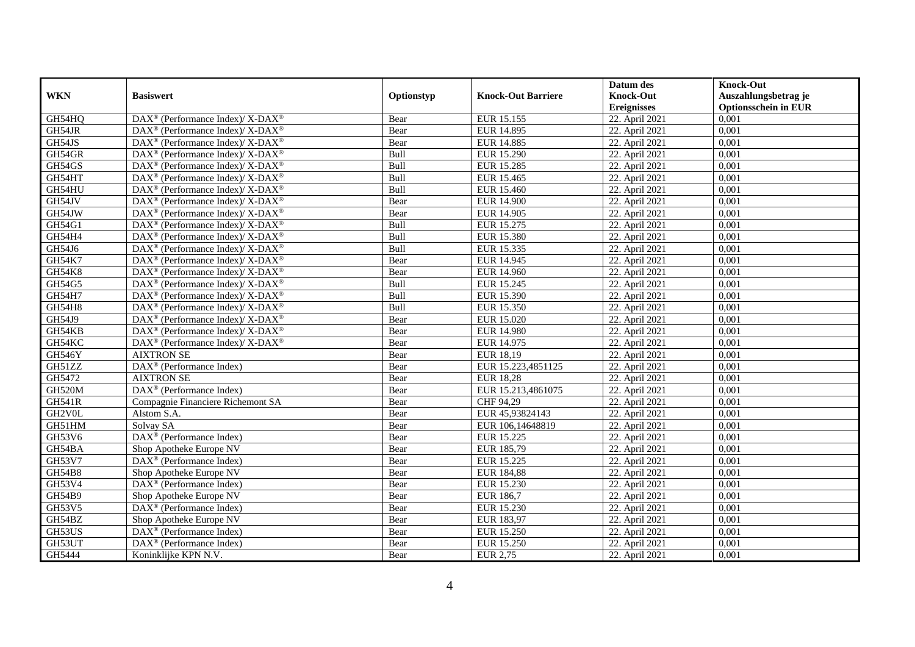|               |                                                                    |            |                           | Datum des                   | <b>Knock-Out</b>            |
|---------------|--------------------------------------------------------------------|------------|---------------------------|-----------------------------|-----------------------------|
| <b>WKN</b>    | <b>Basiswert</b>                                                   | Optionstyp | <b>Knock-Out Barriere</b> | <b>Knock-Out</b>            | Auszahlungsbetrag je        |
|               |                                                                    |            |                           | <b>Ereignisses</b>          | <b>Optionsschein in EUR</b> |
| GH54HQ        | DAX <sup>®</sup> (Performance Index)/ X-DAX <sup>®</sup>           | Bear       | EUR 15.155                | 22. April 2021              | 0,001                       |
| GH54JR        | $\text{DAX}^{\circledast}$ (Performance Index)/ X-DAX <sup>®</sup> | Bear       | <b>EUR 14.895</b>         | 22. April 2021              | 0,001                       |
| GH54JS        | $\text{DAX}^{\circledast}$ (Performance Index)/ X-DAX <sup>®</sup> | Bear       | EUR 14.885                | 22. April 2021              | 0,001                       |
| GH54GR        | DAX <sup>®</sup> (Performance Index)/ X-DAX <sup>®</sup>           | Bull       | <b>EUR 15.290</b>         | 22. April 2021              | 0,001                       |
| GH54GS        | DAX <sup>®</sup> (Performance Index)/ X-DAX <sup>®</sup>           | Bull       | EUR 15.285                | 22. April 2021              | 0,001                       |
| GH54HT        | $DAX^{\circledcirc}$ (Performance Index)/ X-DAX <sup>®</sup>       | Bull       | EUR 15.465                | 22. April 2021              | 0,001                       |
| GH54HU        | $DAX^{\circledcirc}$ (Performance Index)/ X-DAX <sup>®</sup>       | Bull       | EUR 15.460                | 22. April 2021              | 0,001                       |
| GH54JV        | $\text{DAX}^{\circledR}$ (Performance Index)/ X-DAX <sup>®</sup>   | Bear       | <b>EUR 14.900</b>         | 22. April 2021              | 0,001                       |
| GH54JW        | $\text{DAX}^{\circledast}$ (Performance Index)/ X-DAX <sup>®</sup> | Bear       | EUR 14.905                | 22. April 2021              | 0,001                       |
| GH54G1        | DAX <sup>®</sup> (Performance Index)/ X-DAX <sup>®</sup>           | Bull       | EUR 15.275                | 22. April 2021              | 0.001                       |
| GH54H4        | $\text{DAX}^{\circledast}$ (Performance Index)/ X-DAX <sup>®</sup> | Bull       | EUR 15.380                | 22. April 2021              | 0,001                       |
| GH54J6        | DAX <sup>®</sup> (Performance Index)/ X-DAX <sup>®</sup>           | Bull       | EUR 15.335                | 22. April 2021              | 0,001                       |
| GH54K7        | $\text{DAX}^{\circledast}$ (Performance Index)/ X-DAX <sup>®</sup> | Bear       | EUR 14.945                | 22. April 2021              | 0,001                       |
| <b>GH54K8</b> | $DAX^{\circledcirc}$ (Performance Index)/X-DAX <sup>®</sup>        | Bear       | EUR 14.960                | 22. April 2021              | 0.001                       |
| GH54G5        | DAX <sup>®</sup> (Performance Index)/ X-DAX <sup>®</sup>           | Bull       | EUR 15.245                | 22. April 2021              | 0,001                       |
| GH54H7        | $\text{DAX}^{\circledR}$ (Performance Index)/ X-DAX <sup>®</sup>   | Bull       | EUR 15.390                | 22. April 2021              | 0,001                       |
| GH54H8        | $DAX^{\circledcirc}$ (Performance Index)/ X-DAX <sup>®</sup>       | Bull       | EUR 15.350                | 22. April 2021              | 0,001                       |
| GH54J9        | $\text{DAX}^{\circledast}$ (Performance Index)/ X-DAX <sup>®</sup> | Bear       | EUR 15.020                | 22. April 2021              | 0,001                       |
| GH54KB        | $\text{DAX}^{\circledast}$ (Performance Index)/ X-DAX <sup>®</sup> | Bear       | <b>EUR 14.980</b>         | 22. April 2021              | 0,001                       |
| GH54KC        | DAX <sup>®</sup> (Performance Index)/ X-DAX <sup>®</sup>           | Bear       | EUR 14.975                | 22. April 2021              | 0,001                       |
| <b>GH546Y</b> | <b>AIXTRON SE</b>                                                  | Bear       | EUR 18,19                 | 22. April 2021              | 0,001                       |
| GH51ZZ        | DAX <sup>®</sup> (Performance Index)                               | Bear       | EUR 15.223,4851125        | 22. April 2021              | 0,001                       |
| GH5472        | <b>AIXTRON SE</b>                                                  | Bear       | <b>EUR 18,28</b>          | 22. April 2021              | 0,001                       |
| <b>GH520M</b> | DAX <sup>®</sup> (Performance Index)                               | Bear       | EUR 15.213,4861075        | 22. April 2021              | 0,001                       |
| <b>GH541R</b> | Compagnie Financiere Richemont SA                                  | Bear       | CHF 94,29                 | 22. April $20\overline{21}$ | 0,001                       |
| GH2V0L        | Alstom S.A.                                                        | Bear       | EUR 45,93824143           | 22. April 2021              | 0,001                       |
| GH51HM        | Solvay SA                                                          | Bear       | EUR 106,14648819          | 22. April 2021              | 0,001                       |
| GH53V6        | DAX <sup>®</sup> (Performance Index)                               | Bear       | EUR 15.225                | 22. April 2021              | 0,001                       |
| GH54BA        | Shop Apotheke Europe NV                                            | Bear       | EUR 185,79                | 22. April 2021              | 0,001                       |
| GH53V7        | $\text{DAX}^{\textcircled{n}}$ (Performance Index)                 | Bear       | EUR 15.225                | 22. April 2021              | 0,001                       |
| GH54B8        | Shop Apotheke Europe NV                                            | Bear       | EUR 184,88                | 22. April 2021              | 0,001                       |
| GH53V4        | DAX <sup>®</sup> (Performance Index)                               | Bear       | EUR 15.230                | 22. April 2021              | 0,001                       |
| <b>GH54B9</b> | Shop Apotheke Europe NV                                            | Bear       | EUR 186,7                 | 22. April 2021              | 0,001                       |
| GH53V5        | DAX <sup>®</sup> (Performance Index)                               | Bear       | EUR 15.230                | 22. April 2021              | 0,001                       |
| GH54BZ        | Shop Apotheke Europe NV                                            | Bear       | EUR 183,97                | 22. April 2021              | 0,001                       |
| GH53US        | DAX <sup>®</sup> (Performance Index)                               | Bear       | <b>EUR 15.250</b>         | 22. April 2021              | 0,001                       |
| GH53UT        | DAX <sup>®</sup> (Performance Index)                               | Bear       | <b>EUR 15.250</b>         | 22. April 2021              | 0,001                       |
| GH5444        | Koninklijke KPN N.V.                                               | Bear       | EUR 2,75                  | 22. April 2021              | 0,001                       |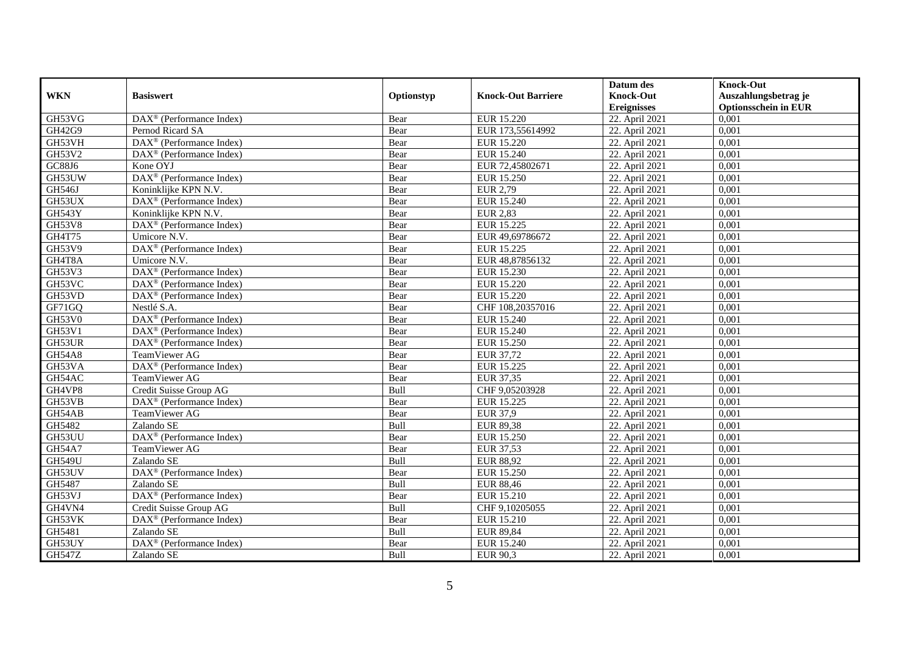|                |                                                              |            |                           | Datum des          | <b>Knock-Out</b>            |
|----------------|--------------------------------------------------------------|------------|---------------------------|--------------------|-----------------------------|
| <b>WKN</b>     | <b>Basiswert</b>                                             | Optionstyp | <b>Knock-Out Barriere</b> | <b>Knock-Out</b>   | Auszahlungsbetrag je        |
|                |                                                              |            |                           | <b>Ereignisses</b> | <b>Optionsschein in EUR</b> |
| GH53VG         | $\overline{\text{DAX}}^{\textcircled{}}$ (Performance Index) | Bear       | EUR 15.220                | 22. April 2021     | 0,001                       |
| GH42G9         | Pernod Ricard SA                                             | Bear       | EUR 173,55614992          | 22. April 2021     | 0,001                       |
| GH53VH         | $\text{DAX}^{\textcircled{p}}$ (Performance Index)           | Bear       | <b>EUR 15.220</b>         | 22. April 2021     | 0,001                       |
| GH53V2         | DAX <sup>®</sup> (Performance Index)                         | Bear       | EUR 15.240                | 22. April 2021     | 0,001                       |
| ${\sf GC88J6}$ | Kone OYJ                                                     | Bear       | EUR 72,45802671           | 22. April 2021     | 0,001                       |
| GH53UW         | DAX <sup>®</sup> (Performance Index)                         | Bear       | EUR 15.250                | 22. April 2021     | 0,001                       |
| GH546J         | Koninklijke KPN N.V.                                         | Bear       | EUR 2,79                  | 22. April 2021     | 0,001                       |
| GH53UX         | DAX <sup>®</sup> (Performance Index)                         | Bear       | EUR 15.240                | 22. April 2021     | 0,001                       |
| <b>GH543Y</b>  | Koninklijke KPN N.V.                                         | Bear       | <b>EUR 2,83</b>           | 22. April 2021     | 0,001                       |
| <b>GH53V8</b>  | DAX <sup>®</sup> (Performance Index)                         | Bear       | EUR 15.225                | 22. April 2021     | 0,001                       |
| GH4T75         | Umicore N.V.                                                 | Bear       | EUR 49,69786672           | 22. April 2021     | 0,001                       |
| GH53V9         | $\overline{\text{DAX}^{\otimes}}$ (Performance Index)        | Bear       | EUR 15.225                | 22. April 2021     | 0,001                       |
| GH4T8A         | Umicore N.V.                                                 | Bear       | EUR 48,87856132           | 22. April 2021     | 0,001                       |
| GH53V3         | $DAX^{\circledR}$ (Performance Index)                        | Bear       | EUR 15.230                | 22. April 2021     | 0.001                       |
| GH53VC         | $DAX^{\otimes}$ (Performance Index)                          | Bear       | EUR 15.220                | 22. April 2021     | 0,001                       |
| GH53VD         | DAX <sup>®</sup> (Performance Index)                         | Bear       | EUR 15.220                | 22. April 2021     | 0,001                       |
| GF71GQ         | Nestlé S.A.                                                  | Bear       | CHF 108,20357016          | 22. April 2021     | 0,001                       |
| <b>GH53V0</b>  | DAX <sup>®</sup> (Performance Index)                         | Bear       | <b>EUR 15.240</b>         | 22. April 2021     | 0,001                       |
| GH53V1         | $\overline{\text{DAX}^{\otimes}}$ (Performance Index)        | Bear       | EUR 15.240                | 22. April 2021     | 0,001                       |
| GH53UR         | DAX <sup>®</sup> (Performance Index)                         | Bear       | EUR 15.250                | 22. April 2021     | 0,001                       |
| <b>GH54A8</b>  | TeamViewer AG                                                | Bear       | EUR 37,72                 | 22. April 2021     | 0,001                       |
| GH53VA         | $DAX^{\circledR}$ (Performance Index)                        | Bear       | EUR 15.225                | 22. April 2021     | 0,001                       |
| GH54AC         | TeamViewer AG                                                | Bear       | EUR 37,35                 | 22. April 2021     | 0,001                       |
| GH4VP8         | Credit Suisse Group AG                                       | Bull       | CHF 9,05203928            | 22. April 2021     | 0,001                       |
| GH53VB         | $\text{DAX}^{\textcircled{p}}$ (Performance Index)           | Bear       | EUR 15.225                | 22. April 2021     | 0,001                       |
| GH54AB         | TeamViewer AG                                                | Bear       | EUR 37,9                  | 22. April 2021     | 0,001                       |
| GH5482         | Zalando SE                                                   | Bull       | <b>EUR 89,38</b>          | 22. April 2021     | 0,001                       |
| GH53UU         | DAX <sup>®</sup> (Performance Index)                         | Bear       | EUR 15.250                | 22. April 2021     | 0,001                       |
| <b>GH54A7</b>  | TeamViewer AG                                                | Bear       | EUR 37,53                 | 22. April 2021     | 0,001                       |
| <b>GH549U</b>  | Zalando SE                                                   | Bull       | <b>EUR 88,92</b>          | 22. April 2021     | 0,001                       |
| GH53UV         | DAX <sup>®</sup> (Performance Index)                         | Bear       | EUR 15.250                | 22. April 2021     | 0,001                       |
| GH5487         | Zalando SE                                                   | Bull       | <b>EUR 88,46</b>          | 22. April 2021     | 0,001                       |
| GH53VJ         | DAX <sup>®</sup> (Performance Index)                         | Bear       | EUR 15.210                | 22. April 2021     | 0,001                       |
| GH4VN4         | Credit Suisse Group AG                                       | Bull       | CHF 9,10205055            | 22. April 2021     | 0,001                       |
| GH53VK         | $\text{DAX}^{\textcircled{n}}$ (Performance Index)           | Bear       | EUR 15.210                | 22. April 2021     | 0,001                       |
| GH5481         | Zalando SE                                                   | Bull       | <b>EUR 89,84</b>          | 22. April 2021     | 0,001                       |
| GH53UY         | DAX <sup>®</sup> (Performance Index)                         | Bear       | EUR 15.240                | 22. April 2021     | 0,001                       |
| <b>GH547Z</b>  | Zalando SE                                                   | Bull       | EUR 90,3                  | 22. April 2021     | 0,001                       |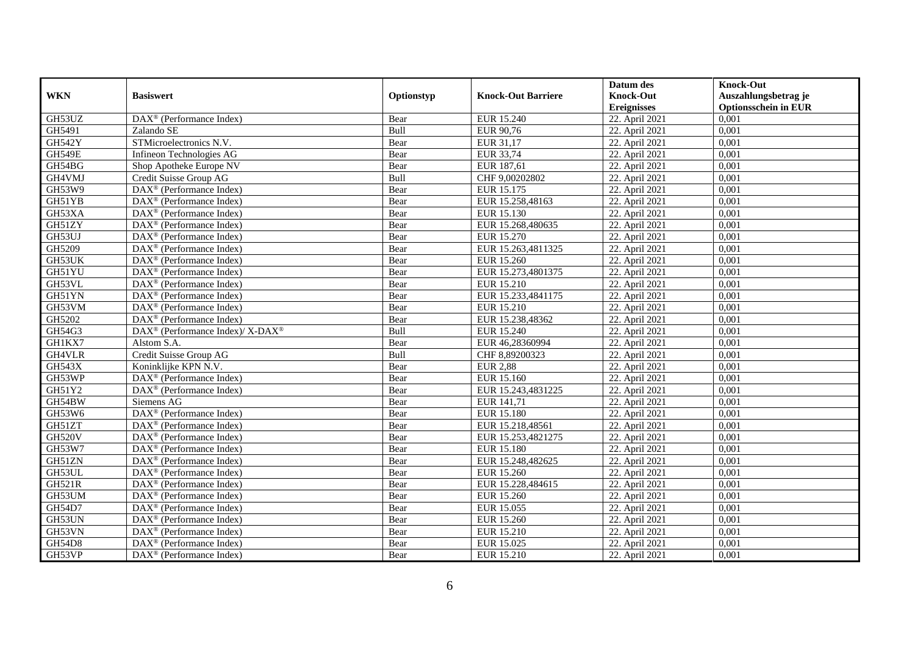|               |                                                           |            |                           | Datum des          | <b>Knock-Out</b>            |
|---------------|-----------------------------------------------------------|------------|---------------------------|--------------------|-----------------------------|
| <b>WKN</b>    | <b>Basiswert</b>                                          | Optionstyp | <b>Knock-Out Barriere</b> | <b>Knock-Out</b>   | Auszahlungsbetrag je        |
|               |                                                           |            |                           | <b>Ereignisses</b> | <b>Optionsschein in EUR</b> |
| GH53UZ        | $\overline{\text{DA}}X^{\circledast}$ (Performance Index) | Bear       | EUR 15.240                | 22. April 2021     | 0,001                       |
| GH5491        | Zalando SE                                                | Bull       | EUR 90,76                 | 22. April 2021     | 0,001                       |
| <b>GH542Y</b> | STMicroelectronics N.V.                                   | Bear       | EUR 31,17                 | 22. April 2021     | 0,001                       |
| <b>GH549E</b> | Infineon Technologies AG                                  | Bear       | EUR 33,74                 | 22. April 2021     | 0,001                       |
| GH54BG        | Shop Apotheke Europe NV                                   | Bear       | EUR 187,61                | 22. April 2021     | 0,001                       |
| GH4VMJ        | Credit Suisse Group AG                                    | Bull       | CHF 9,00202802            | 22. April 2021     | 0,001                       |
| GH53W9        | DAX <sup>®</sup> (Performance Index)                      | Bear       | EUR 15.175                | 22. April 2021     | 0,001                       |
| GH51YB        | $\overline{\text{DAX}^{\otimes}}$ (Performance Index)     | Bear       | EUR 15.258,48163          | 22. April 2021     | 0,001                       |
| GH53XA        | $\text{DAX}^{\textcircled{n}}$ (Performance Index)        | Bear       | EUR 15.130                | 22. April 2021     | 0,001                       |
| GH51ZY        | DAX <sup>®</sup> (Performance Index)                      | Bear       | EUR 15.268,480635         | 22. April 2021     | 0.001                       |
| GH53UJ        | $\overline{\text{DAX}^{\otimes}}$ (Performance Index)     | Bear       | EUR 15.270                | 22. April 2021     | 0,001                       |
| GH5209        | DAX <sup>®</sup> (Performance Index)                      | Bear       | EUR 15.263,4811325        | 22. April 2021     | 0,001                       |
| GH53UK        | $\text{DAX}^{\textcircled{n}}$ (Performance Index)        | Bear       | EUR 15.260                | 22. April 2021     | 0,001                       |
| GH51YU        | DAX <sup>®</sup> (Performance Index)                      | Bear       | EUR 15.273,4801375        | 22. April 2021     | 0.001                       |
| GH53VL        | $\overline{\text{DAX}^{\otimes}}$ (Performance Index)     | Bear       | EUR 15.210                | 22. April 2021     | 0,001                       |
| GH51YN        | DAX <sup>®</sup> (Performance Index)                      | Bear       | EUR 15.233,4841175        | 22. April 2021     | 0,001                       |
| GH53VM        | DAX <sup>®</sup> (Performance Index)                      | Bear       | EUR 15.210                | 22. April 2021     | 0,001                       |
| GH5202        | DAX <sup>®</sup> (Performance Index)                      | Bear       | EUR 15.238,48362          | 22. April 2021     | 0,001                       |
| GH54G3        | DAX <sup>®</sup> (Performance Index)/ X-DAX <sup>®</sup>  | Bull       | EUR 15.240                | 22. April 2021     | 0,001                       |
| GH1KX7        | Alstom S.A.                                               | Bear       | EUR 46,28360994           | 22. April 2021     | 0,001                       |
| GH4VLR        | Credit Suisse Group AG                                    | Bull       | CHF 8,89200323            | 22. April 2021     | 0,001                       |
| <b>GH543X</b> | Koninklijke KPN N.V.                                      | Bear       | <b>EUR 2,88</b>           | 22. April 2021     | 0,001                       |
| GH53WP        | DAX <sup>®</sup> (Performance Index)                      | Bear       | EUR 15.160                | 22. April 2021     | 0,001                       |
| GH51Y2        | DAX <sup>®</sup> (Performance Index)                      | Bear       | EUR 15.243,4831225        | 22. April 2021     | 0,001                       |
| GH54BW        | Siemens AG                                                | Bear       | EUR 141,71                | 22. April 2021     | 0,001                       |
| GH53W6        | DAX <sup>®</sup> (Performance Index)                      | Bear       | EUR 15.180                | 22. April 2021     | 0,001                       |
| GH51ZT        | DAX <sup>®</sup> (Performance Index)                      | Bear       | EUR 15.218,48561          | 22. April 2021     | 0,001                       |
| <b>GH520V</b> | DAX <sup>®</sup> (Performance Index)                      | Bear       | EUR 15.253,4821275        | 22. April 2021     | 0,001                       |
| GH53W7        | $\text{DAX}^{\textcircled{n}}$ (Performance Index)        | Bear       | EUR 15.180                | 22. April 2021     | 0,001                       |
| GH51ZN        | $\text{DAX}^{\textcircled{n}}$ (Performance Index)        | Bear       | EUR 15.248,482625         | 22. April 2021     | 0,001                       |
| GH53UL        | $DAX^{\otimes}$ (Performance Index)                       | Bear       | EUR 15.260                | 22. April 2021     | 0,001                       |
| <b>GH521R</b> | DAX <sup>®</sup> (Performance Index)                      | Bear       | EUR 15.228,484615         | 22. April 2021     | 0,001                       |
| GH53UM        | $\overline{\text{DAX}^{\otimes}}$ (Performance Index)     | Bear       | EUR 15.260                | 22. April 2021     | 0,001                       |
| GH54D7        | $\overline{\text{DAX}}^{\textcirc}$ (Performance Index)   | Bear       | EUR 15.055                | 22. April 2021     | 0,001                       |
| GH53UN        | $\text{DAX}^{\textcircled{n}}$ (Performance Index)        | Bear       | EUR 15.260                | 22. April 2021     | 0,001                       |
| GH53VN        | DAX <sup>®</sup> (Performance Index)                      | Bear       | EUR 15.210                | 22. April 2021     | 0,001                       |
| <b>GH54D8</b> | $\text{DAX}^{\otimes}$ (Performance Index)                | Bear       | EUR 15.025                | 22. April 2021     | 0,001                       |
| GH53VP        | DAX <sup>®</sup> (Performance Index)                      | Bear       | EUR 15.210                | 22. April 2021     | 0,001                       |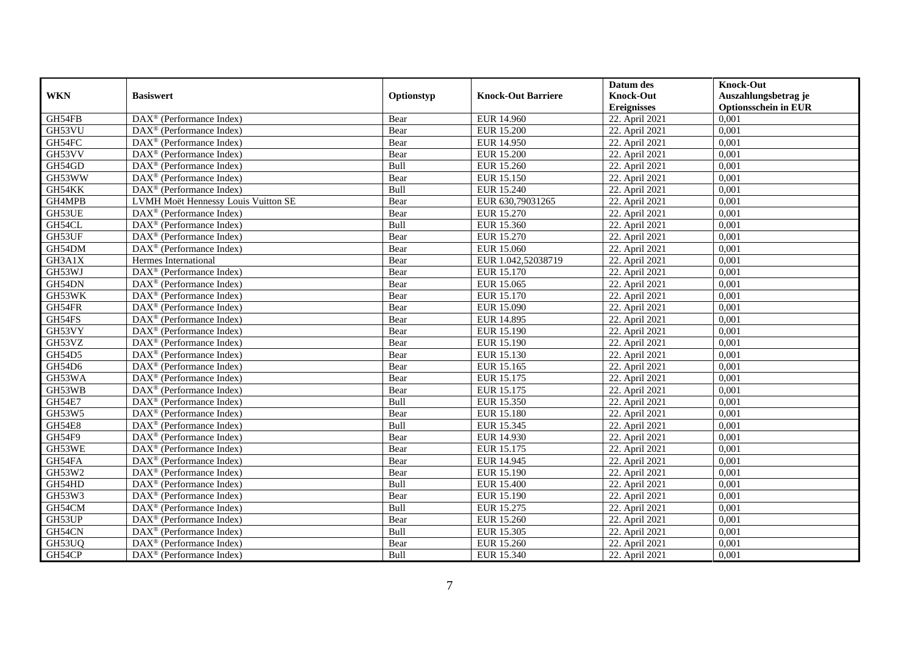|               |                                                              |            |                           | Datum des          | <b>Knock-Out</b>            |
|---------------|--------------------------------------------------------------|------------|---------------------------|--------------------|-----------------------------|
| <b>WKN</b>    | <b>Basiswert</b>                                             | Optionstyp | <b>Knock-Out Barriere</b> | <b>Knock-Out</b>   | Auszahlungsbetrag je        |
|               |                                                              |            |                           | <b>Ereignisses</b> | <b>Optionsschein in EUR</b> |
| GH54FB        | $\overline{\text{DAX}}^{\textcircled{}}$ (Performance Index) | Bear       | <b>EUR 14.960</b>         | 22. April 2021     | 0,001                       |
| GH53VU        | $\text{DAX}^{\textcircled{D}}$ (Performance Index)           | Bear       | <b>EUR 15.200</b>         | 22. April 2021     | 0,001                       |
| GH54FC        | DAX <sup>®</sup> (Performance Index)                         | Bear       | <b>EUR 14.950</b>         | 22. April 2021     | 0,001                       |
| GH53VV        | $\text{DAX}^{\otimes}$ (Performance Index)                   | Bear       | <b>EUR 15.200</b>         | 22. April 2021     | 0,001                       |
| GH54GD        | DAX <sup>®</sup> (Performance Index)                         | Bull       | EUR 15.260                | 22. April 2021     | 0,001                       |
| GH53WW        | $\text{DAX}^{\textcircled{n}}$ (Performance Index)           | Bear       | EUR 15.150                | 22. April 2021     | 0,001                       |
| GH54KK        | $\text{DAX}^{\textcircled{n}}$ (Performance Index)           | Bull       | EUR 15.240                | 22. April 2021     | 0,001                       |
| GH4MPB        | LVMH Moët Hennessy Louis Vuitton SE                          | Bear       | EUR 630,79031265          | 22. April 2021     | 0,001                       |
| GH53UE        | $\text{DAX}^{\textcircled{D}}$ (Performance Index)           | Bear       | EUR 15.270                | 22. April 2021     | 0,001                       |
| GH54CL        | $DAX^{\otimes}$ (Performance Index)                          | Bull       | EUR 15.360                | 22. April 2021     | 0,001                       |
| GH53UF        | $\overline{\text{DAX}}^{\textcircled{}}$ (Performance Index) | Bear       | <b>EUR 15.270</b>         | 22. April 2021     | 0,001                       |
| GH54DM        | $\overline{\text{DAX}^{\otimes}}$ (Performance Index)        | Bear       | EUR 15.060                | 22. April 2021     | 0,001                       |
| GH3A1X        | Hermes International                                         | Bear       | EUR 1.042,52038719        | 22. April 2021     | 0,001                       |
| GH53WJ        | DAX <sup>®</sup> (Performance Index)                         | Bear       | EUR 15.170                | 22. April 2021     | 0,001                       |
| GH54DN        | DAX <sup>®</sup> (Performance Index)                         | Bear       | EUR 15.065                | 22. April 2021     | 0,001                       |
| GH53WK        | DAX <sup>®</sup> (Performance Index)                         | Bear       | EUR 15.170                | 22. April 2021     | 0,001                       |
| GH54FR        | DAX <sup>®</sup> (Performance Index)                         | Bear       | EUR 15.090                | 22. April 2021     | 0,001                       |
| GH54FS        | $DAX^{\circledR}$ (Performance Index)                        | Bear       | EUR 14.895                | 22. April 2021     | 0,001                       |
| GH53VY        | $\overline{\text{DAX}}^{\textcirc}$ (Performance Index)      | Bear       | EUR 15.190                | 22. April 2021     | 0,001                       |
| GH53VZ        | DAX <sup>®</sup> (Performance Index)                         | Bear       | EUR 15.190                | 22. April 2021     | 0,001                       |
| GH54D5        | DAX <sup>®</sup> (Performance Index)                         | Bear       | EUR 15.130                | 22. April 2021     | 0,001                       |
| GH54D6        | $\overline{\text{DAX}^{\otimes}}$ (Performance Index)        | Bear       | EUR 15.165                | 22. April 2021     | 0,001                       |
| GH53WA        | $\text{DAX}^{\circledast}$ (Performance Index)               | Bear       | EUR 15.175                | 22. April 2021     | 0,001                       |
| GH53WB        | DAX <sup>®</sup> (Performance Index)                         | Bear       | EUR 15.175                | 22. April 2021     | 0,001                       |
| <b>GH54E7</b> | DAX <sup>®</sup> (Performance Index)                         | Bull       | EUR 15.350                | 22. April 2021     | 0,001                       |
| GH53W5        | $\text{DAX}^{\otimes}$ (Performance Index)                   | Bear       | <b>EUR 15.180</b>         | 22. April 2021     | 0,001                       |
| <b>GH54E8</b> | $\text{DAX}^{\circledast}$ (Performance Index)               | Bull       | EUR 15.345                | 22. April 2021     | 0,001                       |
| GH54F9        | $\text{DAX}^{\textcircled{D}}$ (Performance Index)           | Bear       | EUR 14.930                | 22. April 2021     | 0.001                       |
| GH53WE        | $\text{DAX}^{\textcircled{D}}$ (Performance Index)           | Bear       | EUR 15.175                | 22. April 2021     | 0,001                       |
| GH54FA        | $\text{DAX}^{\textcircled{D}}$ (Performance Index)           | Bear       | EUR 14.945                | 22. April 2021     | 0,001                       |
| GH53W2        | DAX <sup>®</sup> (Performance Index)                         | Bear       | EUR 15.190                | 22. April 2021     | 0,001                       |
| GH54HD        | $\text{DAX}^{\otimes}$ (Performance Index)                   | Bull       | <b>EUR 15.400</b>         | 22. April 2021     | 0.001                       |
| GH53W3        | $\overline{\text{DAX}^{\otimes}}$ (Performance Index)        | Bear       | EUR 15.190                | 22. April 2021     | 0,001                       |
| GH54CM        | DAX <sup>®</sup> (Performance Index)                         | Bull       | EUR 15.275                | 22. April 2021     | 0,001                       |
| GH53UP        | $\text{DAX}^{\textcircled{n}}$ (Performance Index)           | Bear       | EUR 15.260                | 22. April 2021     | 0,001                       |
| GH54CN        | $\text{DAX}^{\textcircled{n}}$ (Performance Index)           | Bull       | EUR 15.305                | 22. April 2021     | 0,001                       |
| GH53UQ        | $\text{DAX}^{\otimes}$ (Performance Index)                   | Bear       | EUR 15.260                | 22. April 2021     | 0,001                       |
| GH54CP        | DAX <sup>®</sup> (Performance Index)                         | Bull       | EUR 15.340                | 22. April 2021     | 0,001                       |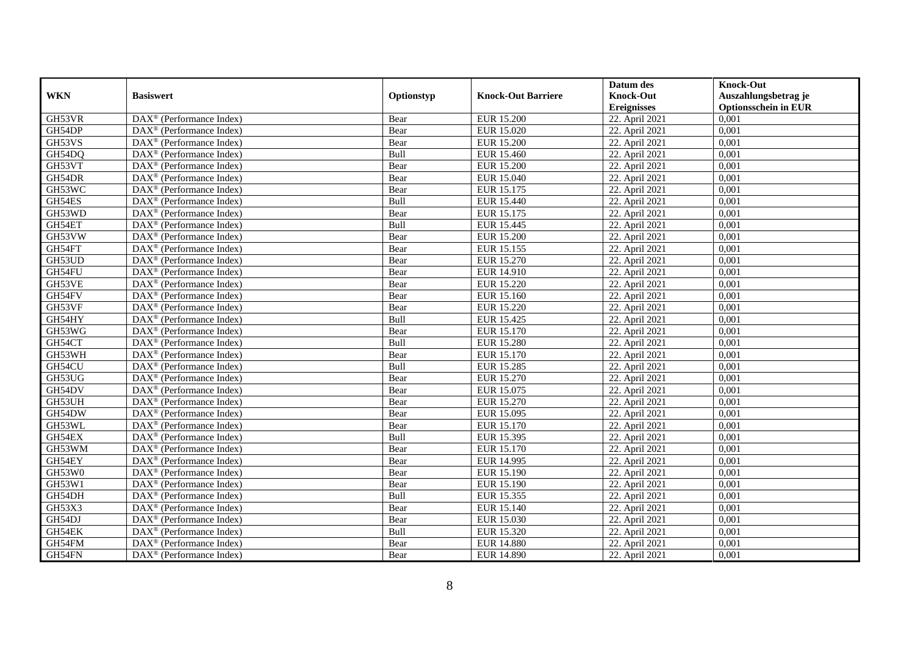|            |                                                              |            |                           | Datum des          | <b>Knock-Out</b>            |
|------------|--------------------------------------------------------------|------------|---------------------------|--------------------|-----------------------------|
| <b>WKN</b> | <b>Basiswert</b>                                             | Optionstyp | <b>Knock-Out Barriere</b> | <b>Knock-Out</b>   | Auszahlungsbetrag je        |
|            |                                                              |            |                           | <b>Ereignisses</b> | <b>Optionsschein in EUR</b> |
| GH53VR     | DAX <sup>®</sup> (Performance Index)                         | Bear       | <b>EUR 15.200</b>         | 22. April 2021     | 0,001                       |
| GH54DP     | $\text{DAX}^{\textcircled{n}}$ (Performance Index)           | Bear       | EUR 15.020                | 22. April 2021     | 0,001                       |
| GH53VS     | DAX <sup>®</sup> (Performance Index)                         | Bear       | <b>EUR 15.200</b>         | 22. April 2021     | 0,001                       |
| GH54DQ     | $\text{DAX}^{\otimes}$ (Performance Index)                   | Bull       | EUR 15.460                | 22. April 2021     | 0,001                       |
| GH53VT     | DAX <sup>®</sup> (Performance Index)                         | Bear       | <b>EUR 15.200</b>         | 22. April 2021     | 0,001                       |
| GH54DR     | $\text{DAX}^{\textcircled{p}}$ (Performance Index)           | Bear       | <b>EUR 15.040</b>         | 22. April 2021     | 0,001                       |
| GH53WC     | $DAX^{\otimes}$ (Performance Index)                          | Bear       | EUR 15.175                | 22. April 2021     | 0,001                       |
| GH54ES     | DAX <sup>®</sup> (Performance Index)                         | Bull       | EUR 15.440                | 22. April 2021     | 0,001                       |
| GH53WD     | $\text{DAX}^{\textcircled{n}}$ (Performance Index)           | Bear       | EUR 15.175                | 22. April 2021     | 0,001                       |
| GH54ET     | $\text{DAX}^{\otimes}$ (Performance Index)                   | Bull       | EUR 15.445                | 22. April 2021     | 0,001                       |
| GH53VW     | $\overline{\text{DAX}}^{\textcircled{}}$ (Performance Index) | Bear       | <b>EUR 15.200</b>         | 22. April 2021     | 0,001                       |
| GH54FT     | DAX <sup>®</sup> (Performance Index)                         | Bear       | EUR 15.155                | 22. April 2021     | 0,001                       |
| GH53UD     | DAX <sup>®</sup> (Performance Index)                         | Bear       | <b>EUR 15.270</b>         | 22. April 2021     | 0,001                       |
| GH54FU     | $\text{DAX}^{\textcircled{p}}$ (Performance Index)           | Bear       | EUR 14.910                | 22. April 2021     | 0,001                       |
| GH53VE     | $\text{DAX}^{\otimes}$ (Performance Index)                   | Bear       | EUR 15.220                | 22. April 2021     | 0,001                       |
| GH54FV     | DAX <sup>®</sup> (Performance Index)                         | Bear       | EUR 15.160                | 22. April 2021     | 0,001                       |
| GH53VF     | DAX <sup>®</sup> (Performance Index)                         | Bear       | EUR 15.220                | 22. April 2021     | 0,001                       |
| GH54HY     | $\overline{\text{DAX}^{\otimes}}$ (Performance Index)        | Bull       | EUR 15.425                | 22. April 2021     | 0,001                       |
| GH53WG     | $\overline{\text{DAX}}^{\textcircled{}}$ (Performance Index) | Bear       | EUR 15.170                | 22. April 2021     | 0,001                       |
| GH54CT     | DAX <sup>®</sup> (Performance Index)                         | Bull       | <b>EUR 15.280</b>         | 22. April 2021     | 0,001                       |
| GH53WH     | DAX <sup>®</sup> (Performance Index)                         | Bear       | EUR 15.170                | 22. April 2021     | 0,001                       |
| GH54CU     | $\overline{\text{DAX}^{\otimes}}$ (Performance Index)        | Bull       | EUR 15.285                | 22. April 2021     | 0,001                       |
| GH53UG     | DAX <sup>®</sup> (Performance Index)                         | Bear       | EUR 15.270                | 22. April 2021     | 0,001                       |
| GH54DV     | DAX <sup>®</sup> (Performance Index)                         | Bear       | EUR 15.075                | 22. April 2021     | 0,001                       |
| GH53UH     | $DAX^{\circledR}$ (Performance Index)                        | Bear       | EUR 15.270                | 22. April 2021     | 0.001                       |
| GH54DW     | DAX <sup>®</sup> (Performance Index)                         | Bear       | EUR 15.095                | 22. April 2021     | 0,001                       |
| GH53WL     | DAX <sup>®</sup> (Performance Index)                         | Bear       | EUR 15.170                | 22. April 2021     | 0,001                       |
| GH54EX     | $\text{DAX}^{\textcircled{p}}$ (Performance Index)           | Bull       | EUR 15.395                | 22. April 2021     | 0,001                       |
| GH53WM     | DAX <sup>®</sup> (Performance Index)                         | Bear       | EUR 15.170                | 22. April 2021     | 0,001                       |
| GH54EY     | $\text{DAX}^{\circledast}$ (Performance Index)               | Bear       | EUR 14.995                | 22. April 2021     | 0,001                       |
| GH53W0     | $\text{DAX}^{\textcircled{n}}$ (Performance Index)           | Bear       | EUR 15.190                | 22. April 2021     | 0,001                       |
| GH53W1     | $DAX^{\circledR}$ (Performance Index)                        | Bear       | EUR 15.190                | 22. April 2021     | 0.001                       |
| GH54DH     | $\overline{\text{DAX}^{\otimes}}$ (Performance Index)        | Bull       | EUR 15.355                | 22. April 2021     | 0,001                       |
| GH53X3     | DAX <sup>®</sup> (Performance Index)                         | Bear       | <b>EUR 15.140</b>         | 22. April 2021     | 0,001                       |
| GH54DJ     | DAX <sup>®</sup> (Performance Index)                         | Bear       | EUR 15.030                | 22. April 2021     | 0,001                       |
| GH54EK     | DAX <sup>®</sup> (Performance Index)                         | Bull       | EUR 15.320                | 22. April 2021     | 0,001                       |
| GH54FM     | $\text{DAX}^{\otimes}$ (Performance Index)                   | Bear       | <b>EUR 14.880</b>         | 22. April 2021     | 0,001                       |
| GH54FN     | DAX <sup>®</sup> (Performance Index)                         | Bear       | EUR 14.890                | 22. April 2021     | 0,001                       |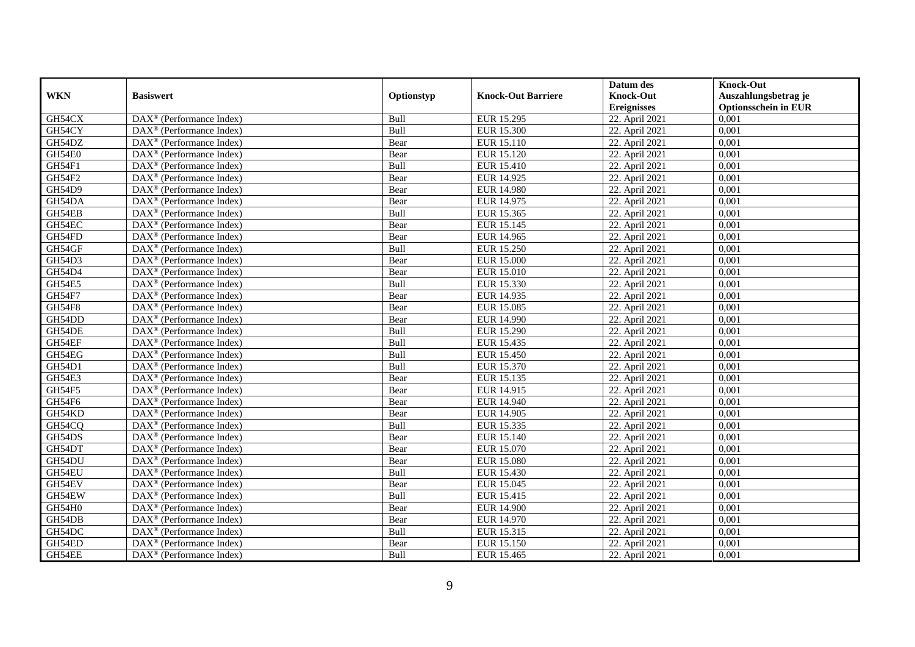|               |                                                              |            |                           | Datum des          | <b>Knock-Out</b>            |
|---------------|--------------------------------------------------------------|------------|---------------------------|--------------------|-----------------------------|
| <b>WKN</b>    | <b>Basiswert</b>                                             | Optionstyp | <b>Knock-Out Barriere</b> | <b>Knock-Out</b>   | Auszahlungsbetrag je        |
|               |                                                              |            |                           | <b>Ereignisses</b> | <b>Optionsschein in EUR</b> |
| GH54CX        | $\overline{\text{DAX}}^{\textcircled{}}$ (Performance Index) | Bull       | EUR 15.295                | 22. April 2021     | 0,001                       |
| GH54CY        | $\text{DAX}^{\textcircled{p}}$ (Performance Index)           | Bull       | <b>EUR 15.300</b>         | 22. April 2021     | 0,001                       |
| GH54DZ        | DAX <sup>®</sup> (Performance Index)                         | Bear       | EUR 15.110                | 22. April 2021     | 0,001                       |
| GH54E0        | $\text{DAX}^{\otimes}$ (Performance Index)                   | Bear       | EUR 15.120                | 22. April 2021     | 0,001                       |
| GH54F1        | DAX <sup>®</sup> (Performance Index)                         | Bull       | <b>EUR 15.410</b>         | 22. April 2021     | 0,001                       |
| GH54F2        | $\text{DAX}^{\textcircled{n}}$ (Performance Index)           | Bear       | EUR 14.925                | 22. April 2021     | 0,001                       |
| <b>GH54D9</b> | $\text{DAX}^{\textcircled{n}}$ (Performance Index)           | Bear       | <b>EUR 14.980</b>         | 22. April 2021     | 0,001                       |
| GH54DA        | $DAX^{\otimes}$ (Performance Index)                          | Bear       | EUR 14.975                | 22. April 2021     | 0,001                       |
| GH54EB        | $\text{DAX}^{\textcircled{p}}$ (Performance Index)           | Bull       | EUR 15.365                | 22. April 2021     | 0,001                       |
| GH54EC        | $DAX^{\otimes}$ (Performance Index)                          | Bear       | EUR 15.145                | 22. April 2021     | 0,001                       |
| GH54FD        | DAX <sup>®</sup> (Performance Index)                         | Bear       | EUR 14.965                | 22. April 2021     | 0,001                       |
| GH54GF        | $\overline{\text{DAX}^{\otimes}}$ (Performance Index)        | Bull       | EUR 15.250                | 22. April 2021     | 0,001                       |
| GH54D3        | $\text{DAX}^{\textcircled{n}}$ (Performance Index)           | Bear       | <b>EUR 15.000</b>         | 22. April 2021     | 0,001                       |
| GH54D4        | DAX <sup>®</sup> (Performance Index)                         | Bear       | <b>EUR 15.010</b>         | 22. April 2021     | 0,001                       |
| GH54E5        | DAX <sup>®</sup> (Performance Index)                         | Bull       | EUR 15.330                | 22. April 2021     | 0,001                       |
| GH54F7        | DAX <sup>®</sup> (Performance Index)                         | Bear       | EUR 14.935                | 22. April 2021     | 0,001                       |
| <b>GH54F8</b> | DAX <sup>®</sup> (Performance Index)                         | Bear       | EUR 15.085                | 22. April 2021     | 0,001                       |
| GH54DD        | $\overline{\text{DAX}}^{\textcirc}$ (Performance Index)      | Bear       | EUR 14.990                | 22. April 2021     | 0,001                       |
| GH54DE        | DAX <sup>®</sup> (Performance Index)                         | Bull       | EUR 15.290                | 22. April 2021     | 0,001                       |
| GH54EF        | DAX <sup>®</sup> (Performance Index)                         | Bull       | EUR 15.435                | 22. April 2021     | 0,001                       |
| GH54EG        | DAX <sup>®</sup> (Performance Index)                         | Bull       | <b>EUR 15.450</b>         | 22. April 2021     | 0,001                       |
| GH54D1        | $\overline{\text{DAX}^{\otimes}}$ (Performance Index)        | Bull       | EUR 15.370                | 22. April 2021     | 0,001                       |
| GH54E3        | $\text{DAX}^{\circledast}$ (Performance Index)               | Bear       | EUR 15.135                | 22. April 2021     | 0,001                       |
| GH54F5        | DAX <sup>®</sup> (Performance Index)                         | Bear       | EUR 14.915                | 22. April 2021     | 0,001                       |
| GH54F6        | $\text{DAX}^{\textcircled{n}}$ (Performance Index)           | Bear       | EUR 14.940                | 22. April 2021     | 0,001                       |
| GH54KD        | $\text{DAX}^{\otimes}$ (Performance Index)                   | Bear       | <b>EUR 14.905</b>         | 22. April 2021     | 0,001                       |
| GH54CQ        | $\text{DAX}^{\circledast}$ (Performance Index)               | Bull       | EUR 15.335                | 22. April 2021     | 0,001                       |
| GH54DS        | $\text{DAX}^{\textcircled{p}}$ (Performance Index)           | Bear       | EUR 15.140                | 22. April 2021     | 0.001                       |
| GH54DT        | $\text{DAX}^{\textcircled{p}}$ (Performance Index)           | Bear       | EUR 15.070                | 22. April 2021     | 0,001                       |
| GH54DU        | $DAX^{\otimes}$ (Performance Index)                          | Bear       | <b>EUR 15.080</b>         | 22. April 2021     | 0,001                       |
| GH54EU        | DAX <sup>®</sup> (Performance Index)                         | Bull       | EUR 15.430                | 22. April 2021     | 0,001                       |
| GH54EV        | $\text{DAX}^{\otimes}$ (Performance Index)                   | Bear       | EUR 15.045                | 22. April 2021     | 0.001                       |
| GH54EW        | $\overline{\text{DAX}^{\otimes}}$ (Performance Index)        | Bull       | EUR 15.415                | 22. April 2021     | 0,001                       |
| GH54H0        | DAX <sup>®</sup> (Performance Index)                         | Bear       | <b>EUR 14.900</b>         | 22. April 2021     | 0,001                       |
| GH54DB        | $\text{DAX}^{\textcircled{n}}$ (Performance Index)           | Bear       | EUR 14.970                | 22. April 2021     | 0,001                       |
| GH54DC        | $\text{DAX}^{\textcircled{n}}$ (Performance Index)           | Bull       | EUR 15.315                | 22. April 2021     | 0,001                       |
| GH54ED        | $\text{DAX}^{\otimes}$ (Performance Index)                   | Bear       | EUR 15.150                | 22. April 2021     | 0,001                       |
| GH54EE        | $\overline{\text{DAX}}^{\textcirc}$ (Performance Index)      | Bull       | EUR 15.465                | 22. April 2021     | 0,001                       |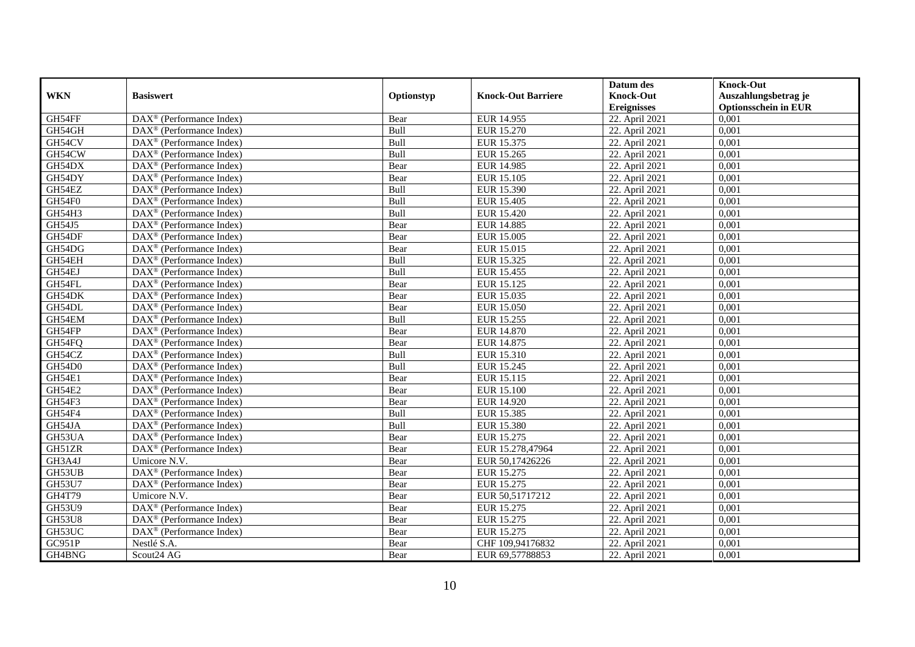|               |                                                              |            |                           | Datum des          | <b>Knock-Out</b>            |
|---------------|--------------------------------------------------------------|------------|---------------------------|--------------------|-----------------------------|
| <b>WKN</b>    | <b>Basiswert</b>                                             | Optionstyp | <b>Knock-Out Barriere</b> | <b>Knock-Out</b>   | Auszahlungsbetrag je        |
|               |                                                              |            |                           | <b>Ereignisses</b> | <b>Optionsschein in EUR</b> |
| GH54FF        | $\overline{\text{DAX}}^{\textcircled{}}$ (Performance Index) | Bear       | EUR 14.955                | 22. April 2021     | 0,001                       |
| GH54GH        | $DAX^{\circledR}$ (Performance Index)                        | Bull       | EUR 15.270                | 22. April 2021     | 0,001                       |
| GH54CV        | DAX <sup>®</sup> (Performance Index)                         | Bull       | EUR 15.375                | 22. April 2021     | 0,001                       |
| GH54CW        | $\text{DAX}^{\otimes}$ (Performance Index)                   | Bull       | EUR 15.265                | 22. April 2021     | 0,001                       |
| GH54DX        | DAX <sup>®</sup> (Performance Index)                         | Bear       | <b>EUR 14.985</b>         | 22. April 2021     | 0,001                       |
| GH54DY        | $\text{DAX}^{\textcircled{n}}$ (Performance Index)           | Bear       | EUR 15.105                | 22. April 2021     | 0,001                       |
| GH54EZ        | $\text{DAX}^{\textcircled{n}}$ (Performance Index)           | Bull       | EUR 15.390                | 22. April 2021     | 0,001                       |
| GH54F0        | $DAX^{\otimes}$ (Performance Index)                          | Bull       | <b>EUR 15.405</b>         | 22. April 2021     | 0,001                       |
| GH54H3        | $\text{DAX}^{\textcircled{D}}$ (Performance Index)           | Bull       | EUR 15.420                | 22. April 2021     | 0,001                       |
| GH54J5        | $DAX^{\otimes}$ (Performance Index)                          | Bear       | <b>EUR 14.885</b>         | 22. April 2021     | 0,001                       |
| GH54DF        | $\overline{\text{DAX}}^{\textcirc}$ (Performance Index)      | Bear       | <b>EUR 15.005</b>         | 22. April 2021     | 0,001                       |
| GH54DG        | $\overline{\text{DAX}^{\otimes}}$ (Performance Index)        | Bear       | EUR 15.015                | 22. April 2021     | 0,001                       |
| GH54EH        | $\text{DAX}^{\textcircled{n}}$ (Performance Index)           | Bull       | EUR 15.325                | 22. April 2021     | 0,001                       |
| GH54EJ        | DAX <sup>®</sup> (Performance Index)                         | Bull       | EUR 15.455                | 22. April 2021     | 0,001                       |
| GH54FL        | DAX <sup>®</sup> (Performance Index)                         | Bear       | EUR 15.125                | 22. April 2021     | 0,001                       |
| GH54DK        | DAX <sup>®</sup> (Performance Index)                         | Bear       | EUR 15.035                | 22. April 2021     | 0,001                       |
| GH54DL        | DAX <sup>®</sup> (Performance Index)                         | Bear       | EUR 15.050                | 22. April 2021     | 0,001                       |
| GH54EM        | $DAX^{\circledR}$ (Performance Index)                        | Bull       | EUR 15.255                | 22. April 2021     | 0,001                       |
| GH54FP        | DAX <sup>®</sup> (Performance Index)                         | Bear       | <b>EUR 14.870</b>         | 22. April 2021     | 0,001                       |
| GH54FQ        | DAX <sup>®</sup> (Performance Index)                         | Bear       | EUR 14.875                | 22. April 2021     | 0,001                       |
| GH54CZ        | DAX <sup>®</sup> (Performance Index)                         | Bull       | EUR 15.310                | 22. April 2021     | 0,001                       |
| GH54D0        | $\overline{\text{DAX}^{\otimes}}$ (Performance Index)        | Bull       | EUR 15.245                | 22. April 2021     | 0,001                       |
| GH54E1        | $\text{DAX}^{\circledast}$ (Performance Index)               | Bear       | EUR 15.115                | 22. April 2021     | 0,001                       |
| GH54E2        | DAX <sup>®</sup> (Performance Index)                         | Bear       | <b>EUR 15.100</b>         | 22. April 2021     | 0,001                       |
| GH54F3        | DAX <sup>®</sup> (Performance Index)                         | Bear       | EUR 14.920                | 22. April 2021     | 0,001                       |
| GH54F4        | $\text{DAX}^{\otimes}$ (Performance Index)                   | Bull       | EUR 15.385                | 22. April 2021     | 0,001                       |
| GH54JA        | DAX <sup>®</sup> (Performance Index)                         | Bull       | EUR 15.380                | 22. April 2021     | 0,001                       |
| GH53UA        | $\text{DAX}^{\textcircled{D}}$ (Performance Index)           | Bear       | EUR 15.275                | 22. April 2021     | 0.001                       |
| GH51ZR        | DAX <sup>®</sup> (Performance Index)                         | Bear       | EUR 15.278,47964          | 22. April 2021     | 0,001                       |
| GH3A4J        | Umicore N.V.                                                 | Bear       | EUR 50,17426226           | 22. April 2021     | 0,001                       |
| GH53UB        | DAX <sup>®</sup> (Performance Index)                         | Bear       | EUR 15.275                | 22. April 2021     | 0,001                       |
| GH53U7        | DAX <sup>®</sup> (Performance Index)                         | Bear       | EUR 15.275                | 22. April 2021     | 0.001                       |
| <b>GH4T79</b> | Umicore N.V.                                                 | Bear       | EUR 50,51717212           | 22. April 2021     | 0,001                       |
| <b>GH53U9</b> | DAX <sup>®</sup> (Performance Index)                         | Bear       | EUR 15.275                | 22. April 2021     | 0,001                       |
| <b>GH53U8</b> | $\text{DAX}^{\otimes}$ (Performance Index)                   | Bear       | EUR 15.275                | 22. April 2021     | 0,001                       |
| GH53UC        | DAX <sup>®</sup> (Performance Index)                         | Bear       | EUR 15.275                | 22. April 2021     | 0,001                       |
| GC951P        | Nestlé S.A.                                                  | Bear       | CHF 109,94176832          | 22. April 2021     | 0,001                       |
| GH4BNG        | Scout24 AG                                                   | Bear       | EUR 69,57788853           | 22. April 2021     | 0,001                       |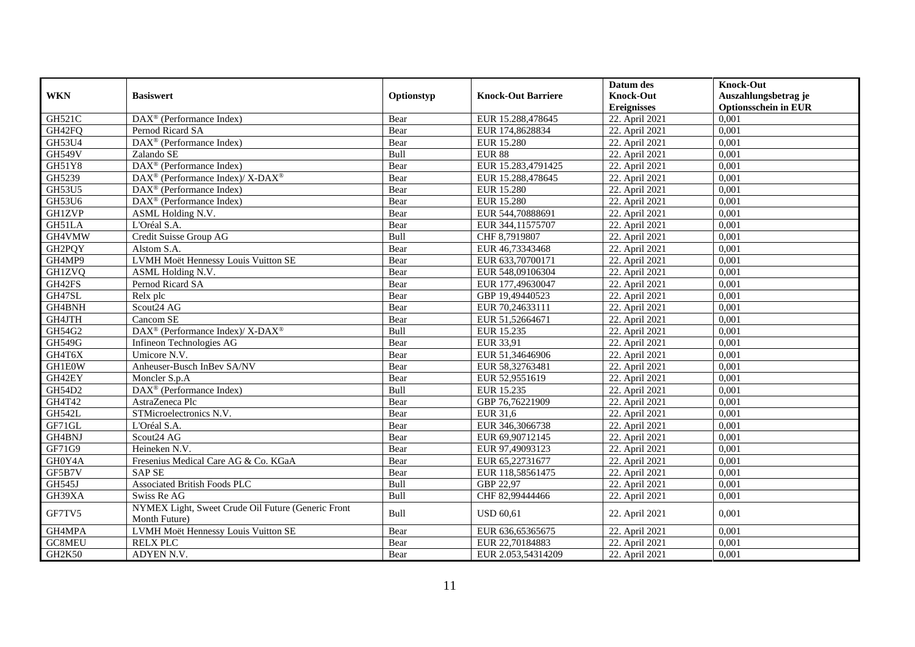|                     |                                                                     |            |                           | Datum des          | <b>Knock-Out</b>            |
|---------------------|---------------------------------------------------------------------|------------|---------------------------|--------------------|-----------------------------|
| <b>WKN</b>          | <b>Basiswert</b>                                                    | Optionstyp | <b>Knock-Out Barriere</b> | <b>Knock-Out</b>   | Auszahlungsbetrag je        |
|                     |                                                                     |            |                           | <b>Ereignisses</b> | <b>Optionsschein in EUR</b> |
| <b>GH521C</b>       | DAX <sup>®</sup> (Performance Index)                                | Bear       | EUR 15.288,478645         | 22. April 2021     | 0,001                       |
| GH42FQ              | Pernod Ricard SA                                                    | Bear       | EUR 174,8628834           | 22. April 2021     | 0,001                       |
| GH53U4              | $\overline{\text{DAX}^{\otimes}}$ (Performance Index)               | Bear       | <b>EUR 15.280</b>         | 22. April 2021     | 0,001                       |
| <b>GH549V</b>       | Zalando SE                                                          | Bull       | <b>EUR 88</b>             | 22. April 2021     | 0,001                       |
| GH51Y8              | DAX <sup>®</sup> (Performance Index)                                | Bear       | EUR 15.283,4791425        | 22. April 2021     | 0,001                       |
| GH5239              | DAX <sup>®</sup> (Performance Index)/X-DAX <sup>®</sup>             | Bear       | EUR 15.288,478645         | 22. April 2021     | 0,001                       |
| <b>GH53U5</b>       | $\text{DAX}^{\textcircled{D}}$ (Performance Index)                  | Bear       | <b>EUR 15.280</b>         | 22. April 2021     | 0,001                       |
| GH53U6              | DAX <sup>®</sup> (Performance Index)                                | Bear       | <b>EUR 15.280</b>         | 22. April 2021     | 0,001                       |
| <b>GH1ZVP</b>       | ASML Holding N.V.                                                   | Bear       | EUR 544,70888691          | 22. April 2021     | 0,001                       |
| GH51LA              | L'Oréal S.A.                                                        | Bear       | EUR 344,11575707          | 22. April 2021     | 0,001                       |
| GH4VMW              | Credit Suisse Group AG                                              | Bull       | CHF 8,7919807             | 22. April 2021     | 0.001                       |
| GH2PQY              | Alstom S.A.                                                         | Bear       | EUR 46,73343468           | 22. April 2021     | 0,001                       |
| GH4MP9              | LVMH Moët Hennessy Louis Vuitton SE                                 | Bear       | EUR 633,70700171          | 22. April 2021     | 0,001                       |
| <b>GH1ZVQ</b>       | ASML Holding N.V.                                                   | Bear       | EUR 548,09106304          | 22. April 2021     | 0,001                       |
| GH42FS              | Pernod Ricard SA                                                    | Bear       | EUR 177,49630047          | 22. April 2021     | 0,001                       |
| GH47SL              | Relx plc                                                            | Bear       | GBP 19,49440523           | 22. April 2021     | 0,001                       |
| GH4BNH              | Scout24 AG                                                          | Bear       | EUR 70,24633111           | 22. April 2021     | 0,001                       |
| GH4JTH              | Cancom SE                                                           | Bear       | EUR 51,52664671           | 22. April 2021     | 0,001                       |
| GH54G2              | DAX <sup>®</sup> (Performance Index)/ X-DAX <sup>®</sup>            | Bull       | EUR 15.235                | 22. April 2021     | 0,001                       |
| GH549G              | Infineon Technologies AG                                            | Bear       | EUR 33,91                 | 22. April 2021     | 0,001                       |
| GH4T6X              | Umicore N.V.                                                        | Bear       | EUR 51,34646906           | 22. April 2021     | 0,001                       |
| <b>GH1E0W</b>       | Anheuser-Busch InBev SA/NV                                          | Bear       | EUR 58,32763481           | 22. April 2021     | 0,001                       |
| GH42EY              | Moncler S.p.A                                                       | Bear       | EUR 52,9551619            | 22. April 2021     | 0,001                       |
| GH54D2              | DAX <sup>®</sup> (Performance Index)                                | Bull       | EUR 15.235                | 22. April 2021     | 0,001                       |
| GH4T42              | AstraZeneca Plc                                                     | Bear       | GBP 76,76221909           | 22. April 2021     | 0.001                       |
| <b>GH542L</b>       | STMicroelectronics N.V.                                             | Bear       | EUR 31,6                  | 22. April 2021     | 0,001                       |
| GF71GL              | L'Oréal S.A.                                                        | Bear       | EUR 346,3066738           | 22. April 2021     | 0,001                       |
| GH <sub>4</sub> BNJ | Scout24 AG                                                          | Bear       | EUR 69,90712145           | 22. April 2021     | 0,001                       |
| GF71G9              | Heineken N.V.                                                       | Bear       | EUR 97,49093123           | 22. April 2021     | 0,001                       |
| GH0Y4A              | Fresenius Medical Care AG & Co. KGaA                                | Bear       | EUR 65,22731677           | 22. April 2021     | 0,001                       |
| GF5B7V              | <b>SAP SE</b>                                                       | Bear       | EUR 118,58561475          | 22. April 2021     | 0,001                       |
| GH545J              | <b>Associated British Foods PLC</b>                                 | Bull       | GBP 22,97                 | 22. April 2021     | 0.001                       |
| GH39XA              | Swiss Re AG                                                         | Bull       | CHF 82,99444466           | 22. April 2021     | 0,001                       |
| GF7TV5              | NYMEX Light, Sweet Crude Oil Future (Generic Front<br>Month Future) | Bull       | <b>USD 60,61</b>          | 22. April 2021     | 0,001                       |
| GH4MPA              | LVMH Moët Hennessy Louis Vuitton SE                                 | Bear       | EUR 636,65365675          | 22. April 2021     | 0,001                       |
| GC8MEU              | <b>RELX PLC</b>                                                     | Bear       | EUR 22,70184883           | 22. April 2021     | 0,001                       |
| GH2K50              | ADYEN N.V.                                                          | Bear       | EUR 2.053,54314209        | 22. April 2021     | 0,001                       |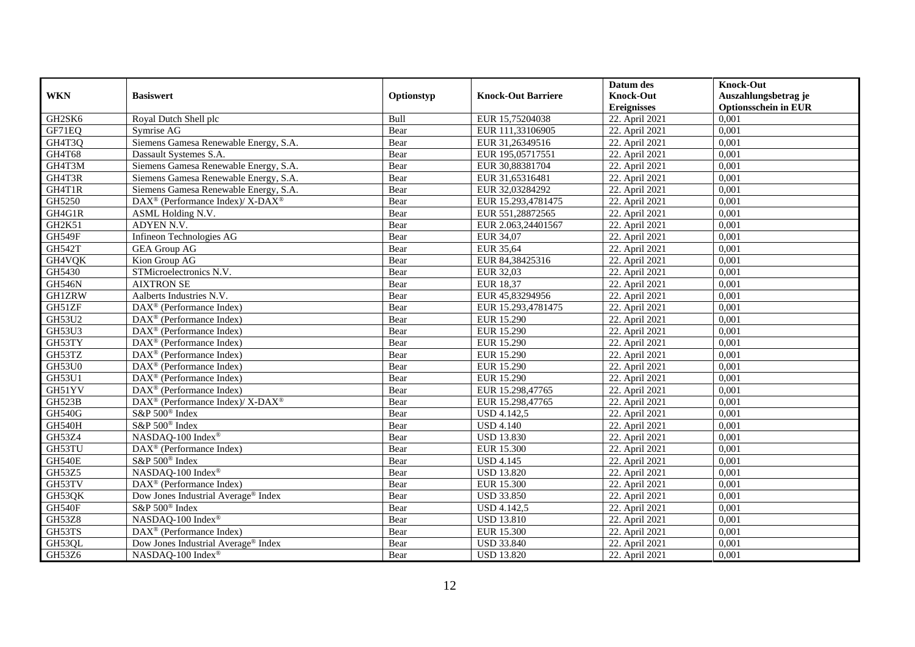|               |                                                                          |            |                           | Datum des          | <b>Knock-Out</b>            |
|---------------|--------------------------------------------------------------------------|------------|---------------------------|--------------------|-----------------------------|
| <b>WKN</b>    | <b>Basiswert</b>                                                         | Optionstyp | <b>Knock-Out Barriere</b> | <b>Knock-Out</b>   | Auszahlungsbetrag je        |
|               |                                                                          |            |                           | <b>Ereignisses</b> | <b>Optionsschein in EUR</b> |
| GH2SK6        | Royal Dutch Shell plc                                                    | Bull       | EUR 15,75204038           | 22. April 2021     | 0,001                       |
| GF71EQ        | Symrise AG                                                               | Bear       | EUR 111,33106905          | 22. April 2021     | 0,001                       |
| GH4T3Q        | Siemens Gamesa Renewable Energy, S.A.                                    | Bear       | EUR 31,26349516           | 22. April 2021     | 0,001                       |
| GH4T68        | Dassault Systemes S.A.                                                   | Bear       | EUR 195,05717551          | 22. April 2021     | 0,001                       |
| GH4T3M        | Siemens Gamesa Renewable Energy, S.A.                                    | Bear       | EUR 30,88381704           | 22. April 2021     | 0,001                       |
| GH4T3R        | Siemens Gamesa Renewable Energy, S.A.                                    | Bear       | EUR 31,65316481           | 22. April 2021     | 0,001                       |
| GH4T1R        | Siemens Gamesa Renewable Energy, S.A.                                    | Bear       | EUR 32,03284292           | 22. April 2021     | 0,001                       |
| GH5250        | $\overline{\text{DAX}^{\otimes}}$ (Performance Index)/X-DAX <sup>®</sup> | Bear       | EUR 15.293,4781475        | 22. April 2021     | 0,001                       |
| GH4G1R        | ASML Holding N.V.                                                        | Bear       | EUR 551,28872565          | 22. April 2021     | 0,001                       |
| GH2K51        | ADYEN N.V.                                                               | Bear       | EUR 2.063,24401567        | 22. April 2021     | 0,001                       |
| GH549F        | Infineon Technologies AG                                                 | Bear       | EUR 34,07                 | 22. April 2021     | 0,001                       |
| <b>GH542T</b> | <b>GEA Group AG</b>                                                      | Bear       | EUR 35,64                 | 22. April 2021     | 0,001                       |
| GH4VQK        | Kion Group AG                                                            | Bear       | EUR 84,38425316           | 22. April 2021     | 0,001                       |
| GH5430        | STMicroelectronics N.V.                                                  | Bear       | EUR 32,03                 | 22. April 2021     | 0,001                       |
| <b>GH546N</b> | <b>AIXTRON SE</b>                                                        | Bear       | EUR 18,37                 | 22. April 2021     | 0,001                       |
| <b>GH1ZRW</b> | Aalberts Industries N.V.                                                 | Bear       | EUR 45,83294956           | 22. April 2021     | 0,001                       |
| GH51ZF        | DAX <sup>®</sup> (Performance Index)                                     | Bear       | EUR 15.293,4781475        | 22. April 2021     | 0,001                       |
| GH53U2        | $DAX^{\circledR}$ (Performance Index)                                    | Bear       | EUR 15.290                | 22. April 2021     | 0,001                       |
| <b>GH53U3</b> | $\overline{\text{DAX}}^{\textcircled{}}$ (Performance Index)             | Bear       | EUR 15.290                | 22. April 2021     | 0,001                       |
| GH53TY        | DAX <sup>®</sup> (Performance Index)                                     | Bear       | EUR 15.290                | 22. April 2021     | 0,001                       |
| GH53TZ        | DAX <sup>®</sup> (Performance Index)                                     | Bear       | <b>EUR 15.290</b>         | 22. April 2021     | 0,001                       |
| <b>GH53U0</b> | $\overline{\text{DAX}^{\otimes}}$ (Performance Index)                    | Bear       | <b>EUR 15.290</b>         | 22. April 2021     | 0,001                       |
| <b>GH53U1</b> | $\overline{\text{DAX}^{\otimes}}$ (Performance Index)                    | Bear       | EUR 15.290                | 22. April 2021     | 0,001                       |
| GH51YV        | DAX <sup>®</sup> (Performance Index)                                     | Bear       | EUR 15.298,47765          | 22. April 2021     | 0,001                       |
| GH523B        | $\text{DAX}^{\circledast}$ (Performance Index)/ X-DAX <sup>®</sup>       | Bear       | EUR 15.298,47765          | 22. April 2021     | 0,001                       |
| <b>GH540G</b> | S&P 500 <sup>®</sup> Index                                               | Bear       | <b>USD 4.142,5</b>        | 22. April 2021     | 0,001                       |
| <b>GH540H</b> | S&P 500 <sup>®</sup> Index                                               | Bear       | <b>USD 4.140</b>          | 22. April 2021     | 0,001                       |
| GH53Z4        | NASDAQ-100 Index®                                                        | Bear       | <b>USD 13.830</b>         | 22. April 2021     | 0,001                       |
| GH53TU        | DAX <sup>®</sup> (Performance Index)                                     | Bear       | <b>EUR 15.300</b>         | 22. April 2021     | 0,001                       |
| <b>GH540E</b> | S&P 500 <sup>®</sup> Index                                               | Bear       | <b>USD 4.145</b>          | 22. April 2021     | 0,001                       |
| GH53Z5        | NASDAQ-100 Index®                                                        | Bear       | <b>USD 13.820</b>         | 22. April 2021     | 0,001                       |
| GH53TV        | DAX <sup>®</sup> (Performance Index)                                     | Bear       | <b>EUR 15.300</b>         | 22. April 2021     | 0.001                       |
| GH53QK        | Dow Jones Industrial Average® Index                                      | Bear       | <b>USD 33.850</b>         | 22. April 2021     | 0,001                       |
| GH540F        | S&P 500 <sup>®</sup> Index                                               | Bear       | <b>USD 4.142,5</b>        | 22. April 2021     | 0,001                       |
| <b>GH53Z8</b> | NASDAQ-100 Index®                                                        | Bear       | <b>USD 13.810</b>         | 22. April 2021     | 0,001                       |
| GH53TS        | DAX <sup>®</sup> (Performance Index)                                     | Bear       | <b>EUR 15.300</b>         | 22. April 2021     | 0,001                       |
| GH53QL        | Dow Jones Industrial Average® Index                                      | Bear       | <b>USD 33.840</b>         | 22. April 2021     | 0,001                       |
| GH53Z6        | NASDAQ-100 Index®                                                        | Bear       | <b>USD 13.820</b>         | 22. April 2021     | 0,001                       |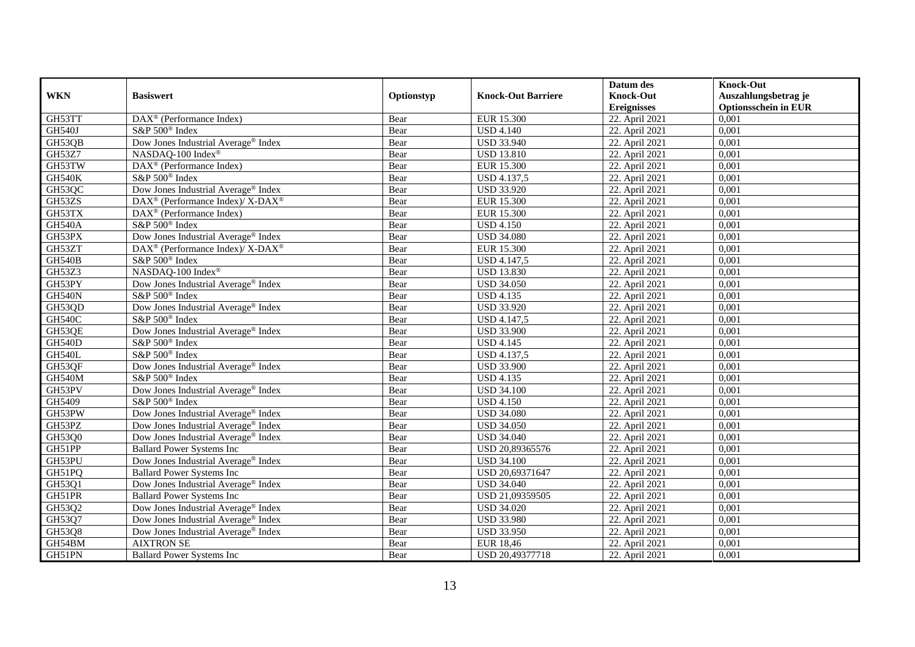|               |                                                                  |            |                           | Datum des          | <b>Knock-Out</b>            |
|---------------|------------------------------------------------------------------|------------|---------------------------|--------------------|-----------------------------|
| <b>WKN</b>    | <b>Basiswert</b>                                                 | Optionstyp | <b>Knock-Out Barriere</b> | <b>Knock-Out</b>   | Auszahlungsbetrag je        |
|               |                                                                  |            |                           | <b>Ereignisses</b> | <b>Optionsschein in EUR</b> |
| GH53TT        | DAX <sup>®</sup> (Performance Index)                             | Bear       | <b>EUR 15.300</b>         | 22. April 2021     | 0,001                       |
| GH540J        | S&P 500 <sup>®</sup> Index                                       | Bear       | <b>USD 4.140</b>          | 22. April 2021     | 0,001                       |
| GH53QB        | Dow Jones Industrial Average® Index                              | Bear       | <b>USD 33.940</b>         | 22. April 2021     | 0,001                       |
| GH53Z7        | NASDAQ-100 Index®                                                | Bear       | <b>USD 13.810</b>         | 22. April 2021     | 0,001                       |
| GH53TW        | DAX <sup>®</sup> (Performance Index)                             | Bear       | EUR 15.300                | 22. April 2021     | 0,001                       |
| <b>GH540K</b> | S&P 500 <sup>®</sup> Index                                       | Bear       | <b>USD</b> 4.137,5        | 22. April 2021     | 0,001                       |
| GH53QC        | Dow Jones Industrial Average <sup>®</sup> Index                  | Bear       | <b>USD 33.920</b>         | 22. April 2021     | 0,001                       |
| GH53ZS        | $\text{DAX}^{\circledR}$ (Performance Index)/ X-DAX <sup>®</sup> | Bear       | <b>EUR 15.300</b>         | 22. April 2021     | 0,001                       |
| GH53TX        | $\text{DAX}^{\textcircled{n}}$ (Performance Index)               | Bear       | <b>EUR 15.300</b>         | 22. April 2021     | 0,001                       |
| <b>GH540A</b> | S&P 500 <sup>®</sup> Index                                       | Bear       | <b>USD 4.150</b>          | 22. April 2021     | 0,001                       |
| GH53PX        | Dow Jones Industrial Average <sup>®</sup> Index                  | Bear       | <b>USD 34.080</b>         | 22. April 2021     | 0,001                       |
| GH53ZT        | DAX <sup>®</sup> (Performance Index)/X-DAX <sup>®</sup>          | Bear       | EUR 15.300                | 22. April 2021     | 0,001                       |
| <b>GH540B</b> | S&P 500 <sup>®</sup> Index                                       | Bear       | <b>USD</b> 4.147,5        | 22. April 2021     | 0,001                       |
| GH53Z3        | NASDAQ-100 Index <sup>®</sup>                                    | Bear       | <b>USD 13.830</b>         | 22. April 2021     | 0.001                       |
| GH53PY        | Dow Jones Industrial Average <sup>®</sup> Index                  | Bear       | <b>USD 34.050</b>         | 22. April 2021     | 0,001                       |
| <b>GH540N</b> | S&P 500 <sup>®</sup> Index                                       | Bear       | <b>USD 4.135</b>          | 22. April 2021     | 0,001                       |
| GH53QD        | Dow Jones Industrial Average® Index                              | Bear       | <b>USD 33.920</b>         | 22. April 2021     | 0,001                       |
| <b>GH540C</b> | S&P 500 <sup>®</sup> Index                                       | Bear       | <b>USD 4.147,5</b>        | 22. April 2021     | 0,001                       |
| GH53QE        | Dow Jones Industrial Average® Index                              | Bear       | <b>USD 33.900</b>         | 22. April 2021     | 0,001                       |
| <b>GH540D</b> | S&P 500 <sup>®</sup> Index                                       | Bear       | <b>USD 4.145</b>          | 22. April 2021     | 0,001                       |
| <b>GH540L</b> | S&P 500 <sup>®</sup> Index                                       | Bear       | USD 4.137,5               | 22. April 2021     | 0,001                       |
| GH53QF        | Dow Jones Industrial Average <sup>®</sup> Index                  | Bear       | <b>USD 33.900</b>         | 22. April 2021     | 0,001                       |
| GH540M        | $S\&P 500^{\circ}$ Index                                         | Bear       | <b>USD 4.135</b>          | 22. April 2021     | 0,001                       |
| GH53PV        | Dow Jones Industrial Average® Index                              | Bear       | <b>USD 34.100</b>         | 22. April 2021     | 0,001                       |
| GH5409        | S&P 500 <sup>®</sup> Index                                       | Bear       | <b>USD 4.150</b>          | 22. April 2021     | 0,001                       |
| GH53PW        | Dow Jones Industrial Average <sup>®</sup> Index                  | Bear       | <b>USD 34.080</b>         | 22. April 2021     | 0,001                       |
| GH53PZ        | Dow Jones Industrial Average® Index                              | Bear       | <b>USD 34.050</b>         | 22. April 2021     | 0,001                       |
| GH53Q0        | Dow Jones Industrial Average <sup>®</sup> Index                  | Bear       | <b>USD 34.040</b>         | 22. April 2021     | 0,001                       |
| GH51PP        | <b>Ballard Power Systems Inc</b>                                 | Bear       | USD 20,89365576           | 22. April 2021     | 0,001                       |
| GH53PU        | Dow Jones Industrial Average <sup>®</sup> Index                  | Bear       | <b>USD 34.100</b>         | 22. April 2021     | 0,001                       |
| GH51PQ        | <b>Ballard Power Systems Inc</b>                                 | Bear       | USD 20,69371647           | 22. April 2021     | 0,001                       |
| GH53Q1        | Dow Jones Industrial Average <sup>®</sup> Index                  | Bear       | <b>USD 34.040</b>         | 22. April 2021     | 0,001                       |
| GH51PR        | <b>Ballard Power Systems Inc</b>                                 | Bear       | USD 21,09359505           | 22. April 2021     | 0,001                       |
| GH53Q2        | Dow Jones Industrial Average® Index                              | Bear       | <b>USD 34.020</b>         | 22. April 2021     | 0,001                       |
| GH53Q7        | Dow Jones Industrial Average® Index                              | Bear       | <b>USD 33.980</b>         | 22. April 2021     | 0,001                       |
| GH53Q8        | Dow Jones Industrial Average® Index                              | Bear       | <b>USD 33.950</b>         | 22. April 2021     | 0,001                       |
| GH54BM        | <b>AIXTRON SE</b>                                                | Bear       | <b>EUR 18,46</b>          | 22. April 2021     | 0,001                       |
| GH51PN        | <b>Ballard Power Systems Inc</b>                                 | Bear       | USD 20,49377718           | 22. April 2021     | 0,001                       |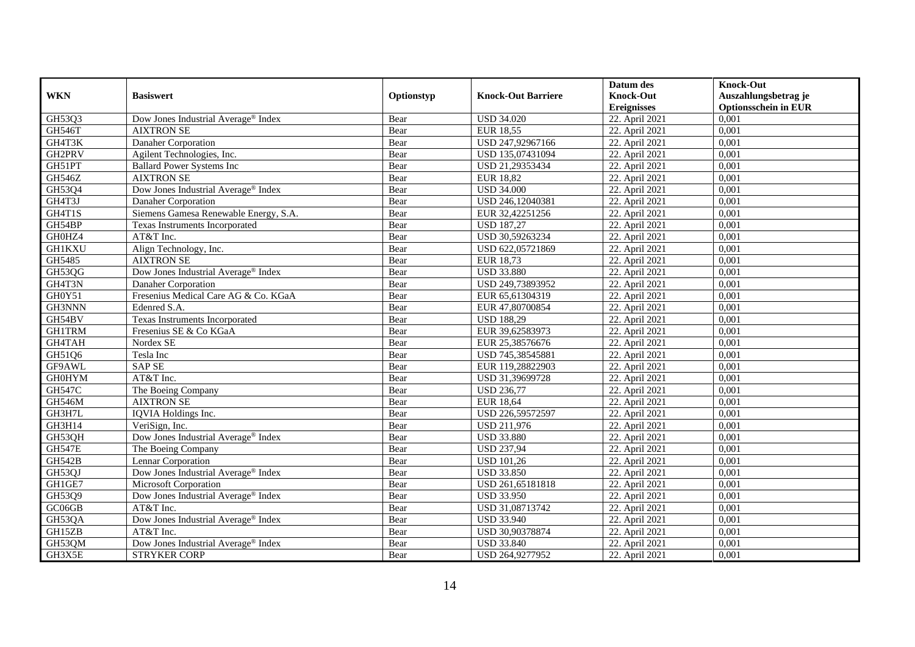|               |                                                 |            |                           | Datum des          | <b>Knock-Out</b>            |
|---------------|-------------------------------------------------|------------|---------------------------|--------------------|-----------------------------|
| <b>WKN</b>    | <b>Basiswert</b>                                | Optionstyp | <b>Knock-Out Barriere</b> | <b>Knock-Out</b>   | Auszahlungsbetrag je        |
|               |                                                 |            |                           | <b>Ereignisses</b> | <b>Optionsschein in EUR</b> |
| GH53Q3        | Dow Jones Industrial Average® Index             | Bear       | <b>USD 34.020</b>         | 22. April 2021     | 0,001                       |
| GH546T        | <b>AIXTRON SE</b>                               | Bear       | <b>EUR 18,55</b>          | 22. April 2021     | 0,001                       |
| GH4T3K        | Danaher Corporation                             | Bear       | USD 247,92967166          | 22. April 2021     | 0,001                       |
| GH2PRV        | Agilent Technologies, Inc.                      | Bear       | USD 135,07431094          | 22. April 2021     | 0,001                       |
| GH51PT        | <b>Ballard Power Systems Inc</b>                | Bear       | USD 21,29353434           | 22. April 2021     | 0,001                       |
| <b>GH546Z</b> | <b>AIXTRON SE</b>                               | Bear       | <b>EUR 18,82</b>          | 22. April 2021     | 0,001                       |
| GH53Q4        | Dow Jones Industrial Average® Index             | Bear       | <b>USD 34.000</b>         | 22. April 2021     | 0,001                       |
| GH4T3J        | Danaher Corporation                             | Bear       | USD 246,12040381          | 22. April 2021     | 0,001                       |
| GH4T1S        | Siemens Gamesa Renewable Energy, S.A.           | Bear       | EUR 32,42251256           | 22. April 2021     | 0,001                       |
| GH54BP        | Texas Instruments Incorporated                  | Bear       | <b>USD 187,27</b>         | 22. April 2021     | 0,001                       |
| GH0HZ4        | AT&T Inc.                                       | Bear       | USD 30,59263234           | 22. April 2021     | 0,001                       |
| <b>GH1KXU</b> | Align Technology, Inc.                          | Bear       | USD 622,05721869          | 22. April 2021     | 0,001                       |
| GH5485        | <b>AIXTRON SE</b>                               | Bear       | <b>EUR 18,73</b>          | 22. April 2021     | 0,001                       |
| GH53QG        | Dow Jones Industrial Average <sup>®</sup> Index | Bear       | <b>USD 33.880</b>         | 22. April 2021     | 0.001                       |
| GH4T3N        | Danaher Corporation                             | Bear       | USD 249,73893952          | 22. April 2021     | 0,001                       |
| GH0Y51        | Fresenius Medical Care AG & Co. KGaA            | Bear       | EUR 65,61304319           | 22. April 2021     | 0,001                       |
| GH3NNN        | Edenred S.A.                                    | Bear       | EUR 47,80700854           | 22. April 2021     | 0,001                       |
| GH54BV        | Texas Instruments Incorporated                  | Bear       | <b>USD 188,29</b>         | 22. April 2021     | 0,001                       |
| <b>GH1TRM</b> | Fresenius SE & Co KGaA                          | Bear       | EUR 39,62583973           | 22. April 2021     | 0,001                       |
| GH4TAH        | Nordex SE                                       | Bear       | EUR 25,38576676           | 22. April 2021     | 0,001                       |
| GH51Q6        | Tesla Inc                                       | Bear       | USD 745,38545881          | 22. April 2021     | 0,001                       |
| GF9AWL        | <b>SAP SE</b>                                   | Bear       | EUR 119,28822903          | 22. April 2021     | 0,001                       |
| <b>GH0HYM</b> | AT&T Inc.                                       | Bear       | USD 31,39699728           | 22. April 2021     | 0,001                       |
| <b>GH547C</b> | The Boeing Company                              | Bear       | <b>USD 236,77</b>         | 22. April 2021     | 0,001                       |
| GH546M        | <b>AIXTRON SE</b>                               | Bear       | <b>EUR 18,64</b>          | 22. April 2021     | 0,001                       |
| GH3H7L        | IQVIA Holdings Inc.                             | Bear       | USD 226,59572597          | 22. April 2021     | 0,001                       |
| GH3H14        | VeriSign, Inc.                                  | Bear       | USD 211,976               | 22. April 2021     | 0,001                       |
| GH53QH        | Dow Jones Industrial Average <sup>®</sup> Index | Bear       | <b>USD 33.880</b>         | 22. April 2021     | 0,001                       |
| <b>GH547E</b> | The Boeing Company                              | Bear       | <b>USD 237,94</b>         | 22. April 2021     | 0,001                       |
| <b>GH542B</b> | Lennar Corporation                              | Bear       | <b>USD 101,26</b>         | 22. April 2021     | 0,001                       |
| GH53QJ        | Dow Jones Industrial Average® Index             | Bear       | <b>USD 33.850</b>         | 22. April 2021     | 0,001                       |
| GH1GE7        | <b>Microsoft Corporation</b>                    | Bear       | USD 261,65181818          | 22. April 2021     | 0,001                       |
| GH53Q9        | Dow Jones Industrial Average <sup>®</sup> Index | Bear       | <b>USD 33.950</b>         | 22. April 2021     | 0,001                       |
| GC06GB        | AT&T Inc.                                       | Bear       | USD 31,08713742           | 22. April 2021     | 0,001                       |
| GH53QA        | Dow Jones Industrial Average <sup>®</sup> Index | Bear       | <b>USD 33.940</b>         | 22. April 2021     | 0,001                       |
| GH15ZB        | AT&T Inc.                                       | Bear       | USD 30,90378874           | 22. April 2021     | 0,001                       |
| GH53QM        | Dow Jones Industrial Average <sup>®</sup> Index | Bear       | <b>USD 33.840</b>         | 22. April 2021     | 0,001                       |
| GH3X5E        | <b>STRYKER CORP</b>                             | Bear       | USD 264,9277952           | 22. April 2021     | 0,001                       |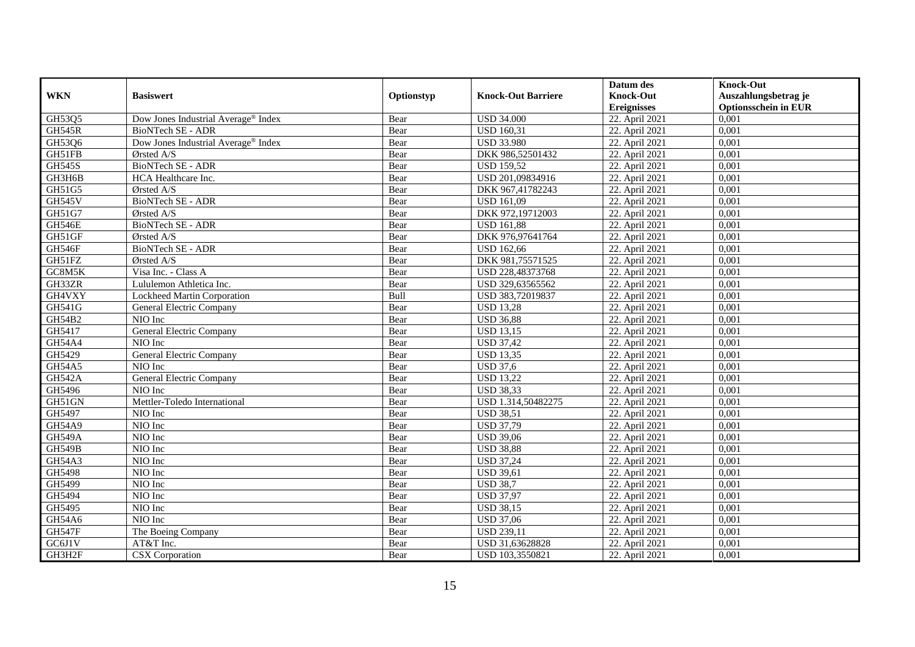|               |                                     |            |                           | Datum des          | <b>Knock-Out</b>            |
|---------------|-------------------------------------|------------|---------------------------|--------------------|-----------------------------|
| <b>WKN</b>    | <b>Basiswert</b>                    | Optionstyp | <b>Knock-Out Barriere</b> | <b>Knock-Out</b>   | Auszahlungsbetrag je        |
|               |                                     |            |                           | <b>Ereignisses</b> | <b>Optionsschein in EUR</b> |
| GH53Q5        | Dow Jones Industrial Average® Index | Bear       | <b>USD 34.000</b>         | 22. April 2021     | 0,001                       |
| <b>GH545R</b> | <b>BioNTech SE - ADR</b>            | Bear       | <b>USD 160,31</b>         | 22. April 2021     | 0,001                       |
| GH53Q6        | Dow Jones Industrial Average® Index | Bear       | <b>USD 33.980</b>         | 22. April 2021     | 0,001                       |
| GH51FB        | Ørsted A/S                          | Bear       | DKK 986,52501432          | 22. April 2021     | 0,001                       |
| <b>GH545S</b> | BioNTech SE - ADR                   | Bear       | <b>USD 159,52</b>         | 22. April 2021     | 0,001                       |
| GH3H6B        | HCA Healthcare Inc.                 | Bear       | USD 201,09834916          | 22. April 2021     | 0,001                       |
| GH51G5        | Ørsted A/S                          | Bear       | DKK 967,41782243          | 22. April 2021     | 0,001                       |
| <b>GH545V</b> | BioNTech SE - ADR                   | Bear       | <b>USD 161,09</b>         | 22. April 2021     | 0,001                       |
| GH51G7        | Ørsted A/S                          | Bear       | DKK 972,19712003          | 22. April 2021     | 0,001                       |
| <b>GH546E</b> | BioNTech SE - ADR                   | Bear       | <b>USD 161,88</b>         | 22. April 2021     | 0,001                       |
| GH51GF        | $O$ rsted A/S                       | Bear       | DKK 976,97641764          | 22. April 2021     | 0,001                       |
| GH546F        | BioNTech SE - ADR                   | Bear       | <b>USD 162,66</b>         | 22. April 2021     | 0,001                       |
| GH51FZ        | Ørsted A/S                          | Bear       | DKK 981,75571525          | 22. April 2021     | 0,001                       |
| GC8M5K        | Visa Inc. - Class A                 | Bear       | USD 228,48373768          | 22. April 2021     | 0,001                       |
| GH33ZR        | Lululemon Athletica Inc.            | Bear       | USD 329,63565562          | 22. April 2021     | 0,001                       |
| GH4VXY        | Lockheed Martin Corporation         | Bull       | USD 383,72019837          | 22. April 2021     | 0,001                       |
| GH541G        | General Electric Company            | Bear       | <b>USD 13,28</b>          | 22. April 2021     | 0,001                       |
| GH54B2        | NIO Inc                             | Bear       | <b>USD 36,88</b>          | 22. April 2021     | 0,001                       |
| GH5417        | General Electric Company            | Bear       | <b>USD 13,15</b>          | 22. April 2021     | 0,001                       |
| <b>GH54A4</b> | NIO Inc                             | Bear       | <b>USD 37,42</b>          | 22. April 2021     | 0,001                       |
| GH5429        | General Electric Company            | Bear       | <b>USD 13,35</b>          | 22. April 2021     | 0,001                       |
| GH54A5        | NIO Inc                             | Bear       | <b>USD 37,6</b>           | 22. April 2021     | 0,001                       |
| <b>GH542A</b> | General Electric Company            | Bear       | <b>USD 13,22</b>          | 22. April 2021     | 0,001                       |
| GH5496        | NIO Inc                             | Bear       | <b>USD 38,33</b>          | 22. April 2021     | 0,001                       |
| GH51GN        | Mettler-Toledo International        | Bear       | USD 1.314,50482275        | 22. April 2021     | 0,001                       |
| GH5497        | NIO Inc                             | Bear       | <b>USD 38,51</b>          | 22. April 2021     | 0,001                       |
| <b>GH54A9</b> | NIO Inc                             | Bear       | <b>USD 37,79</b>          | 22. April 2021     | 0,001                       |
| <b>GH549A</b> | NIO Inc                             | Bear       | <b>USD 39,06</b>          | 22. April 2021     | 0,001                       |
| <b>GH549B</b> | NIO Inc                             | Bear       | <b>USD 38,88</b>          | 22. April 2021     | 0,001                       |
| <b>GH54A3</b> | NIO Inc                             | Bear       | <b>USD 37,24</b>          | 22. April 2021     | 0,001                       |
| GH5498        | NIO Inc                             | Bear       | <b>USD 39,61</b>          | 22. April 2021     | 0,001                       |
| GH5499        | NIO Inc                             | Bear       | <b>USD 38,7</b>           | 22. April 2021     | 0,001                       |
| GH5494        | NIO Inc                             | Bear       | <b>USD 37,97</b>          | 22. April 2021     | 0,001                       |
| GH5495        | NIO Inc                             | Bear       | <b>USD 38,15</b>          | 22. April 2021     | 0,001                       |
| GH54A6        | NIO Inc                             | Bear       | <b>USD 37,06</b>          | 22. April 2021     | 0,001                       |
| <b>GH547F</b> | The Boeing Company                  | Bear       | <b>USD 239,11</b>         | 22. April 2021     | 0,001                       |
| GC6J1V        | AT&T Inc.                           | Bear       | USD 31,63628828           | 22. April 2021     | 0,001                       |
| GH3H2F        | CSX Corporation                     | Bear       | USD 103,3550821           | 22. April 2021     | 0,001                       |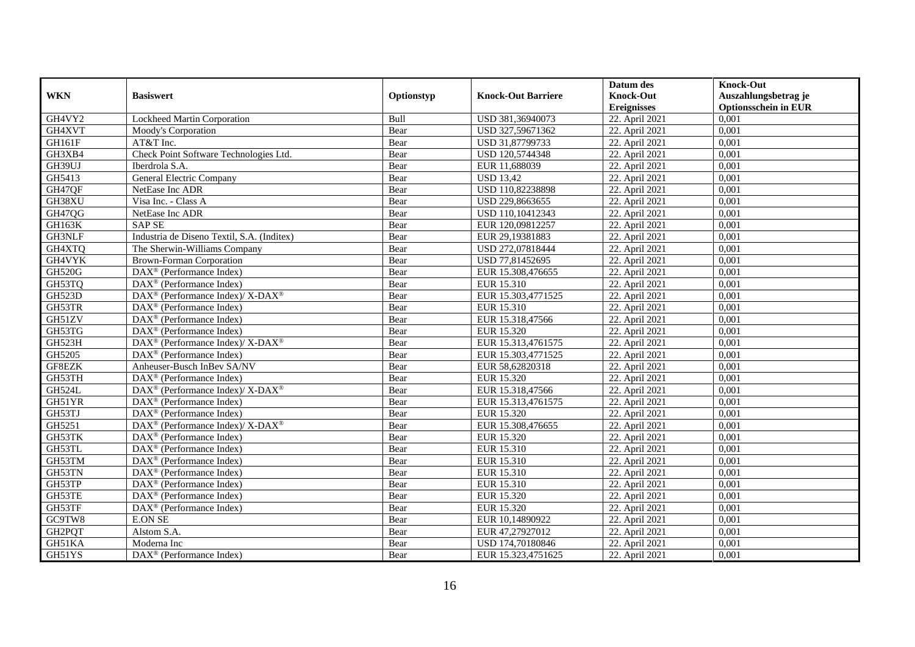|               |                                                                  |            |                           | Datum des          | <b>Knock-Out</b>            |
|---------------|------------------------------------------------------------------|------------|---------------------------|--------------------|-----------------------------|
| <b>WKN</b>    | <b>Basiswert</b>                                                 | Optionstyp | <b>Knock-Out Barriere</b> | <b>Knock-Out</b>   | Auszahlungsbetrag je        |
|               |                                                                  |            |                           | <b>Ereignisses</b> | <b>Optionsschein in EUR</b> |
| GH4VY2        | <b>Lockheed Martin Corporation</b>                               | Bull       | USD 381,36940073          | 22. April 2021     | 0,001                       |
| GH4XVT        | Moody's Corporation                                              | Bear       | USD 327,59671362          | 22. April 2021     | 0,001                       |
| GH161F        | AT&T Inc.                                                        | Bear       | USD 31,87799733           | 22. April 2021     | 0,001                       |
| GH3XB4        | Check Point Software Technologies Ltd.                           | Bear       | USD 120,5744348           | 22. April 2021     | 0,001                       |
| GH39UJ        | Iberdrola S.A.                                                   | Bear       | EUR 11,688039             | 22. April 2021     | 0,001                       |
| GH5413        | General Electric Company                                         | Bear       | <b>USD 13,42</b>          | 22. April 2021     | 0,001                       |
| GH47QF        | NetEase Inc ADR                                                  | Bear       | USD 110,82238898          | 22. April 2021     | 0,001                       |
| GH38XU        | Visa Inc. - Class A                                              | Bear       | USD 229,8663655           | 22. April 2021     | 0,001                       |
| GH47QG        | NetEase Inc ADR                                                  | Bear       | USD 110,10412343          | 22. April 2021     | 0,001                       |
| <b>GH163K</b> | <b>SAP SE</b>                                                    | Bear       | EUR 120,09812257          | 22. April 2021     | 0,001                       |
| GH3NLF        | Industria de Diseno Textil, S.A. (Inditex)                       | Bear       | EUR 29,19381883           | 22. April 2021     | 0,001                       |
| GH4XTQ        | The Sherwin-Williams Company                                     | Bear       | USD 272,07818444          | 22. April 2021     | 0,001                       |
| GH4VYK        | <b>Brown-Forman Corporation</b>                                  | Bear       | USD 77,81452695           | 22. April 2021     | 0,001                       |
| <b>GH520G</b> | DAX <sup>®</sup> (Performance Index)                             | Bear       | EUR 15.308,476655         | 22. April 2021     | 0,001                       |
| GH53TQ        | $\text{DAX}^{\otimes}$ (Performance Index)                       | Bear       | EUR 15.310                | 22. April 2021     | 0,001                       |
| <b>GH523D</b> | DAX <sup>®</sup> (Performance Index)/ X-DAX <sup>®</sup>         | Bear       | EUR 15.303,4771525        | 22. April 2021     | 0,001                       |
| GH53TR        | DAX <sup>®</sup> (Performance Index)                             | Bear       | EUR 15.310                | 22. April 2021     | 0,001                       |
| GH51ZV        | $\text{DAX}^{\textcircled{p}}$ (Performance Index)               | Bear       | EUR 15.318.47566          | 22. April 2021     | 0,001                       |
| GH53TG        | $\overline{\text{DAX}}^{\textcirc}$ (Performance Index)          | Bear       | EUR 15.320                | 22. April 2021     | 0,001                       |
| GH523H        | $\text{DAX}^{\circledR}$ (Performance Index)/ X-DAX <sup>®</sup> | Bear       | EUR 15.313,4761575        | 22. April 2021     | 0,001                       |
| GH5205        | $\text{DAX}^{\textcircled{p}}$ (Performance Index)               | Bear       | EUR 15.303,4771525        | 22. April 2021     | 0,001                       |
| GF8EZK        | Anheuser-Busch InBev SA/NV                                       | Bear       | EUR 58,62820318           | 22. April 2021     | 0,001                       |
| GH53TH        | DAX <sup>®</sup> (Performance Index)                             | Bear       | EUR 15.320                | 22. April 2021     | 0,001                       |
| <b>GH524L</b> | $\text{DAX}^{\circledR}$ (Performance Index)/ X-DAX <sup>®</sup> | Bear       | EUR 15.318,47566          | 22. April 2021     | 0,001                       |
| GH51YR        | $\overline{\text{DAX}^{\otimes}}$ (Performance Index)            | Bear       | EUR 15.313,4761575        | 22. April 2021     | 0,001                       |
| GH53TJ        | $\text{DAX}^{\otimes}$ (Performance Index)                       | Bear       | EUR 15.320                | 22. April 2021     | 0,001                       |
| GH5251        | DAX <sup>®</sup> (Performance Index)/ X-DAX <sup>®</sup>         | Bear       | EUR 15.308,476655         | 22. April 2021     | 0,001                       |
| GH53TK        | $\text{DAX}^{\textcircled{p}}$ (Performance Index)               | Bear       | EUR 15.320                | 22. April 2021     | 0.001                       |
| GH53TL        | $\text{DAX}^{\textcircled{p}}$ (Performance Index)               | Bear       | EUR 15.310                | 22. April 2021     | 0,001                       |
| GH53TM        | $\text{DAX}^{\textcircled{p}}$ (Performance Index)               | Bear       | EUR 15.310                | 22. April 2021     | 0,001                       |
| GH53TN        | DAX <sup>®</sup> (Performance Index)                             | Bear       | EUR 15.310                | 22. April 2021     | 0,001                       |
| GH53TP        | DAX <sup>®</sup> (Performance Index)                             | Bear       | EUR 15.310                | 22. April 2021     | 0.001                       |
| GH53TE        | $\overline{\text{DAX}^{\otimes}}$ (Performance Index)            | Bear       | EUR 15.320                | 22. April 2021     | 0,001                       |
| GH53TF        | $\text{DAX}^{\circledast}$ (Performance Index)                   | Bear       | EUR 15.320                | 22. April 2021     | 0,001                       |
| GC9TW8        | <b>E.ON SE</b>                                                   | Bear       | EUR 10,14890922           | 22. April 2021     | 0,001                       |
| GH2PQT        | Alstom S.A.                                                      | Bear       | EUR 47,27927012           | 22. April 2021     | 0,001                       |
| GH51KA        | Moderna Inc                                                      | Bear       | USD 174,70180846          | 22. April 2021     | 0,001                       |
| GH51YS        | $\overline{\text{DAX}}^{\textcircled{}}$ (Performance Index)     | Bear       | EUR 15.323,4751625        | 22. April 2021     | 0,001                       |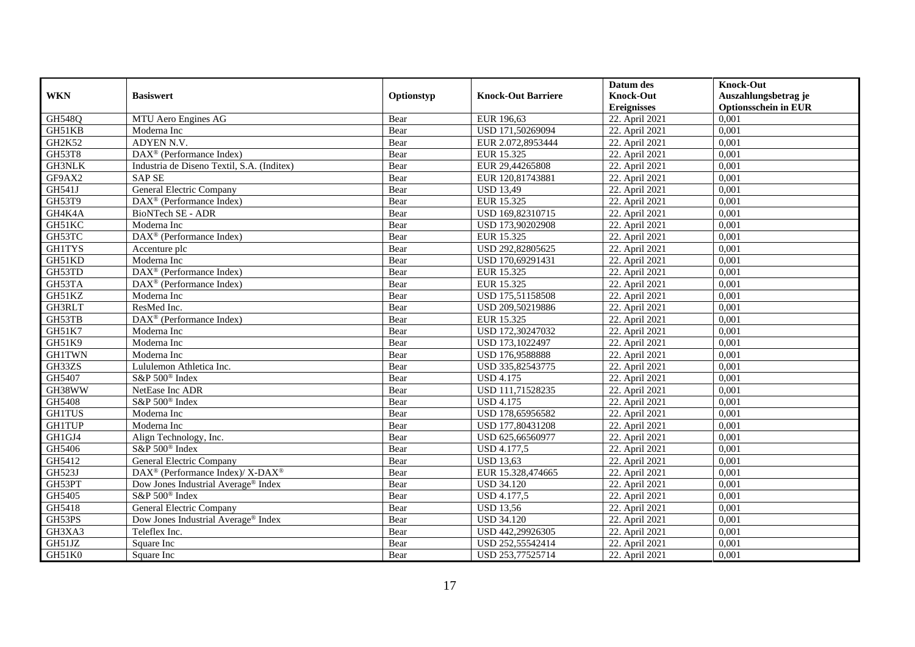|               |                                                          |            |                           | Datum des          | <b>Knock-Out</b>            |
|---------------|----------------------------------------------------------|------------|---------------------------|--------------------|-----------------------------|
| <b>WKN</b>    | <b>Basiswert</b>                                         | Optionstyp | <b>Knock-Out Barriere</b> | <b>Knock-Out</b>   | Auszahlungsbetrag je        |
|               |                                                          |            |                           | <b>Ereignisses</b> | <b>Optionsschein in EUR</b> |
| <b>GH548Q</b> | MTU Aero Engines AG                                      | Bear       | EUR 196,63                | 22. April 2021     | 0,001                       |
| GH51KB        | Moderna Inc                                              | Bear       | USD 171,50269094          | 22. April 2021     | 0,001                       |
| GH2K52        | ADYEN N.V.                                               | Bear       | EUR 2.072,8953444         | 22. April 2021     | 0,001                       |
| GH53T8        | DAX <sup>®</sup> (Performance Index)                     | Bear       | EUR 15.325                | 22. April 2021     | 0,001                       |
| <b>GH3NLK</b> | Industria de Diseno Textil, S.A. (Inditex)               | Bear       | EUR 29,44265808           | 22. April 2021     | 0,001                       |
| GF9AX2        | <b>SAP SE</b>                                            | Bear       | EUR 120,81743881          | 22. April 2021     | 0,001                       |
| <b>GH541J</b> | <b>General Electric Company</b>                          | Bear       | <b>USD 13,49</b>          | 22. April 2021     | 0,001                       |
| GH53T9        | DAX <sup>®</sup> (Performance Index)                     | Bear       | EUR 15.325                | 22. April 2021     | 0,001                       |
| GH4K4A        | BioNTech SE - ADR                                        | Bear       | USD 169,82310715          | 22. April 2021     | 0,001                       |
| GH51KC        | Moderna Inc                                              | Bear       | USD 173,90202908          | 22. April 2021     | 0,001                       |
| GH53TC        | DAX <sup>®</sup> (Performance Index)                     | Bear       | EUR 15.325                | 22. April 2021     | 0,001                       |
| <b>GH1TYS</b> | Accenture plc                                            | Bear       | USD 292,82805625          | 22. April 2021     | 0,001                       |
| GH51KD        | Moderna Inc                                              | Bear       | USD 170,69291431          | 22. April 2021     | 0,001                       |
| GH53TD        | DAX <sup>®</sup> (Performance Index)                     | Bear       | EUR 15.325                | 22. April 2021     | 0.001                       |
| GH53TA        | $DAX^{\otimes}$ (Performance Index)                      | Bear       | EUR 15.325                | 22. April 2021     | 0,001                       |
| GH51KZ        | Moderna Inc                                              | Bear       | USD 175,51158508          | 22. April 2021     | 0,001                       |
| GH3RLT        | ResMed Inc.                                              | Bear       | USD 209,50219886          | 22. April 2021     | 0,001                       |
| GH53TB        | DAX <sup>®</sup> (Performance Index)                     | Bear       | EUR 15.325                | 22. April 2021     | 0,001                       |
| <b>GH51K7</b> | Moderna Inc                                              | Bear       | USD 172,30247032          | 22. April 2021     | 0,001                       |
| GH51K9        | Moderna Inc                                              | Bear       | USD 173,1022497           | 22. April 2021     | 0,001                       |
| <b>GH1TWN</b> | Moderna Inc                                              | Bear       | USD 176,9588888           | 22. April 2021     | 0,001                       |
| GH33ZS        | Lululemon Athletica Inc.                                 | Bear       | USD 335,82543775          | 22. April 2021     | 0,001                       |
| GH5407        | S&P 500 <sup>®</sup> Index                               | Bear       | <b>USD 4.175</b>          | 22. April 2021     | 0,001                       |
| GH38WW        | NetEase Inc ADR                                          | Bear       | USD 111,71528235          | 22. April 2021     | 0,001                       |
| GH5408        | S&P 500 <sup>®</sup> Index                               | Bear       | <b>USD 4.175</b>          | 22. April 2021     | 0,001                       |
| <b>GH1TUS</b> | Moderna Inc                                              | Bear       | USD 178,65956582          | 22. April 2021     | 0,001                       |
| <b>GH1TUP</b> | Moderna Inc                                              | Bear       | USD 177,80431208          | 22. April 2021     | 0,001                       |
| GH1GJ4        | Align Technology, Inc.                                   | Bear       | USD 625,66560977          | 22. April 2021     | 0,001                       |
| GH5406        | S&P 500 <sup>®</sup> Index                               | Bear       | USD 4.177,5               | 22. April 2021     | 0,001                       |
| GH5412        | <b>General Electric Company</b>                          | Bear       | <b>USD 13,63</b>          | 22. April 2021     | 0,001                       |
| GH523J        | DAX <sup>®</sup> (Performance Index)/ X-DAX <sup>®</sup> | Bear       | EUR 15.328,474665         | 22. April 2021     | 0,001                       |
| GH53PT        | Dow Jones Industrial Average® Index                      | Bear       | <b>USD 34.120</b>         | 22. April 2021     | 0,001                       |
| GH5405        | S&P 500 <sup>®</sup> Index                               | Bear       | <b>USD 4.177,5</b>        | 22. April 2021     | 0,001                       |
| GH5418        | General Electric Company                                 | Bear       | <b>USD 13,56</b>          | 22. April 2021     | 0,001                       |
| GH53PS        | Dow Jones Industrial Average <sup>®</sup> Index          | Bear       | <b>USD 34.120</b>         | 22. April 2021     | 0,001                       |
| GH3XA3        | Teleflex Inc.                                            | Bear       | USD 442,29926305          | 22. April 2021     | 0,001                       |
| GH51JZ        | Square Inc                                               | Bear       | USD 252,55542414          | 22. April 2021     | 0,001                       |
| GH51K0        | Square Inc                                               | Bear       | USD 253,77525714          | 22. April 2021     | 0,001                       |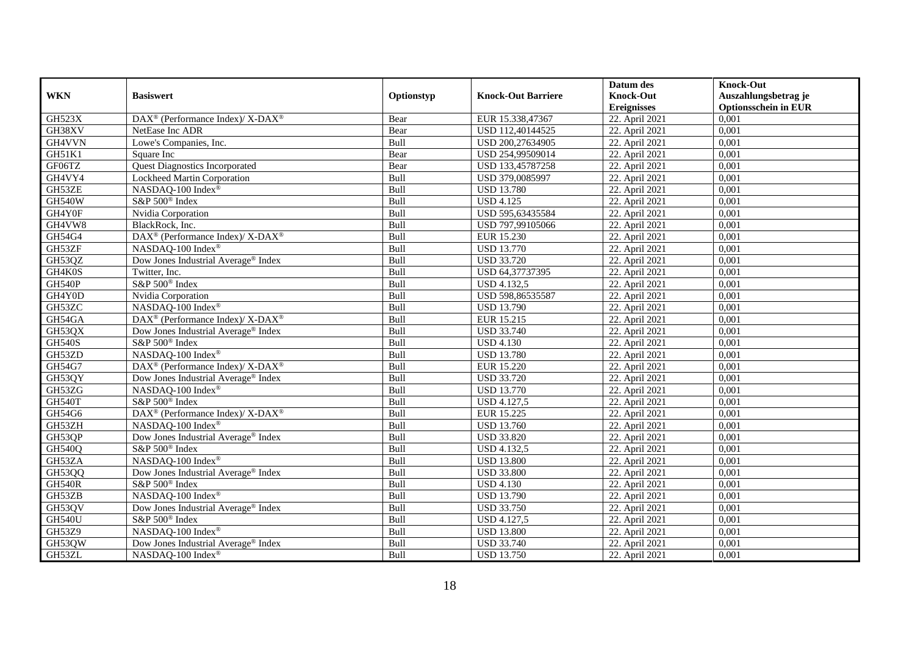|               |                                                                          |            |                           | Datum des          | <b>Knock-Out</b>            |
|---------------|--------------------------------------------------------------------------|------------|---------------------------|--------------------|-----------------------------|
| <b>WKN</b>    | <b>Basiswert</b>                                                         | Optionstyp | <b>Knock-Out Barriere</b> | <b>Knock-Out</b>   | Auszahlungsbetrag je        |
|               |                                                                          |            |                           | <b>Ereignisses</b> | <b>Optionsschein in EUR</b> |
| <b>GH523X</b> | $\text{DAX}^{\circledR}$ (Performance Index)/ X-DAX <sup>®</sup>         | Bear       | EUR 15.338,47367          | 22. April 2021     | 0,001                       |
| GH38XV        | NetEase Inc ADR                                                          | Bear       | USD 112,40144525          | 22. April 2021     | 0,001                       |
| GH4VVN        | Lowe's Companies, Inc.                                                   | Bull       | USD 200,27634905          | 22. April 2021     | 0,001                       |
| GH51K1        | Square Inc                                                               | Bear       | USD 254,99509014          | 22. April 2021     | 0,001                       |
| GF06TZ        | <b>Quest Diagnostics Incorporated</b>                                    | Bear       | USD 133,45787258          | 22. April 2021     | 0,001                       |
| GH4VY4        | Lockheed Martin Corporation                                              | Bull       | USD 379,0085997           | 22. April 2021     | 0,001                       |
| GH53ZE        | NASDAQ-100 Index®                                                        | Bull       | <b>USD 13.780</b>         | 22. April 2021     | 0,001                       |
| <b>GH540W</b> | S&P 500 <sup>®</sup> Index                                               | Bull       | <b>USD 4.125</b>          | 22. April 2021     | 0,001                       |
| GH4Y0F        | Nvidia Corporation                                                       | Bull       | USD 595,63435584          | 22. April 2021     | 0,001                       |
| GH4VW8        | BlackRock, Inc.                                                          | Bull       | USD 797,99105066          | 22. April 2021     | 0,001                       |
| GH54G4        | DAX <sup>®</sup> (Performance Index)/X-DAX <sup>®</sup>                  | Bull       | EUR 15.230                | 22. April 2021     | 0,001                       |
| GH53ZF        | NASDAQ-100 Index®                                                        | Bull       | <b>USD 13.770</b>         | 22. April 2021     | 0,001                       |
| GH53QZ        | Dow Jones Industrial Average® Index                                      | Bull       | <b>USD 33.720</b>         | 22. April 2021     | 0,001                       |
| GH4K0S        | Twitter, Inc.                                                            | Bull       | USD 64,37737395           | 22. April 2021     | 0,001                       |
| <b>GH540P</b> | S&P 500 <sup>®</sup> Index                                               | Bull       | USD 4.132,5               | 22. April 2021     | 0,001                       |
| GH4Y0D        | Nvidia Corporation                                                       | Bull       | USD 598,86535587          | 22. April 2021     | 0,001                       |
| GH53ZC        | NASDAQ-100 Index®                                                        | Bull       | <b>USD 13.790</b>         | 22. April 2021     | 0,001                       |
| GH54GA        | $\overline{\text{DAX}^{\otimes}}$ (Performance Index)/X-DAX <sup>®</sup> | Bull       | EUR 15.215                | 22. April 2021     | 0,001                       |
| GH53QX        | Dow Jones Industrial Average® Index                                      | Bull       | <b>USD 33.740</b>         | 22. April 2021     | 0,001                       |
| <b>GH540S</b> | S&P 500 <sup>®</sup> Index                                               | Bull       | <b>USD 4.130</b>          | 22. April 2021     | 0,001                       |
| GH53ZD        | NASDAQ-100 Index®                                                        | Bull       | <b>USD 13.780</b>         | 22. April 2021     | 0,001                       |
| GH54G7        | DAX <sup>®</sup> (Performance Index)/X-DAX <sup>®</sup>                  | Bull       | EUR 15.220                | 22. April 2021     | 0,001                       |
| GH53QY        | Dow Jones Industrial Average® Index                                      | Bull       | <b>USD 33.720</b>         | 22. April 2021     | 0,001                       |
| GH53ZG        | NASDAQ-100 Index®                                                        | Bull       | <b>USD 13.770</b>         | 22. April 2021     | 0,001                       |
| <b>GH540T</b> | S&P 500 <sup>®</sup> Index                                               | Bull       | <b>USD 4.127,5</b>        | 22. April 2021     | 0,001                       |
| GH54G6        | DAX <sup>®</sup> (Performance Index)/ X-DAX <sup>®</sup>                 | Bull       | EUR 15.225                | 22. April 2021     | 0,001                       |
| GH53ZH        | NASDAQ-100 Index®                                                        | Bull       | <b>USD 13.760</b>         | 22. April 2021     | 0,001                       |
| GH53QP        | Dow Jones Industrial Average® Index                                      | Bull       | <b>USD 33.820</b>         | 22. April 2021     | 0,001                       |
| <b>GH540Q</b> | S&P 500 <sup>®</sup> Index                                               | Bull       | <b>USD 4.132,5</b>        | 22. April 2021     | 0,001                       |
| GH53ZA        | NASDAQ-100 Index®                                                        | Bull       | <b>USD 13.800</b>         | 22. April 2021     | 0,001                       |
| GH53QQ        | Dow Jones Industrial Average® Index                                      | Bull       | <b>USD 33.800</b>         | 22. April 2021     | 0,001                       |
| <b>GH540R</b> | S&P 500 <sup>®</sup> Index                                               | Bull       | <b>USD 4.130</b>          | 22. April 2021     | 0.001                       |
| GH53ZB        | NASDAQ-100 Index®                                                        | Bull       | <b>USD 13.790</b>         | 22. April 2021     | 0,001                       |
| GH53QV        | Dow Jones Industrial Average® Index                                      | Bull       | <b>USD 33.750</b>         | 22. April 2021     | 0,001                       |
| <b>GH540U</b> | S&P 500 <sup>®</sup> Index                                               | Bull       | <b>USD 4.127,5</b>        | 22. April 2021     | 0,001                       |
| GH53Z9        | NASDAQ-100 Index®                                                        | Bull       | <b>USD 13.800</b>         | 22. April 2021     | 0,001                       |
| GH53QW        | Dow Jones Industrial Average <sup>®</sup> Index                          | Bull       | <b>USD 33.740</b>         | 22. April 2021     | 0,001                       |
| GH53ZL        | NASDAQ-100 Index®                                                        | Bull       | <b>USD 13.750</b>         | 22. April 2021     | 0,001                       |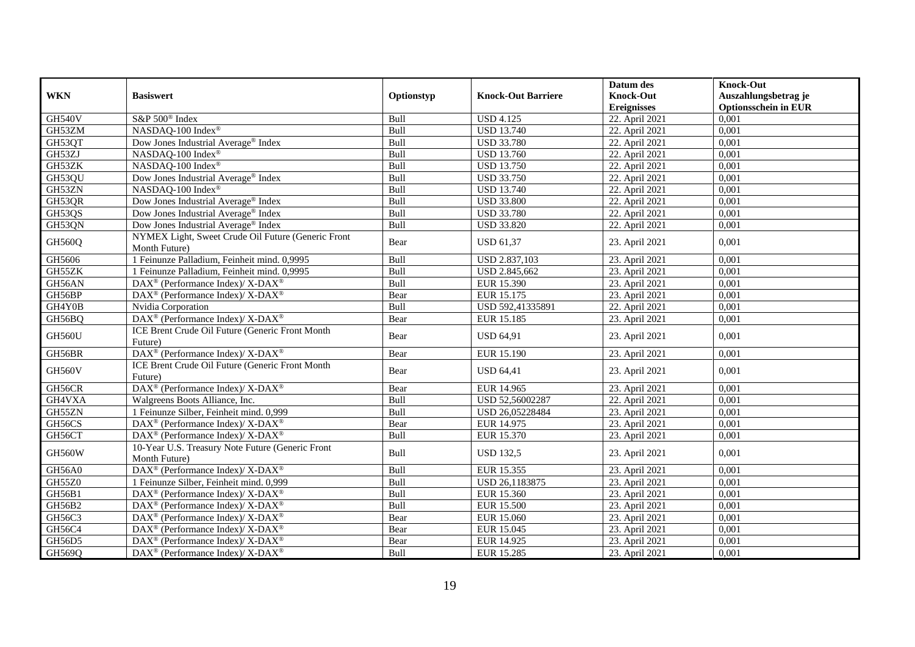|               |                                                                     |            |                           | Datum des          | <b>Knock-Out</b>            |
|---------------|---------------------------------------------------------------------|------------|---------------------------|--------------------|-----------------------------|
| <b>WKN</b>    | <b>Basiswert</b>                                                    | Optionstyp | <b>Knock-Out Barriere</b> | <b>Knock-Out</b>   | Auszahlungsbetrag je        |
|               |                                                                     |            |                           | <b>Ereignisses</b> | <b>Optionsschein in EUR</b> |
| <b>GH540V</b> | S&P 500 <sup>®</sup> Index                                          | Bull       | <b>USD 4.125</b>          | 22. April 2021     | 0,001                       |
| GH53ZM        | NASDAQ-100 Index®                                                   | Bull       | <b>USD</b> 13.740         | 22. April 2021     | 0,001                       |
| GH53QT        | Dow Jones Industrial Average <sup>®</sup> Index                     | Bull       | <b>USD 33.780</b>         | 22. April 2021     | 0,001                       |
| GH53ZJ        | NASDAQ-100 Index®                                                   | Bull       | <b>USD 13.760</b>         | 22. April 2021     | 0,001                       |
| GH53ZK        | NASDAQ-100 Index®                                                   | Bull       | <b>USD 13.750</b>         | 22. April 2021     | 0,001                       |
| GH53QU        | Dow Jones Industrial Average® Index                                 | Bull       | <b>USD 33.750</b>         | 22. April 2021     | 0,001                       |
| GH53ZN        | NASDAQ-100 Index®                                                   | Bull       | <b>USD 13.740</b>         | 22. April 2021     | 0,001                       |
| GH53QR        | Dow Jones Industrial Average <sup>®</sup> Index                     | Bull       | <b>USD 33.800</b>         | 22. April 2021     | 0,001                       |
| GH53QS        | Dow Jones Industrial Average <sup>®</sup> Index                     | Bull       | <b>USD 33.780</b>         | 22. April 2021     | 0,001                       |
| GH53QN        | Dow Jones Industrial Average® Index                                 | Bull       | <b>USD 33.820</b>         | 22. April 2021     | 0,001                       |
| GH560Q        | NYMEX Light, Sweet Crude Oil Future (Generic Front<br>Month Future) | Bear       | <b>USD 61,37</b>          | 23. April 2021     | 0,001                       |
| GH5606        | 1 Feinunze Palladium, Feinheit mind. 0,9995                         | Bull       | USD 2.837,103             | 23. April 2021     | 0,001                       |
| GH55ZK        | 1 Feinunze Palladium, Feinheit mind. 0,9995                         | Bull       | USD 2.845,662             | 23. April 2021     | 0,001                       |
| GH56AN        | $\text{DAX}^{\circledast}$ (Performance Index)/ X-DAX <sup>®</sup>  | Bull       | EUR 15.390                | 23. April 2021     | 0,001                       |
| GH56BP        | DAX <sup>®</sup> (Performance Index)/ X-DAX <sup>®</sup>            | Bear       | EUR 15.175                | 23. April 2021     | 0,001                       |
| GH4Y0B        | Nvidia Corporation                                                  | Bull       | USD 592,41335891          | 22. April 2021     | 0,001                       |
| GH56BQ        | DAX <sup>®</sup> (Performance Index)/ X-DAX <sup>®</sup>            | Bear       | EUR 15.185                | 23. April 2021     | 0,001                       |
| GH560U        | ICE Brent Crude Oil Future (Generic Front Month<br>Future)          | Bear       | <b>USD 64,91</b>          | 23. April 2021     | 0,001                       |
| GH56BR        | DAX <sup>®</sup> (Performance Index)/ X-DAX <sup>®</sup>            | Bear       | EUR 15.190                | 23. April 2021     | 0,001                       |
| GH560V        | ICE Brent Crude Oil Future (Generic Front Month<br>Future)          | Bear       | <b>USD 64,41</b>          | 23. April 2021     | 0,001                       |
| GH56CR        | DAX <sup>®</sup> (Performance Index)/X-DAX <sup>®</sup>             | Bear       | EUR 14.965                | 23. April 2021     | 0.001                       |
| GH4VXA        | Walgreens Boots Alliance, Inc.                                      | Bull       | USD 52,56002287           | 22. April 2021     | 0,001                       |
| GH55ZN        | 1 Feinunze Silber, Feinheit mind. 0,999                             | Bull       | USD 26,05228484           | 23. April 2021     | 0,001                       |
| GH56CS        | DAX <sup>®</sup> (Performance Index)/X-DAX <sup>®</sup>             | Bear       | EUR 14.975                | 23. April 2021     | 0.001                       |
| GH56CT        | $\text{DAX}^{\circledR}$ (Performance Index)/ X-DAX <sup>®</sup>    | Bull       | EUR 15.370                | 23. April 2021     | 0,001                       |
| <b>GH560W</b> | 10-Year U.S. Treasury Note Future (Generic Front<br>Month Future)   | Bull       | <b>USD 132,5</b>          | 23. April 2021     | 0.001                       |
| <b>GH56A0</b> | DAX <sup>®</sup> (Performance Index)/ X-DAX <sup>®</sup>            | Bull       | EUR 15.355                | 23. April 2021     | 0,001                       |
| GH55Z0        | 1 Feinunze Silber, Feinheit mind. 0,999                             | Bull       | USD 26,1183875            | 23. April 2021     | 0,001                       |
| GH56B1        | DAX <sup>®</sup> (Performance Index)/ X-DAX <sup>®</sup>            | Bull       | EUR 15.360                | 23. April 2021     | 0,001                       |
| GH56B2        | $\text{DAX}^{\circledR}$ (Performance Index)/ X-DAX <sup>®</sup>    | Bull       | <b>EUR 15.500</b>         | 23. April 2021     | 0,001                       |
| GH56C3        | DAX <sup>®</sup> (Performance Index)/ X-DAX <sup>®</sup>            | Bear       | EUR 15.060                | 23. April 2021     | 0,001                       |
| GH56C4        | DAX <sup>®</sup> (Performance Index)/ X-DAX <sup>®</sup>            | Bear       | EUR 15.045                | 23. April 2021     | 0,001                       |
| GH56D5        | DAX <sup>®</sup> (Performance Index)/ X-DAX <sup>®</sup>            | Bear       | EUR 14.925                | 23. April 2021     | 0,001                       |
| GH569Q        | DAX <sup>®</sup> (Performance Index)/ X-DAX <sup>®</sup>            | Bull       | <b>EUR 15.285</b>         | 23. April 2021     | 0,001                       |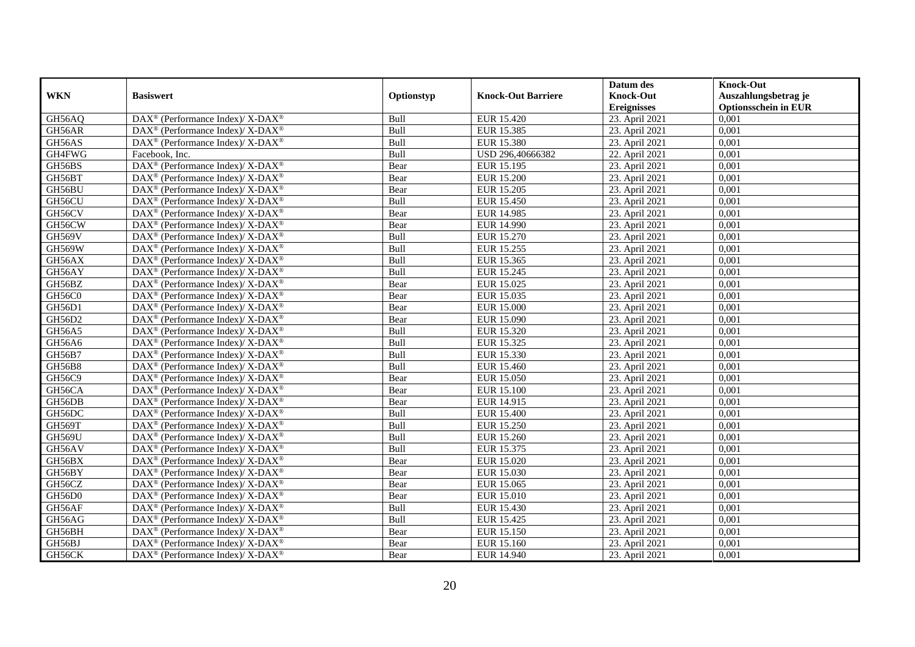|               |                                                                    |            |                           | Datum des          | <b>Knock-Out</b>            |
|---------------|--------------------------------------------------------------------|------------|---------------------------|--------------------|-----------------------------|
| <b>WKN</b>    | <b>Basiswert</b>                                                   | Optionstyp | <b>Knock-Out Barriere</b> | <b>Knock-Out</b>   | Auszahlungsbetrag je        |
|               |                                                                    |            |                           | <b>Ereignisses</b> | <b>Optionsschein in EUR</b> |
| GH56AQ        | $\text{DAX}^{\circledR}$ (Performance Index)/ X-DAX <sup>®</sup>   | Bull       | EUR 15.420                | 23. April 2021     | 0,001                       |
| GH56AR        | DAX <sup>®</sup> (Performance Index)/ X-DAX <sup>®</sup>           | Bull       | EUR 15.385                | 23. April 2021     | 0,001                       |
| GH56AS        | $DAX^{\circledast}$ (Performance Index)/ X-DAX <sup>®</sup>        | Bull       | EUR 15.380                | 23. April 2021     | 0,001                       |
| GH4FWG        | Facebook, Inc.                                                     | Bull       | USD 296,40666382          | 22. April 2021     | 0,001                       |
| GH56BS        | DAX <sup>®</sup> (Performance Index)/ X-DAX <sup>®</sup>           | Bear       | EUR 15.195                | 23. April 2021     | 0,001                       |
| GH56BT        | DAX <sup>®</sup> (Performance Index)/ X-DAX <sup>®</sup>           | Bear       | <b>EUR 15.200</b>         | 23. April 2021     | 0,001                       |
| GH56BU        | DAX <sup>®</sup> (Performance Index)/ X-DAX <sup>®</sup>           | Bear       | <b>EUR 15.205</b>         | 23. April 2021     | 0,001                       |
| GH56CU        | DAX <sup>®</sup> (Performance Index)/ X-DAX <sup>®</sup>           | Bull       | <b>EUR 15.450</b>         | 23. April 2021     | 0,001                       |
| GH56CV        | $DAX^{\circledast}$ (Performance Index)/ X-DAX <sup>®</sup>        | Bear       | <b>EUR 14.985</b>         | 23. April 2021     | 0,001                       |
| GH56CW        | DAX <sup>®</sup> (Performance Index)/ X-DAX <sup>®</sup>           | Bear       | EUR 14.990                | 23. April 2021     | 0,001                       |
| GH569V        | $DAX^{\circledast}$ (Performance Index)/ X-DAX <sup>®</sup>        | Bull       | EUR 15.270                | 23. April 2021     | 0,001                       |
| <b>GH569W</b> | $\text{DAX}^{\circledR}$ (Performance Index)/ X-DAX <sup>®</sup>   | Bull       | EUR 15.255                | 23. April 2021     | 0,001                       |
| GH56AX        | DAX <sup>®</sup> (Performance Index)/ X-DAX <sup>®</sup>           | Bull       | EUR 15.365                | 23. April 2021     | 0,001                       |
| GH56AY        | $DAX^{\circledast}$ (Performance Index)/ X-DAX <sup>®</sup>        | Bull       | EUR 15.245                | 23. April 2021     | 0,001                       |
| GH56BZ        | $DAX^{\circledast}$ (Performance Index)/ X-DAX <sup>®</sup>        | Bear       | EUR 15.025                | 23. April 2021     | 0,001                       |
| GH56C0        | $DAX^{\circledast}$ (Performance Index)/ X-DAX <sup>®</sup>        | Bear       | EUR 15.035                | 23. April 2021     | 0,001                       |
| GH56D1        | DAX <sup>®</sup> (Performance Index)/ X-DAX <sup>®</sup>           | Bear       | <b>EUR 15.000</b>         | 23. April 2021     | 0,001                       |
| GH56D2        | DAX <sup>®</sup> (Performance Index)/ X-DAX <sup>®</sup>           | Bear       | EUR 15.090                | 23. April 2021     | 0,001                       |
| <b>GH56A5</b> | $DAX^{\circledast}$ (Performance Index)/ X-DAX <sup>®</sup>        | Bull       | EUR 15.320                | 23. April 2021     | 0,001                       |
| GH56A6        | DAX <sup>®</sup> (Performance Index)/ X-DAX <sup>®</sup>           | Bull       | EUR 15.325                | 23. April 2021     | 0,001                       |
| GH56B7        | DAX <sup>®</sup> (Performance Index)/ X-DAX <sup>®</sup>           | Bull       | EUR 15.330                | 23. April 2021     | 0,001                       |
| <b>GH56B8</b> | DAX <sup>®</sup> (Performance Index)/X-DAX <sup>®</sup>            | Bull       | EUR 15.460                | 23. April 2021     | 0,001                       |
| GH56C9        | DAX <sup>®</sup> (Performance Index)/ X-DAX <sup>®</sup>           | Bear       | <b>EUR 15.050</b>         | 23. April 2021     | 0,001                       |
| GH56CA        | DAX <sup>®</sup> (Performance Index)/ X-DAX <sup>®</sup>           | Bear       | <b>EUR 15.100</b>         | 23. April 2021     | 0,001                       |
| GH56DB        | DAX <sup>®</sup> (Performance Index)/X-DAX <sup>®</sup>            | Bear       | EUR 14.915                | 23. April 2021     | 0,001                       |
| GH56DC        | DAX <sup>®</sup> (Performance Index)/ X-DAX <sup>®</sup>           | Bull       | <b>EUR 15.400</b>         | 23. April 2021     | 0,001                       |
| GH569T        | $\text{DAX}^{\circledast}$ (Performance Index)/ X-DAX <sup>®</sup> | Bull       | EUR 15.250                | 23. April 2021     | 0,001                       |
| <b>GH569U</b> | DAX <sup>®</sup> (Performance Index)/ X-DAX <sup>®</sup>           | Bull       | <b>EUR 15.260</b>         | 23. April 2021     | 0,001                       |
| GH56AV        | $DAX^{\circledast}$ (Performance Index)/ X-DAX <sup>®</sup>        | Bull       | EUR 15.375                | 23. April 2021     | 0,001                       |
| GH56BX        | $DAX^{\circledcirc}$ (Performance Index)/X-DAX <sup>®</sup>        | Bear       | EUR 15.020                | 23. April 2021     | 0.001                       |
| GH56BY        | DAX <sup>®</sup> (Performance Index)/ X-DAX <sup>®</sup>           | Bear       | EUR 15.030                | 23. April 2021     | 0,001                       |
| GH56CZ        | DAX <sup>®</sup> (Performance Index)/ X-DAX <sup>®</sup>           | Bear       | EUR 15.065                | 23. April 2021     | 0,001                       |
| GH56D0        | $DAX^{\circledast}$ (Performance Index)/ X-DAX <sup>®</sup>        | Bear       | <b>EUR 15.010</b>         | 23. April 2021     | 0,001                       |
| GH56AF        | DAX <sup>®</sup> (Performance Index)/ X-DAX <sup>®</sup>           | Bull       | EUR 15.430                | 23. April 2021     | 0,001                       |
| GH56AG        | DAX <sup>®</sup> (Performance Index)/ X-DAX <sup>®</sup>           | Bull       | EUR 15.425                | 23. April 2021     | 0,001                       |
| GH56BH        | $\text{DAX}^{\circledast}$ (Performance Index)/ X-DAX <sup>®</sup> | Bear       | EUR 15.150                | 23. April 2021     | 0,001                       |
| GH56BJ        | DAX <sup>®</sup> (Performance Index)/ X-DAX <sup>®</sup>           | Bear       | EUR 15.160                | 23. April 2021     | 0,001                       |
| GH56CK        | DAX <sup>®</sup> (Performance Index)/ X-DAX <sup>®</sup>           | Bear       | EUR 14.940                | 23. April 2021     | 0,001                       |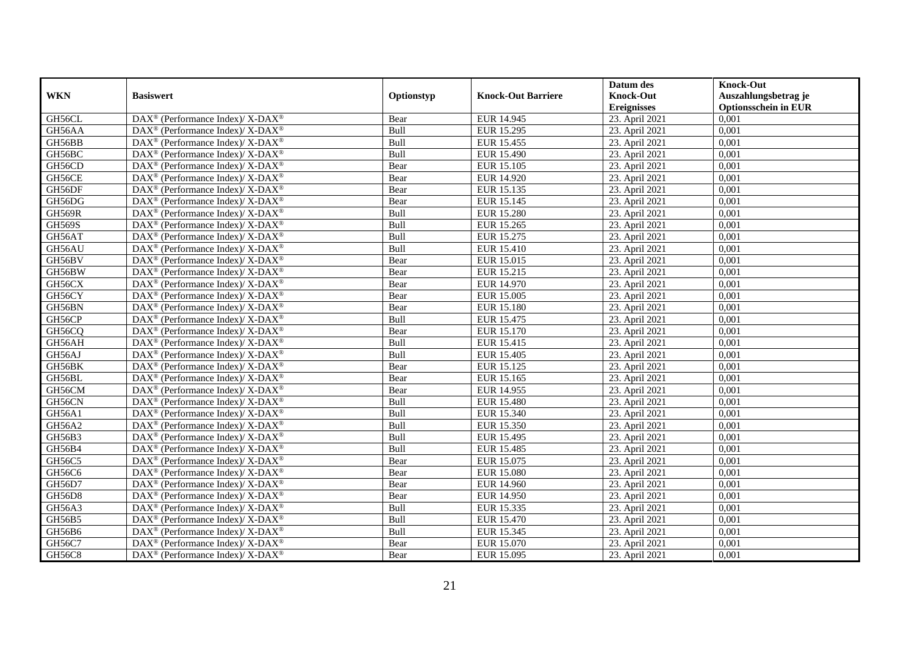|               |                                                                    |            |                           | Datum des          | <b>Knock-Out</b>            |
|---------------|--------------------------------------------------------------------|------------|---------------------------|--------------------|-----------------------------|
| <b>WKN</b>    | <b>Basiswert</b>                                                   | Optionstyp | <b>Knock-Out Barriere</b> | <b>Knock-Out</b>   | Auszahlungsbetrag je        |
|               |                                                                    |            |                           | <b>Ereignisses</b> | <b>Optionsschein in EUR</b> |
| GH56CL        | DAX <sup>®</sup> (Performance Index)/X-DAX <sup>®</sup>            | Bear       | <b>EUR 14.945</b>         | 23. April 2021     | 0,001                       |
| GH56AA        | $DAX^{\circledast}$ (Performance Index)/ X-DAX <sup>®</sup>        | Bull       | EUR 15.295                | 23. April 2021     | 0,001                       |
| GH56BB        | $DAX^{\circledast}$ (Performance Index)/ X-DAX <sup>®</sup>        | Bull       | EUR 15.455                | 23. April 2021     | 0,001                       |
| GH56BC        | $DAX^{\circledast}$ (Performance Index)/ X-DAX <sup>®</sup>        | Bull       | EUR 15.490                | 23. April 2021     | 0,001                       |
| GH56CD        | $\text{DAX}^{\circledast}$ (Performance Index)/ X-DAX <sup>®</sup> | Bear       | <b>EUR 15.105</b>         | 23. April 2021     | 0,001                       |
| GH56CE        | DAX <sup>®</sup> (Performance Index)/ X-DAX <sup>®</sup>           | Bear       | EUR 14.920                | 23. April 2021     | 0,001                       |
| GH56DF        | DAX <sup>®</sup> (Performance Index)/ X-DAX <sup>®</sup>           | Bear       | EUR 15.135                | 23. April 2021     | 0,001                       |
| GH56DG        | $DAX^{\circledast}$ (Performance Index)/ X-DAX <sup>®</sup>        | Bear       | EUR 15.145                | 23. April 2021     | 0,001                       |
| <b>GH569R</b> | DAX <sup>®</sup> (Performance Index)/ X-DAX <sup>®</sup>           | Bull       | <b>EUR 15.280</b>         | 23. April 2021     | 0,001                       |
| <b>GH569S</b> | DAX <sup>®</sup> (Performance Index)/ X-DAX <sup>®</sup>           | Bull       | EUR 15.265                | 23. April 2021     | 0,001                       |
| GH56AT        | DAX <sup>®</sup> (Performance Index)/X-DAX <sup>®</sup>            | Bull       | EUR 15.275                | 23. April 2021     | 0,001                       |
| GH56AU        | DAX <sup>®</sup> (Performance Index)/ X-DAX <sup>®</sup>           | Bull       | <b>EUR 15.410</b>         | 23. April 2021     | 0,001                       |
| GH56BV        | $DAX^{\circledast}$ (Performance Index)/ X-DAX <sup>®</sup>        | Bear       | EUR 15.015                | 23. April 2021     | 0,001                       |
| GH56BW        | DAX <sup>®</sup> (Performance Index)/ X-DAX <sup>®</sup>           | Bear       | EUR 15.215                | 23. April 2021     | 0,001                       |
| GH56CX        | DAX <sup>®</sup> (Performance Index)/ X-DAX <sup>®</sup>           | Bear       | EUR 14.970                | 23. April 2021     | 0,001                       |
| GH56CY        | DAX <sup>®</sup> (Performance Index)/ X-DAX <sup>®</sup>           | Bear       | EUR 15.005                | 23. April 2021     | 0,001                       |
| GH56BN        | DAX <sup>®</sup> (Performance Index)/ X-DAX <sup>®</sup>           | Bear       | EUR 15.180                | 23. April 2021     | 0,001                       |
| GH56CP        | DAX <sup>®</sup> (Performance Index)/X-DAX <sup>®</sup>            | Bull       | EUR 15.475                | 23. April 2021     | 0,001                       |
| GH56CQ        | DAX <sup>®</sup> (Performance Index)/X-DAX <sup>®</sup>            | Bear       | EUR 15.170                | 23. April 2021     | 0,001                       |
| GH56AH        | DAX <sup>®</sup> (Performance Index)/ X-DAX <sup>®</sup>           | Bull       | EUR 15.415                | 23. April 2021     | 0,001                       |
| GH56AJ        | DAX <sup>®</sup> (Performance Index)/X-DAX <sup>®</sup>            | Bull       | <b>EUR 15.405</b>         | 23. April 2021     | 0,001                       |
| GH56BK        | $\text{DAX}^{\circledast}$ (Performance Index)/ X-DAX <sup>®</sup> | Bear       | EUR 15.125                | 23. April 2021     | 0,001                       |
| GH56BL        | DAX <sup>®</sup> (Performance Index)/ X-DAX <sup>®</sup>           | Bear       | EUR 15.165                | 23. April 2021     | 0,001                       |
| GH56CM        | DAX <sup>®</sup> (Performance Index)/X-DAX <sup>®</sup>            | Bear       | EUR 14.955                | 23. April 2021     | 0,001                       |
| GH56CN        | DAX <sup>®</sup> (Performance Index)/X-DAX <sup>®</sup>            | Bull       | EUR 15.480                | 23. April 2021     | 0.001                       |
| GH56A1        | DAX <sup>®</sup> (Performance Index)/X-DAX <sup>®</sup>            | Bull       | EUR 15.340                | 23. April 2021     | 0,001                       |
| GH56A2        | DAX <sup>®</sup> (Performance Index)/ X-DAX <sup>®</sup>           | Bull       | EUR 15.350                | 23. April 2021     | 0,001                       |
| GH56B3        | DAX <sup>®</sup> (Performance Index)/ X-DAX <sup>®</sup>           | Bull       | EUR 15.495                | 23. April 2021     | 0,001                       |
| GH56B4        | DAX <sup>®</sup> (Performance Index)/ X-DAX <sup>®</sup>           | Bull       | <b>EUR 15.485</b>         | 23. April 2021     | 0,001                       |
| GH56C5        | $\text{DAX}^{\circledast}$ (Performance Index)/ X-DAX <sup>®</sup> | Bear       | EUR 15.075                | 23. April 2021     | 0,001                       |
| GH56C6        | DAX <sup>®</sup> (Performance Index)/X-DAX <sup>®</sup>            | Bear       | EUR 15.080                | 23. April 2021     | 0,001                       |
| GH56D7        | DAX <sup>®</sup> (Performance Index)/ X-DAX <sup>®</sup>           | Bear       | EUR 14.960                | 23. April 2021     | 0.001                       |
| GH56D8        | DAX <sup>®</sup> (Performance Index)/X-DAX <sup>®</sup>            | Bear       | EUR 14.950                | 23. April 2021     | 0,001                       |
| GH56A3        | DAX <sup>®</sup> (Performance Index)/ X-DAX <sup>®</sup>           | Bull       | EUR 15.335                | 23. April 2021     | 0,001                       |
| GH56B5        | DAX <sup>®</sup> (Performance Index)/ X-DAX <sup>®</sup>           | Bull       | EUR 15.470                | 23. April 2021     | 0,001                       |
| GH56B6        | $\text{DAX}^{\circledast}$ (Performance Index)/ X-DAX <sup>®</sup> | Bull       | EUR 15.345                | 23. April 2021     | 0,001                       |
| GH56C7        | DAX <sup>®</sup> (Performance Index)/ X-DAX <sup>®</sup>           | Bear       | EUR 15.070                | 23. April 2021     | 0,001                       |
| <b>GH56C8</b> | DAX <sup>®</sup> (Performance Index)/ X-DAX <sup>®</sup>           | Bear       | EUR 15.095                | 23. April 2021     | 0,001                       |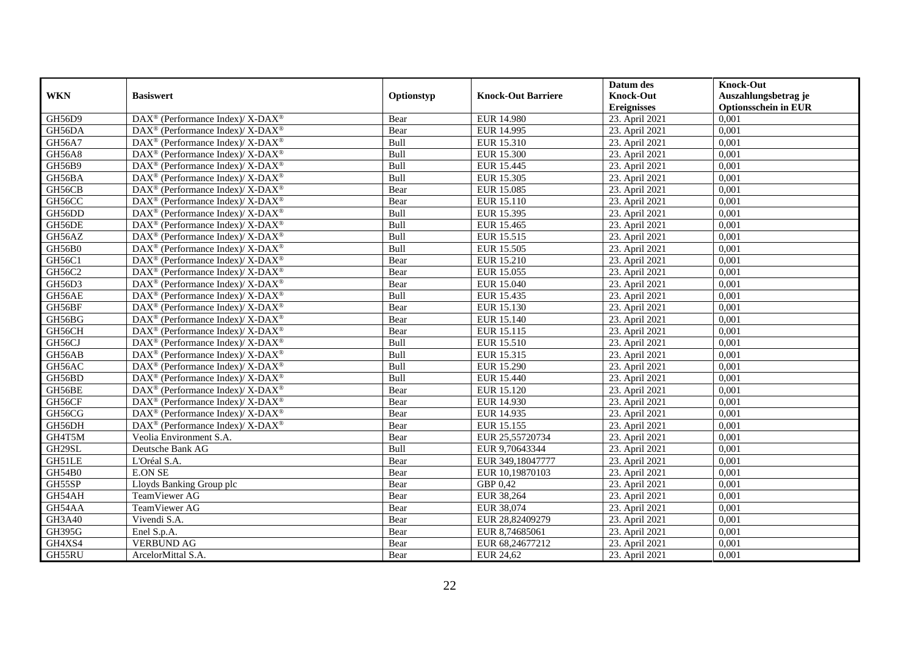|               |                                                                          |            |                           | Datum des          | <b>Knock-Out</b>            |
|---------------|--------------------------------------------------------------------------|------------|---------------------------|--------------------|-----------------------------|
| <b>WKN</b>    | <b>Basiswert</b>                                                         | Optionstyp | <b>Knock-Out Barriere</b> | <b>Knock-Out</b>   | Auszahlungsbetrag je        |
|               |                                                                          |            |                           | <b>Ereignisses</b> | <b>Optionsschein in EUR</b> |
| GH56D9        | DAX <sup>®</sup> (Performance Index)/ X-DAX <sup>®</sup>                 | Bear       | EUR 14.980                | 23. April 2021     | 0,001                       |
| GH56DA        | $\text{DAX}^{\circledR}$ (Performance Index)/ X-DAX <sup>®</sup>         | Bear       | <b>EUR 14.995</b>         | 23. April 2021     | 0,001                       |
| GH56A7        | $\text{DAX}^{\circledast}$ (Performance Index)/ X-DAX <sup>®</sup>       | Bull       | EUR 15.310                | 23. April 2021     | 0,001                       |
| <b>GH56A8</b> | DAX <sup>®</sup> (Performance Index)/ X-DAX <sup>®</sup>                 | Bull       | <b>EUR 15.300</b>         | 23. April 2021     | 0,001                       |
| GH56B9        | DAX <sup>®</sup> (Performance Index)/ X-DAX <sup>®</sup>                 | Bull       | EUR 15.445                | 23. April 2021     | 0,001                       |
| GH56BA        | $DAX^{\circledcirc}$ (Performance Index)/ X-DAX <sup>®</sup>             | Bull       | EUR 15.305                | 23. April 2021     | 0,001                       |
| GH56CB        | $DAX^{\circledcirc}$ (Performance Index)/ X-DAX <sup>®</sup>             | Bear       | <b>EUR 15.085</b>         | 23. April 2021     | 0,001                       |
| GH56CC        | $\text{DAX}^{\circledR}$ (Performance Index)/ X-DAX <sup>®</sup>         | Bear       | EUR 15.110                | 23. April 2021     | 0,001                       |
| GH56DD        | $\text{DAX}^{\circledast}$ (Performance Index)/ X-DAX <sup>®</sup>       | Bull       | EUR 15.395                | 23. April 2021     | 0,001                       |
| GH56DE        | $DAX^{\circledast}$ (Performance Index)/X-DAX <sup>®</sup>               | Bull       | EUR 15.465                | 23. April 2021     | 0.001                       |
| GH56AZ        | $\text{DAX}^{\circledast}$ (Performance Index)/ X-DAX <sup>®</sup>       | Bull       | EUR 15.515                | 23. April 2021     | 0,001                       |
| GH56B0        | DAX <sup>®</sup> (Performance Index)/ X-DAX <sup>®</sup>                 | Bull       | EUR 15.505                | 23. April 2021     | 0,001                       |
| GH56C1        | $\text{DAX}^{\circledast}$ (Performance Index)/ X-DAX <sup>®</sup>       | Bear       | EUR 15.210                | 23. April 2021     | 0,001                       |
| GH56C2        | $DAX^{\circledcirc}$ (Performance Index)/X-DAX <sup>®</sup>              | Bear       | EUR 15.055                | 23. April 2021     | 0.001                       |
| GH56D3        | DAX <sup>®</sup> (Performance Index)/ X-DAX <sup>®</sup>                 | Bear       | <b>EUR 15.040</b>         | 23. April 2021     | 0,001                       |
| GH56AE        | $\text{DAX}^{\circledR}$ (Performance Index)/ X-DAX <sup>®</sup>         | Bull       | EUR 15.435                | 23. April 2021     | 0,001                       |
| GH56BF        | $DAX^{\circledcirc}$ (Performance Index)/ X-DAX <sup>®</sup>             | Bear       | EUR 15.130                | 23. April 2021     | 0,001                       |
| GH56BG        | $\text{DAX}^{\circledast}$ (Performance Index)/ X-DAX <sup>®</sup>       | Bear       | EUR 15.140                | 23. April 2021     | 0,001                       |
| GH56CH        | $\text{DAX}^{\circledast}$ (Performance Index)/ X-DAX <sup>®</sup>       | Bear       | EUR 15.115                | 23. April 2021     | 0,001                       |
| GH56CJ        | DAX <sup>®</sup> (Performance Index)/X-DAX <sup>®</sup>                  | Bull       | EUR 15.510                | 23. April 2021     | 0,001                       |
| GH56AB        | $\text{DAX}^{\circledast}$ (Performance Index)/ X-DAX <sup>®</sup>       | Bull       | EUR 15.315                | 23. April 2021     | 0,001                       |
| GH56AC        | $\text{DAX}^{\circledast}$ (Performance Index)/ X-DAX <sup>®</sup>       | Bull       | EUR 15.290                | 23. April 2021     | 0,001                       |
| GH56BD        | $\text{DAX}^{\circledR}$ (Performance Index)/ X-DAX <sup>®</sup>         | Bull       | EUR 15.440                | 23. April 2021     | 0,001                       |
| GH56BE        | $\overline{\text{DAX}^{\otimes}}$ (Performance Index)/X-DAX <sup>®</sup> | Bear       | EUR 15.120                | 23. April 2021     | 0,001                       |
| GH56CF        | $\text{DAX}^{\circledast}$ (Performance Index)/ X-DAX <sup>®</sup>       | Bear       | EUR 14.930                | 23. April 2021     | 0,001                       |
| GH56CG        | $DAX^{\circledast}$ (Performance Index)/X-DAX <sup>®</sup>               | Bear       | EUR 14.935                | 23. April 2021     | 0,001                       |
| GH56DH        | DAX <sup>®</sup> (Performance Index)/X-DAX <sup>®</sup>                  | Bear       | EUR 15.155                | 23. April 2021     | 0,001                       |
| GH4T5M        | Veolia Environment S.A.                                                  | Bear       | EUR 25,55720734           | 23. April 2021     | 0,001                       |
| GH29SL        | Deutsche Bank AG                                                         | Bull       | EUR 9,70643344            | 23. April 2021     | 0,001                       |
| GH51LE        | L'Oréal S.A.                                                             | Bear       | EUR 349,18047777          | 23. April 2021     | 0,001                       |
| GH54B0        | <b>E.ON SE</b>                                                           | Bear       | EUR 10,19870103           | 23. April 2021     | 0,001                       |
| GH55SP        | Lloyds Banking Group plc                                                 | Bear       | GBP 0,42                  | 23. April 2021     | 0,001                       |
| GH54AH        | TeamViewer AG                                                            | Bear       | EUR 38,264                | 23. April 2021     | 0,001                       |
| GH54AA        | TeamViewer AG                                                            | Bear       | EUR 38,074                | 23. April 2021     | 0,001                       |
| GH3A40        | Vivendi S.A.                                                             | Bear       | EUR 28,82409279           | 23. April 2021     | 0,001                       |
| <b>GH395G</b> | Enel S.p.A.                                                              | Bear       | EUR 8,74685061            | 23. April 2021     | 0,001                       |
| GH4XS4        | <b>VERBUND AG</b>                                                        | Bear       | EUR 68,24677212           | 23. April 2021     | 0,001                       |
| GH55RU        | ArcelorMittal S.A.                                                       | Bear       | EUR 24,62                 | 23. April 2021     | 0,001                       |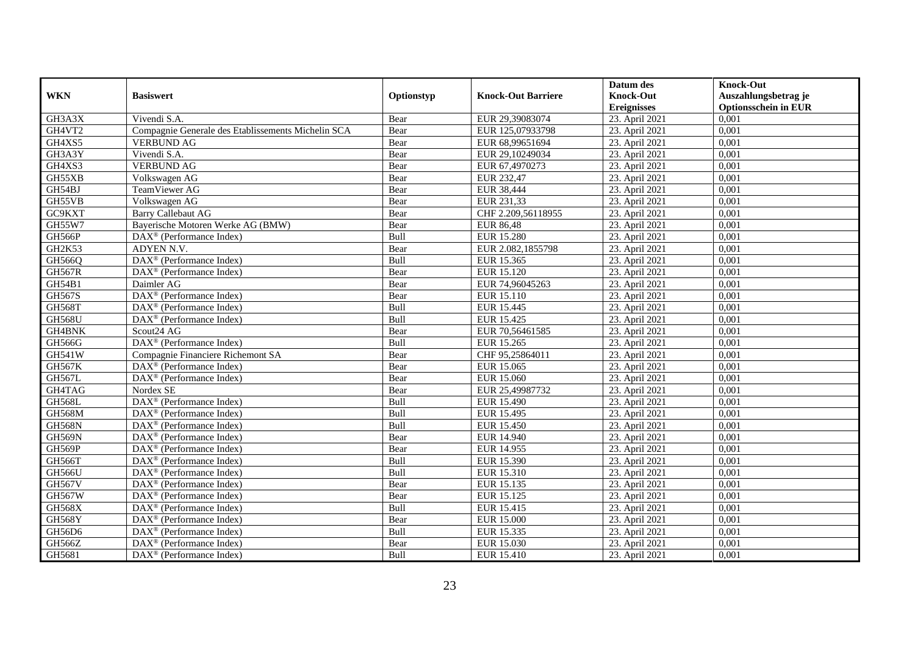|                     |                                                              |            |                           | Datum des          | <b>Knock-Out</b>            |
|---------------------|--------------------------------------------------------------|------------|---------------------------|--------------------|-----------------------------|
| <b>WKN</b>          | <b>Basiswert</b>                                             | Optionstyp | <b>Knock-Out Barriere</b> | <b>Knock-Out</b>   | Auszahlungsbetrag je        |
|                     |                                                              |            |                           | <b>Ereignisses</b> | <b>Optionsschein in EUR</b> |
| GH3A3X              | Vivendi S.A.                                                 | Bear       | EUR 29,39083074           | 23. April 2021     | 0,001                       |
| GH4VT2              | Compagnie Generale des Etablissements Michelin SCA           | Bear       | EUR 125,07933798          | 23. April 2021     | 0,001                       |
| GH4XS5              | <b>VERBUND AG</b>                                            | Bear       | EUR 68,99651694           | 23. April 2021     | 0,001                       |
| GH3A3Y              | Vivendi S.A.                                                 | Bear       | EUR 29,10249034           | 23. April 2021     | 0,001                       |
| GH4XS3              | <b>VERBUND AG</b>                                            | Bear       | EUR 67,4970273            | 23. April 2021     | 0,001                       |
| GH55XB              | Volkswagen AG                                                | Bear       | EUR 232,47                | 23. April 2021     | 0,001                       |
| GH54BJ              | TeamViewer AG                                                | Bear       | EUR 38,444                | 23. April 2021     | 0,001                       |
| GH55VB              | Volkswagen AG                                                | Bear       | EUR 231,33                | 23. April 2021     | 0,001                       |
| GC9KXT              | <b>Barry Callebaut AG</b>                                    | Bear       | CHF 2.209,56118955        | 23. April 2021     | 0,001                       |
| <b>GH55W7</b>       | Bayerische Motoren Werke AG (BMW)                            | Bear       | <b>EUR 86,48</b>          | 23. April 2021     | 0,001                       |
| GH566P              | $\overline{\text{DA}}X^{\circledast}$ (Performance Index)    | Bull       | <b>EUR 15.280</b>         | 23. April 2021     | 0,001                       |
| GH <sub>2</sub> K53 | ADYEN N.V.                                                   | Bear       | EUR 2.082,1855798         | 23. April 2021     | 0,001                       |
| GH566Q              | DAX <sup>®</sup> (Performance Index)                         | Bull       | EUR 15.365                | 23. April 2021     | 0,001                       |
| <b>GH567R</b>       | $\text{DAX}^{\circledast}$ (Performance Index)               | Bear       | EUR 15.120                | 23. April 2021     | 0,001                       |
| GH54B1              | Daimler AG                                                   | Bear       | EUR 74,96045263           | 23. April 2021     | 0,001                       |
| GH567S              | DAX <sup>®</sup> (Performance Index)                         | Bear       | EUR 15.110                | 23. April 2021     | 0,001                       |
| <b>GH568T</b>       | DAX <sup>®</sup> (Performance Index)                         | Bull       | EUR 15.445                | 23. April 2021     | 0,001                       |
| <b>GH568U</b>       | $\overline{\text{DAX}}^{\textcircled{}}$ (Performance Index) | Bull       | EUR 15.425                | 23. April 2021     | 0,001                       |
| GH4BNK              | Scout24 AG                                                   | Bear       | EUR 70,56461585           | 23. April 2021     | 0,001                       |
| GH566G              | DAX <sup>®</sup> (Performance Index)                         | Bull       | EUR 15.265                | 23. April 2021     | 0,001                       |
| <b>GH541W</b>       | Compagnie Financiere Richemont SA                            | Bear       | CHF 95,25864011           | 23. April 2021     | 0,001                       |
| <b>GH567K</b>       | $\overline{\text{DAX}^{\otimes}}$ (Performance Index)        | Bear       | EUR 15.065                | 23. April 2021     | 0,001                       |
| GH567L              | $\text{DAX}^{\circledast}$ (Performance Index)               | Bear       | EUR 15.060                | 23. April 2021     | 0,001                       |
| GH4TAG              | Nordex SE                                                    | Bear       | EUR 25,49987732           | 23. April 2021     | 0,001                       |
| <b>GH568L</b>       | DAX <sup>®</sup> (Performance Index)                         | Bull       | EUR 15.490                | 23. April 2021     | 0,001                       |
| <b>GH568M</b>       | $\text{DAX}^{\otimes}$ (Performance Index)                   | Bull       | EUR 15.495                | 23. April 2021     | 0,001                       |
| <b>GH568N</b>       | DAX <sup>®</sup> (Performance Index)                         | Bull       | <b>EUR 15.450</b>         | 23. April 2021     | 0,001                       |
| <b>GH569N</b>       | $\text{DAX}^{\textcircled{D}}$ (Performance Index)           | Bear       | <b>EUR 14.940</b>         | 23. April 2021     | 0.001                       |
| GH569P              | $\text{DAX}^{\textcircled{D}}$ (Performance Index)           | Bear       | EUR 14.955                | 23. April 2021     | 0,001                       |
| GH566T              | $\text{DAX}^{\textcircled{D}}$ (Performance Index)           | Bull       | EUR 15.390                | 23. April 2021     | 0,001                       |
| <b>GH566U</b>       | DAX <sup>®</sup> (Performance Index)                         | Bull       | EUR 15.310                | 23. April 2021     | 0,001                       |
| <b>GH567V</b>       | DAX <sup>®</sup> (Performance Index)                         | Bear       | EUR 15.135                | 23. April 2021     | 0.001                       |
| <b>GH567W</b>       | $\overline{\text{DAX}^{\otimes}}$ (Performance Index)        | Bear       | EUR 15.125                | 23. April 2021     | 0,001                       |
| <b>GH568X</b>       | DAX <sup>®</sup> (Performance Index)                         | Bull       | EUR 15.415                | 23. April 2021     | 0,001                       |
| <b>GH568Y</b>       | $\text{DAX}^{\textcircled{n}}$ (Performance Index)           | Bear       | <b>EUR 15.000</b>         | 23. April 2021     | 0,001                       |
| GH56D6              | DAX <sup>®</sup> (Performance Index)                         | Bull       | EUR 15.335                | 23. April 2021     | 0,001                       |
| GH566Z              | $\text{DAX}^{\otimes}$ (Performance Index)                   | Bear       | EUR 15.030                | 23. April 2021     | 0,001                       |
| GH5681              | DAX <sup>®</sup> (Performance Index)                         | Bull       | EUR 15.410                | 23. April 2021     | 0,001                       |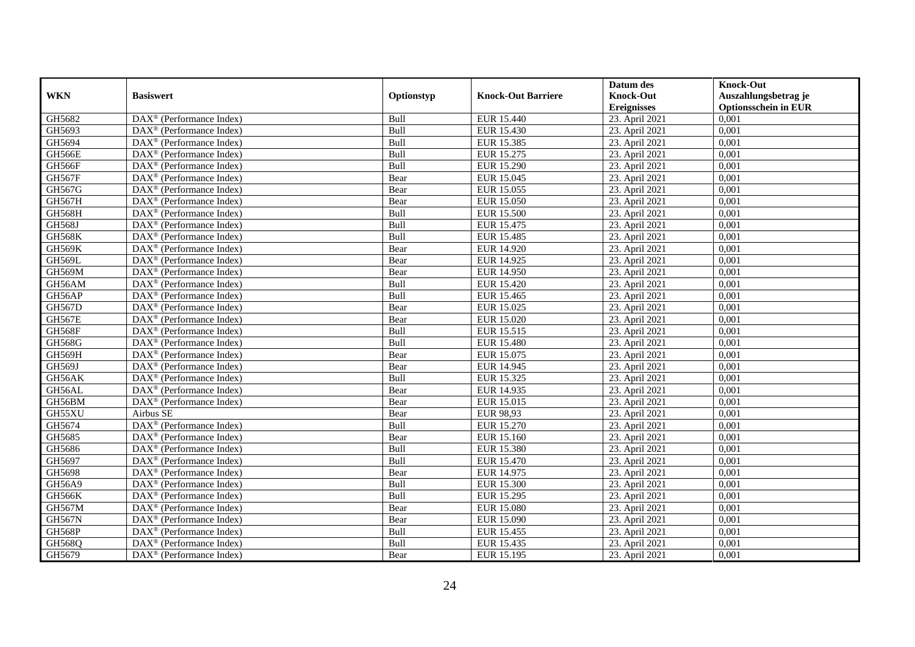|               |                                                         |            |                           | Datum des          | <b>Knock-Out</b>            |
|---------------|---------------------------------------------------------|------------|---------------------------|--------------------|-----------------------------|
| <b>WKN</b>    | <b>Basiswert</b>                                        | Optionstyp | <b>Knock-Out Barriere</b> | <b>Knock-Out</b>   | Auszahlungsbetrag je        |
|               |                                                         |            |                           | <b>Ereignisses</b> | <b>Optionsschein in EUR</b> |
| GH5682        | DAX <sup>®</sup> (Performance Index)                    | Bull       | <b>EUR 15.440</b>         | 23. April 2021     | 0,001                       |
| GH5693        | $DAX^{\circledR}$ (Performance Index)                   | Bull       | EUR 15.430                | 23. April 2021     | 0,001                       |
| GH5694        | DAX <sup>®</sup> (Performance Index)                    | Bull       | EUR 15.385                | 23. April 2021     | 0,001                       |
| <b>GH566E</b> | $DAX^{\circledast}$ (Performance Index)                 | Bull       | EUR 15.275                | 23. April 2021     | 0,001                       |
| GH566F        | DAX <sup>®</sup> (Performance Index)                    | Bull       | <b>EUR 15.290</b>         | 23. April 2021     | 0,001                       |
| <b>GH567F</b> | $\text{DAX}^{\circledast}$ (Performance Index)          | Bear       | EUR 15.045                | 23. April 2021     | 0,001                       |
| GH567G        | $DAX^{\circledast}$ (Performance Index)                 | Bear       | EUR 15.055                | 23. April 2021     | 0,001                       |
| GH567H        | $DAX^{\circledast}$ (Performance Index)                 | Bear       | EUR 15.050                | 23. April 2021     | 0,001                       |
| <b>GH568H</b> | $\text{DAX}^{\textcircled{}}$ (Performance Index)       | Bull       | <b>EUR 15.500</b>         | 23. April 2021     | 0,001                       |
| <b>GH568J</b> | DAX <sup>®</sup> (Performance Index)                    | Bull       | EUR 15.475                | 23. April 2021     | 0,001                       |
| <b>GH568K</b> | DAX <sup>®</sup> (Performance Index)                    | Bull       | <b>EUR 15.485</b>         | 23. April 2021     | 0,001                       |
| <b>GH569K</b> | $\overline{\text{DAX}^{\otimes}}$ (Performance Index)   | Bear       | <b>EUR 14.920</b>         | 23. April 2021     | 0,001                       |
| GH569L        | $DAX^{\circledast}$ (Performance Index)                 | Bear       | EUR 14.925                | 23. April 2021     | 0,001                       |
| GH569M        | DAX <sup>®</sup> (Performance Index)                    | Bear       | EUR 14.950                | 23. April 2021     | 0,001                       |
| GH56AM        | DAX <sup>®</sup> (Performance Index)                    | Bull       | EUR 15.420                | 23. April 2021     | 0,001                       |
| GH56AP        | DAX <sup>®</sup> (Performance Index)                    | Bull       | EUR 15.465                | 23. April 2021     | 0,001                       |
| <b>GH567D</b> | $\text{DAX}^{\textcircled{}}$ (Performance Index)       | Bear       | EUR 15.025                | 23. April 2021     | 0,001                       |
| <b>GH567E</b> | $\overline{\text{DAX}}^{\textcirc}$ (Performance Index) | Bear       | EUR 15.020                | 23. April 2021     | 0,001                       |
| <b>GH568F</b> | DAX <sup>®</sup> (Performance Index)                    | Bull       | EUR 15.515                | 23. April 2021     | 0,001                       |
| GH568G        | DAX <sup>®</sup> (Performance Index)                    | Bull       | <b>EUR 15.480</b>         | 23. April 2021     | 0,001                       |
| GH569H        | DAX <sup>®</sup> (Performance Index)                    | Bear       | EUR 15.075                | 23. April 2021     | 0,001                       |
| GH569J        | $\overline{\text{DAX}^{\otimes}}$ (Performance Index)   | Bear       | EUR 14.945                | 23. April 2021     | 0,001                       |
| GH56AK        | $\text{DAX}^{\textcircled{}}$ (Performance Index)       | Bull       | EUR 15.325                | 23. April 2021     | 0,001                       |
| GH56AL        | DAX <sup>®</sup> (Performance Index)                    | Bear       | EUR 14.935                | 23. April 2021     | 0,001                       |
| GH56BM        | $\text{DAX}^{\textcircled{}}$ (Performance Index)       | Bear       | EUR 15.015                | 23. April 2021     | 0,001                       |
| GH55XU        | Airbus SE                                               | Bear       | EUR 98,93                 | 23. April 2021     | 0,001                       |
| GH5674        | DAX <sup>®</sup> (Performance Index)                    | Bull       | <b>EUR 15.270</b>         | 23. April 2021     | 0,001                       |
| GH5685        | $\text{DAX}^{\textcircled{}}$ (Performance Index)       | Bear       | EUR 15.160                | 23. April 2021     | 0.001                       |
| GH5686        | $DAX^{\circledR}$ (Performance Index)                   | Bull       | <b>EUR 15.380</b>         | 23. April 2021     | 0,001                       |
| GH5697        | $\text{DAX}^{\textcircled{}}$ (Performance Index)       | Bull       | EUR 15.470                | 23. April 2021     | 0,001                       |
| GH5698        | DAX <sup>®</sup> (Performance Index)                    | Bear       | EUR 14.975                | 23. April 2021     | 0,001                       |
| GH56A9        | $\text{DAX}^{\otimes}$ (Performance Index)              | Bull       | <b>EUR 15.300</b>         | 23. April 2021     | 0.001                       |
| <b>GH566K</b> | DAX <sup>®</sup> (Performance Index)                    | Bull       | EUR 15.295                | 23. April 2021     | 0,001                       |
| <b>GH567M</b> | $\overline{\text{DAX}^{\otimes}}$ (Performance Index)   | Bear       | <b>EUR 15.080</b>         | 23. April 2021     | 0,001                       |
| <b>GH567N</b> | $\text{DAX}^{\circledast}$ (Performance Index)          | Bear       | EUR 15.090                | 23. April 2021     | 0,001                       |
| <b>GH568P</b> | $\text{DAX}^{\textcircled{}}$ (Performance Index)       | Bull       | EUR 15.455                | 23. April 2021     | 0,001                       |
| GH568Q        | DAX <sup>®</sup> (Performance Index)                    | Bull       | EUR 15.435                | 23. April 2021     | 0,001                       |
| GH5679        | $\text{DAX}^{\circledast}$ (Performance Index)          | Bear       | EUR 15.195                | 23. April 2021     | 0,001                       |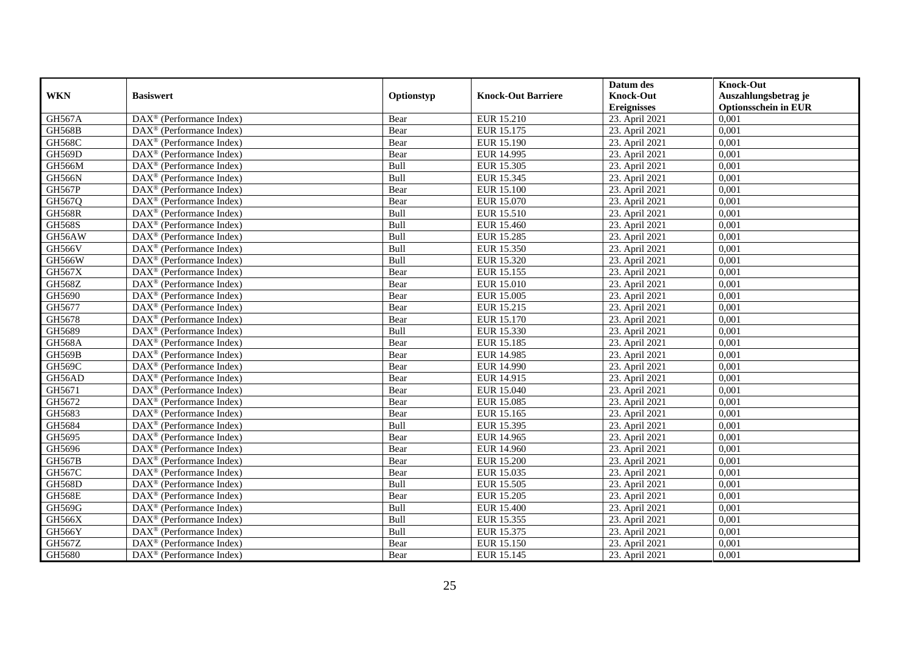|               |                                                         |            |                           | Datum des          | <b>Knock-Out</b>            |
|---------------|---------------------------------------------------------|------------|---------------------------|--------------------|-----------------------------|
| <b>WKN</b>    | <b>Basiswert</b>                                        | Optionstyp | <b>Knock-Out Barriere</b> | <b>Knock-Out</b>   | Auszahlungsbetrag je        |
|               |                                                         |            |                           | <b>Ereignisses</b> | <b>Optionsschein in EUR</b> |
| <b>GH567A</b> | DAX <sup>®</sup> (Performance Index)                    | Bear       | EUR 15.210                | 23. April 2021     | 0,001                       |
| <b>GH568B</b> | $DAX^{\circledR}$ (Performance Index)                   | Bear       | EUR 15.175                | 23. April 2021     | 0,001                       |
| <b>GH568C</b> | DAX <sup>®</sup> (Performance Index)                    | Bear       | EUR 15.190                | 23. April 2021     | 0,001                       |
| GH569D        | $DAX^{\circledast}$ (Performance Index)                 | Bear       | EUR 14.995                | 23. April 2021     | 0,001                       |
| GH566M        | DAX <sup>®</sup> (Performance Index)                    | Bull       | <b>EUR 15.305</b>         | 23. April 2021     | 0,001                       |
| <b>GH566N</b> | $\text{DAX}^{\circledast}$ (Performance Index)          | Bull       | EUR 15.345                | 23. April 2021     | 0,001                       |
| <b>GH567P</b> | $\text{DAX}^{\textcircled{}}$ (Performance Index)       | Bear       | <b>EUR 15.100</b>         | 23. April 2021     | 0,001                       |
| GH567Q        | $DAX^{\circledR}$ (Performance Index)                   | Bear       | EUR 15.070                | 23. April 2021     | 0,001                       |
| <b>GH568R</b> | $\text{DAX}^{\textcircled{}}$ (Performance Index)       | Bull       | EUR 15.510                | 23. April 2021     | 0,001                       |
| <b>GH568S</b> | DAX <sup>®</sup> (Performance Index)                    | Bull       | <b>EUR 15.460</b>         | 23. April 2021     | 0,001                       |
| GH56AW        | DAX <sup>®</sup> (Performance Index)                    | Bull       | <b>EUR 15.285</b>         | 23. April 2021     | 0,001                       |
| <b>GH566V</b> | $\overline{\text{DAX}^{\otimes}}$ (Performance Index)   | Bull       | <b>EUR 15.350</b>         | 23. April 2021     | 0,001                       |
| <b>GH566W</b> | $DAX^{\circledast}$ (Performance Index)                 | Bull       | EUR 15.320                | 23. April 2021     | 0,001                       |
| GH567X        | DAX <sup>®</sup> (Performance Index)                    | Bear       | EUR 15.155                | 23. April 2021     | 0,001                       |
| GH568Z        | DAX <sup>®</sup> (Performance Index)                    | Bear       | EUR 15.010                | 23. April 2021     | 0,001                       |
| GH5690        | DAX <sup>®</sup> (Performance Index)                    | Bear       | <b>EUR 15.005</b>         | 23. April 2021     | 0,001                       |
| GH5677        | $\text{DAX}^{\textcircled{}}$ (Performance Index)       | Bear       | EUR 15.215                | 23. April 2021     | 0,001                       |
| GH5678        | $\overline{\text{DAX}}^{\textcirc}$ (Performance Index) | Bear       | EUR 15.170                | 23. April 2021     | 0,001                       |
| GH5689        | DAX <sup>®</sup> (Performance Index)                    | Bull       | EUR 15.330                | 23. April 2021     | 0,001                       |
| <b>GH568A</b> | DAX <sup>®</sup> (Performance Index)                    | Bear       | EUR 15.185                | 23. April 2021     | 0,001                       |
| <b>GH569B</b> | DAX <sup>®</sup> (Performance Index)                    | Bear       | <b>EUR 14.985</b>         | 23. April 2021     | 0,001                       |
| <b>GH569C</b> | $\overline{\text{DAX}^{\otimes}}$ (Performance Index)   | Bear       | EUR 14.990                | 23. April 2021     | 0,001                       |
| GH56AD        | $\text{DAX}^{\textcircled{}}$ (Performance Index)       | Bear       | EUR 14.915                | 23. April 2021     | 0,001                       |
| GH5671        | DAX <sup>®</sup> (Performance Index)                    | Bear       | <b>EUR 15.040</b>         | 23. April 2021     | 0,001                       |
| GH5672        | $\text{DAX}^{\circledast}$ (Performance Index)          | Bear       | EUR 15.085                | 23. April 2021     | 0,001                       |
| GH5683        | DAX <sup>®</sup> (Performance Index)                    | Bear       | EUR 15.165                | 23. April 2021     | 0,001                       |
| GH5684        | $DAX^{\circledast}$ (Performance Index)                 | Bull       | EUR 15.395                | 23. April 2021     | 0,001                       |
| GH5695        | $DAX^{\circledR}$ (Performance Index)                   | Bear       | EUR 14.965                | 23. April 2021     | 0.001                       |
| GH5696        | $\overline{\text{DAX}}^{\textcirc}$ (Performance Index) | Bear       | <b>EUR 14.960</b>         | 23. April 2021     | 0,001                       |
| <b>GH567B</b> | $\text{DAX}^{\textcircled{}}$ (Performance Index)       | Bear       | <b>EUR 15.200</b>         | 23. April 2021     | 0,001                       |
| GH567C        | DAX <sup>®</sup> (Performance Index)                    | Bear       | EUR 15.035                | 23. April 2021     | 0,001                       |
| <b>GH568D</b> | $DAX^{\circledast}$ (Performance Index)                 | Bull       | <b>EUR 15.505</b>         | 23. April 2021     | 0,001                       |
| <b>GH568E</b> | DAX <sup>®</sup> (Performance Index)                    | Bear       | <b>EUR 15.205</b>         | 23. April 2021     | 0,001                       |
| GH569G        | $\overline{\text{DAX}^{\otimes}}$ (Performance Index)   | Bull       | EUR 15.400                | 23. April 2021     | 0,001                       |
| GH566X        | $\text{DAX}^{\circledast}$ (Performance Index)          | Bull       | EUR 15.355                | 23. April 2021     | 0,001                       |
| GH566Y        | $\text{DAX}^{\textcircled{}}$ (Performance Index)       | Bull       | EUR 15.375                | 23. April 2021     | 0,001                       |
| GH567Z        | DAX <sup>®</sup> (Performance Index)                    | Bear       | EUR 15.150                | 23. April 2021     | 0,001                       |
| GH5680        | $\text{DAX}^{\circledast}$ (Performance Index)          | Bear       | EUR 15.145                | 23. April 2021     | 0,001                       |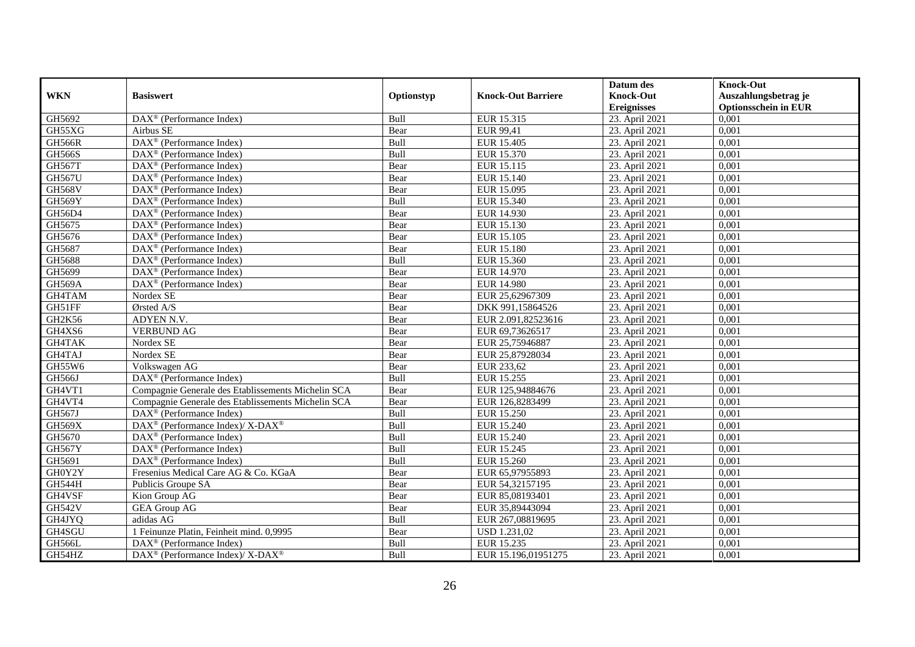|               |                                                                                        |            |                           | Datum des          | <b>Knock-Out</b>            |
|---------------|----------------------------------------------------------------------------------------|------------|---------------------------|--------------------|-----------------------------|
| <b>WKN</b>    | <b>Basiswert</b>                                                                       | Optionstyp | <b>Knock-Out Barriere</b> | <b>Knock-Out</b>   | Auszahlungsbetrag je        |
|               |                                                                                        |            |                           | <b>Ereignisses</b> | <b>Optionsschein in EUR</b> |
| GH5692        | DAX <sup>®</sup> (Performance Index)                                                   | Bull       | EUR 15.315                | 23. April 2021     | 0,001                       |
| GH55XG        | Airbus SE                                                                              | Bear       | EUR 99,41                 | 23. April 2021     | 0,001                       |
| <b>GH566R</b> | $\text{DAX}^{\textcircled{n}}$ (Performance Index)                                     | Bull       | <b>EUR 15.405</b>         | 23. April 2021     | 0,001                       |
| <b>GH566S</b> | $DAX^{\circledcirc}$ (Performance Index)                                               | Bull       | EUR 15.370                | 23. April 2021     | 0,001                       |
| <b>GH567T</b> | DAX <sup>®</sup> (Performance Index)                                                   | Bear       | EUR 15.115                | 23. April 2021     | 0,001                       |
| <b>GH567U</b> | $\text{DAX}^{\textcircled{p}}$ (Performance Index)                                     | Bear       | EUR 15.140                | 23. April 2021     | 0,001                       |
| <b>GH568V</b> | $DAX^{\otimes}$ (Performance Index)                                                    | Bear       | EUR 15.095                | 23. April 2021     | 0,001                       |
| GH569Y        | $\text{DAX}^{\textcircled{n}}$ (Performance Index)                                     | Bull       | EUR 15.340                | 23. April 2021     | 0,001                       |
| GH56D4        | $\text{DAX}^{\textcircled{n}}$ (Performance Index)                                     | Bear       | EUR 14.930                | 23. April 2021     | 0,001                       |
| GH5675        | $\text{DAX}^{\otimes}$ (Performance Index)                                             | Bear       | EUR 15.130                | 23. April 2021     | 0,001                       |
| GH5676        | $\overline{\text{DAX}}^{\textcirc}$ (Performance Index)                                | Bear       | EUR 15.105                | 23. April 2021     | 0.001                       |
| GH5687        | DAX <sup>®</sup> (Performance Index)                                                   | Bear       | <b>EUR 15.180</b>         | 23. April 2021     | 0,001                       |
| GH5688        | DAX <sup>®</sup> (Performance Index)                                                   | Bull       | EUR 15.360                | 23. April 2021     | 0,001                       |
| GH5699        | $\text{DAX}^{\textcircled{p}}$ (Performance Index)                                     | Bear       | EUR 14.970                | 23. April 2021     | 0,001                       |
| GH569A        | $\text{DAX}^{\circledast}$ (Performance Index)                                         | Bear       | <b>EUR 14.980</b>         | 23. April 2021     | 0,001                       |
| GH4TAM        | Nordex SE                                                                              | Bear       | EUR 25,62967309           | 23. April 2021     | 0,001                       |
| GH51FF        | Ørsted A/S                                                                             | Bear       | DKK 991,15864526          | 23. April 2021     | 0,001                       |
| GH2K56        | ADYEN N.V.                                                                             | Bear       | EUR 2.091,82523616        | 23. April 2021     | 0,001                       |
| GH4XS6        | <b>VERBUND AG</b>                                                                      | Bear       | EUR 69,73626517           | 23. April 2021     | 0,001                       |
| GH4TAK        | Nordex SE                                                                              | Bear       | EUR 25,75946887           | 23. April 2021     | 0,001                       |
| GH4TAJ        | Nordex SE                                                                              | Bear       | EUR 25,87928034           | 23. April 2021     | 0,001                       |
| GH55W6        | Volkswagen AG                                                                          | Bear       | EUR 233,62                | 23. April 2021     | 0,001                       |
| <b>GH566J</b> | DAX <sup>®</sup> (Performance Index)                                                   | Bull       | EUR 15.255                | 23. April 2021     | 0,001                       |
| GH4VT1        | Compagnie Generale des Etablissements Michelin SCA                                     | Bear       | EUR 125,94884676          | 23. April 2021     | 0,001                       |
| GH4VT4        | Compagnie Generale des Etablissements Michelin SCA                                     | Bear       | EUR 126,8283499           | 23. April 2021     | 0.001                       |
| GH567J        | DAX <sup>®</sup> (Performance Index)                                                   | Bull       | EUR 15.250                | 23. April 2021     | 0,001                       |
| <b>GH569X</b> | DAX <sup>®</sup> (Performance Index)/X-DAX <sup>®</sup>                                | Bull       | EUR 15.240                | 23. April 2021     | 0,001                       |
| GH5670        | $\text{DAX}^{\textcircled{p}}$ (Performance Index)                                     | Bull       | EUR 15.240                | 23. April 2021     | 0,001                       |
| <b>GH567Y</b> | $\overline{\text{DAX}^{\otimes}}$ (Performance Index)                                  | Bull       | EUR 15.245                | 23. April 2021     | 0,001                       |
| GH5691        | DAX <sup>®</sup> (Performance Index)                                                   | Bull       | EUR 15.260                | 23. April 2021     | 0,001                       |
| GH0Y2Y        | Fresenius Medical Care AG & Co. KGaA                                                   | Bear       | EUR 65,97955893           | 23. April 2021     | 0,001                       |
| <b>GH544H</b> | Publicis Groupe SA                                                                     | Bear       | EUR 54,32157195           | 23. April 2021     | 0.001                       |
| GH4VSF        | Kion Group AG                                                                          | Bear       | EUR 85,08193401           | 23. April 2021     | 0,001                       |
| <b>GH542V</b> | <b>GEA Group AG</b>                                                                    | Bear       | EUR 35,89443094           | 23. April 2021     | 0,001                       |
| GH4JYQ        | adidas AG                                                                              | Bull       | EUR 267,08819695          | 23. April 2021     | 0,001                       |
| GH4SGU        | 1 Feinunze Platin, Feinheit mind. 0,9995                                               | Bear       | <b>USD 1.231,02</b>       | 23. April 2021     | 0,001                       |
| GH566L        | $\text{DAX}^{\otimes}$ (Performance Index)                                             | Bull       | EUR 15.235                | 23. April 2021     | 0,001                       |
| GH54HZ        | $\overline{\text{DAX}^{\textcircled{\tiny 0}}}$ (Performance Index)/X-DAX <sup>®</sup> | Bull       | EUR 15.196,01951275       | 23. April 2021     | 0,001                       |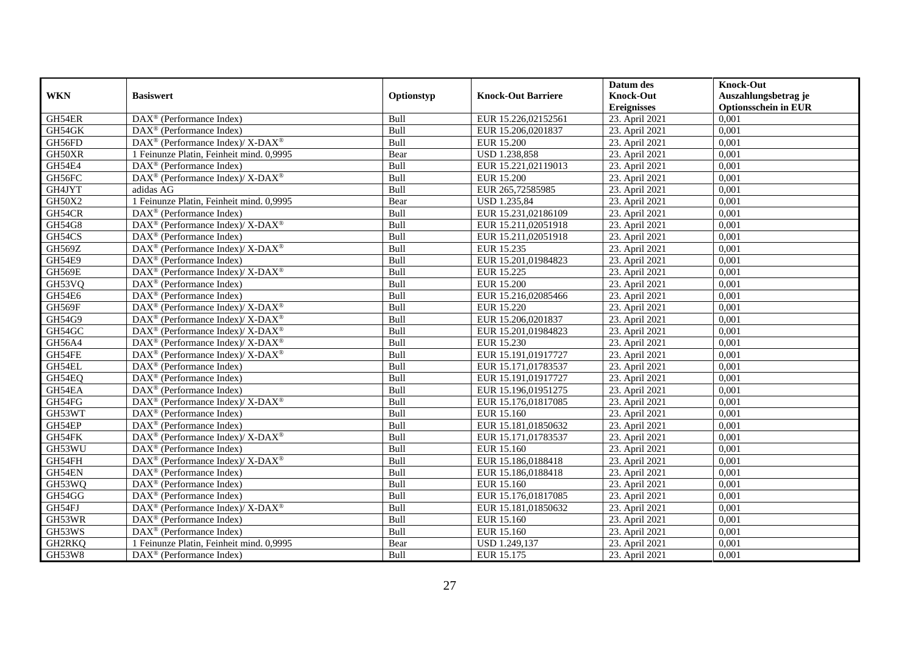|               |                                                                                         |            |                           | Datum des          | <b>Knock-Out</b>            |
|---------------|-----------------------------------------------------------------------------------------|------------|---------------------------|--------------------|-----------------------------|
| <b>WKN</b>    | <b>Basiswert</b>                                                                        | Optionstyp | <b>Knock-Out Barriere</b> | <b>Knock-Out</b>   | Auszahlungsbetrag je        |
|               |                                                                                         |            |                           | <b>Ereignisses</b> | <b>Optionsschein in EUR</b> |
| GH54ER        | DAX <sup>®</sup> (Performance Index)                                                    | Bull       | EUR 15.226,02152561       | 23. April 2021     | 0,001                       |
| GH54GK        | $\text{DAX}^{\textcircled{p}}$ (Performance Index)                                      | Bull       | EUR 15.206,0201837        | 23. April 2021     | 0,001                       |
| GH56FD        | $\text{DAX}^{\circledast}$ (Performance Index)/ X-DAX <sup>®</sup>                      | Bull       | <b>EUR 15.200</b>         | 23. April 2021     | 0,001                       |
| GH50XR        | 1 Feinunze Platin, Feinheit mind. 0,9995                                                | Bear       | USD 1.238,858             | 23. April 2021     | 0,001                       |
| GH54E4        | DAX <sup>®</sup> (Performance Index)                                                    | Bull       | EUR 15.221,02119013       | 23. April 2021     | 0,001                       |
| GH56FC        | $\text{DAX}^{\circledast}$ (Performance Index)/ $\overline{\text{X-DAX}^{\circledast}}$ | Bull       | <b>EUR 15.200</b>         | 23. April 2021     | 0,001                       |
| GH4JYT        | adidas AG                                                                               | Bull       | EUR 265,72585985          | 23. April 2021     | 0,001                       |
| GH50X2        | 1 Feinunze Platin, Feinheit mind. 0,9995                                                | Bear       | USD 1.235,84              | 23. April 2021     | 0,001                       |
| GH54CR        | $\text{DAX}^{\textcircled{D}}$ (Performance Index)                                      | Bull       | EUR 15.231,02186109       | 23. April 2021     | 0,001                       |
| <b>GH54G8</b> | $DAX^{\circledast}$ (Performance Index)/X-DAX <sup>®</sup>                              | Bull       | EUR 15.211,02051918       | 23. April 2021     | 0,001                       |
| GH54CS        | $\overline{\text{DAX}}^{\textcirc}$ (Performance Index)                                 | Bull       | EUR 15.211,02051918       | 23. April 2021     | 0,001                       |
| <b>GH569Z</b> | $\text{DAX}^{\circledR}$ (Performance Index)/ X-DAX <sup>®</sup>                        | Bull       | EUR 15.235                | 23. April 2021     | 0,001                       |
| GH54E9        | $\text{DAX}^{\circledast}$ (Performance Index)                                          | Bull       | EUR 15.201,01984823       | 23. April 2021     | 0,001                       |
| <b>GH569E</b> | $\text{DAX}^{\circledast}$ (Performance Index)/ X-DAX <sup>®</sup>                      | Bull       | EUR 15.225                | 23. April 2021     | 0,001                       |
| GH53VQ        | $\text{DAX}^{\otimes}$ (Performance Index)                                              | Bull       | <b>EUR 15.200</b>         | 23. April 2021     | 0,001                       |
| GH54E6        | DAX <sup>®</sup> (Performance Index)                                                    | Bull       | EUR 15.216,02085466       | 23. April 2021     | 0,001                       |
| GH569F        | DAX <sup>®</sup> (Performance Index)/X-DAX <sup>®</sup>                                 | Bull       | EUR 15.220                | 23. April 2021     | 0,001                       |
| GH54G9        | $DAX^{\circledcirc}$ (Performance Index)/X-DAX <sup>®</sup>                             | Bull       | EUR 15.206.0201837        | 23. April 2021     | 0,001                       |
| GH54GC        | $\text{DAX}^{\circledast}$ (Performance Index)/ X-DAX <sup>®</sup>                      | Bull       | EUR 15.201,01984823       | 23. April 2021     | 0,001                       |
| GH56A4        | $\text{DAX}^{\circledast}$ (Performance Index)/ X-DAX <sup>®</sup>                      | Bull       | EUR 15.230                | 23. April 2021     | 0,001                       |
| GH54FE        | DAX <sup>®</sup> (Performance Index)/ X-DAX <sup>®</sup>                                | Bull       | EUR 15.191,01917727       | 23. April 2021     | 0,001                       |
| GH54EL        | $\overline{\text{DAX}^{\otimes}}$ (Performance Index)                                   | Bull       | EUR 15.171,01783537       | 23. April 2021     | 0,001                       |
| GH54EQ        | $\overline{\text{DAX}^{\otimes}}$ (Performance Index)                                   | Bull       | EUR 15.191,01917727       | 23. April 2021     | 0,001                       |
| GH54EA        | DAX <sup>®</sup> (Performance Index)                                                    | Bull       | EUR 15.196,01951275       | 23. April 2021     | 0,001                       |
| GH54FG        | $\text{DAX}^{\circledast}$ (Performance Index)/ X-DAX <sup>®</sup>                      | Bull       | EUR 15.176,01817085       | 23. April 2021     | 0,001                       |
| GH53WT        | $\text{DAX}^{\textcircled{n}}$ (Performance Index)                                      | Bull       | EUR 15.160                | 23. April 2021     | 0,001                       |
| GH54EP        | DAX <sup>®</sup> (Performance Index)                                                    | Bull       | EUR 15.181,01850632       | 23. April 2021     | 0,001                       |
| GH54FK        | DAX <sup>®</sup> (Performance Index)/ X-DAX <sup>®</sup>                                | Bull       | EUR 15.171,01783537       | 23. April 2021     | 0.001                       |
| GH53WU        | $\text{DAX}^{\textcircled{D}}$ (Performance Index)                                      | Bull       | EUR 15.160                | 23. April 2021     | 0,001                       |
| GH54FH        | $\text{DAX}^{\circledR}$ (Performance Index)/ X-DAX <sup>®</sup>                        | Bull       | EUR 15.186,0188418        | 23. April 2021     | 0,001                       |
| GH54EN        | $\text{DAX}^{\textcircled{D}}$ (Performance Index)                                      | Bull       | EUR 15.186,0188418        | 23. April 2021     | 0,001                       |
| GH53WQ        | DAX <sup>®</sup> (Performance Index)                                                    | Bull       | EUR 15.160                | 23. April 2021     | 0.001                       |
| GH54GG        | $\overline{\text{DAX}^{\otimes}}$ (Performance Index)                                   | Bull       | EUR 15.176,01817085       | 23. April 2021     | 0,001                       |
| GH54FJ        | DAX <sup>®</sup> (Performance Index)/ X-DAX <sup>®</sup>                                | Bull       | EUR 15.181,01850632       | 23. April 2021     | 0,001                       |
| GH53WR        | $\text{DAX}^{\textcircled{n}}$ (Performance Index)                                      | Bull       | EUR 15.160                | 23. April 2021     | 0,001                       |
| GH53WS        | DAX <sup>®</sup> (Performance Index)                                                    | Bull       | EUR 15.160                | 23. April 2021     | 0,001                       |
| GH2RKQ        | 1 Feinunze Platin, Feinheit mind. 0,9995                                                | Bear       | USD 1.249,137             | 23. April 2021     | 0,001                       |
| GH53W8        | $\overline{\text{DAX}}^{\textcircled{}}$ (Performance Index)                            | Bull       | EUR 15.175                | 23. April 2021     | 0,001                       |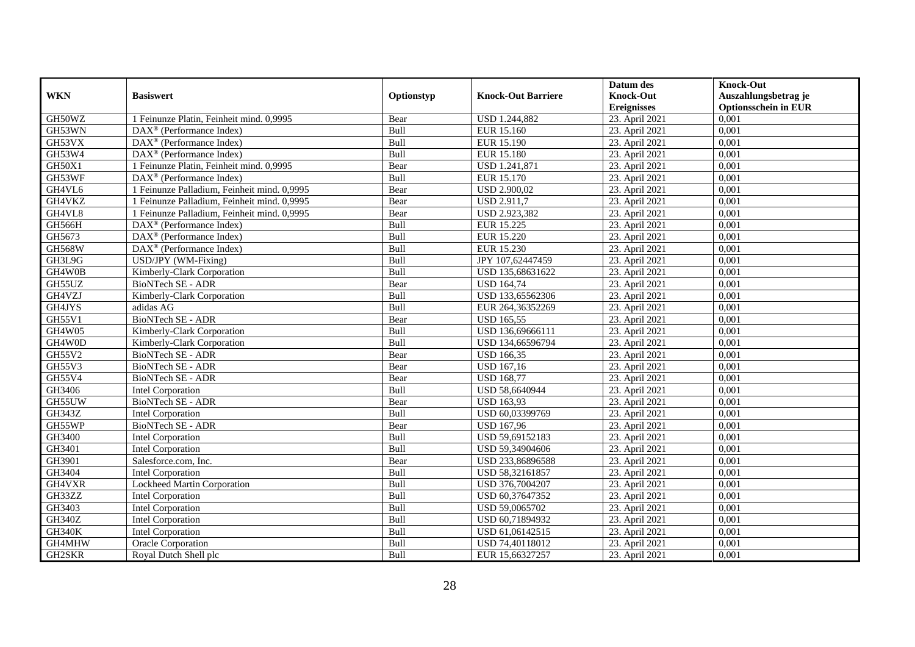|               |                                                    |            |                           | Datum des          | <b>Knock-Out</b>            |
|---------------|----------------------------------------------------|------------|---------------------------|--------------------|-----------------------------|
| <b>WKN</b>    | <b>Basiswert</b>                                   | Optionstyp | <b>Knock-Out Barriere</b> | <b>Knock-Out</b>   | Auszahlungsbetrag je        |
|               |                                                    |            |                           | <b>Ereignisses</b> | <b>Optionsschein in EUR</b> |
| GH50WZ        | 1 Feinunze Platin, Feinheit mind. 0,9995           | Bear       | <b>USD 1.244,882</b>      | 23. April 2021     | 0,001                       |
| GH53WN        | $\text{DAX}^{\textcircled{D}}$ (Performance Index) | Bull       | EUR 15.160                | 23. April 2021     | 0,001                       |
| GH53VX        | DAX <sup>®</sup> (Performance Index)               | Bull       | EUR 15.190                | 23. April 2021     | 0,001                       |
| GH53W4        | DAX <sup>®</sup> (Performance Index)               | Bull       | <b>EUR 15.180</b>         | 23. April 2021     | 0,001                       |
| GH50X1        | 1 Feinunze Platin, Feinheit mind. 0,9995           | Bear       | USD 1.241,871             | 23. April 2021     | 0,001                       |
| GH53WF        | DAX <sup>®</sup> (Performance Index)               | Bull       | EUR 15.170                | 23. April 2021     | 0,001                       |
| GH4VL6        | 1 Feinunze Palladium, Feinheit mind. 0,9995        | Bear       | <b>USD 2.900,02</b>       | 23. April 2021     | 0,001                       |
| GH4VKZ        | 1 Feinunze Palladium, Feinheit mind. 0,9995        | Bear       | <b>USD 2.911,7</b>        | 23. April 2021     | 0,001                       |
| GH4VL8        | 1 Feinunze Palladium, Feinheit mind. 0,9995        | Bear       | USD 2.923,382             | 23. April 2021     | 0,001                       |
| GH566H        | $DAX^{\otimes}$ (Performance Index)                | Bull       | <b>EUR 15.225</b>         | 23. April 2021     | 0,001                       |
| GH5673        | DAX <sup>®</sup> (Performance Index)               | Bull       | EUR 15.220                | 23. April 2021     | 0,001                       |
| <b>GH568W</b> | DAX <sup>®</sup> (Performance Index)               | Bull       | EUR 15.230                | 23. April 2021     | 0,001                       |
| GH3L9G        | USD/JPY (WM-Fixing)                                | Bull       | JPY 107,62447459          | 23. April 2021     | 0,001                       |
| GH4W0B        | Kimberly-Clark Corporation                         | Bull       | USD 135,68631622          | 23. April 2021     | 0,001                       |
| GH55UZ        | BioNTech SE - ADR                                  | Bear       | <b>USD 164,74</b>         | 23. April 2021     | 0,001                       |
| GH4VZJ        | Kimberly-Clark Corporation                         | Bull       | USD 133,65562306          | 23. April 2021     | 0,001                       |
| GH4JYS        | adidas AG                                          | Bull       | EUR 264,36352269          | 23. April 2021     | 0,001                       |
| GH55V1        | <b>BioNTech SE - ADR</b>                           | Bear       | <b>USD 165.55</b>         | 23. April 2021     | 0,001                       |
| GH4W05        | Kimberly-Clark Corporation                         | Bull       | USD 136,69666111          | 23. April 2021     | 0,001                       |
| GH4W0D        | Kimberly-Clark Corporation                         | Bull       | USD 134,66596794          | 23. April 2021     | 0,001                       |
| GH55V2        | <b>BioNTech SE - ADR</b>                           | Bear       | <b>USD 166,35</b>         | 23. April 2021     | 0,001                       |
| GH55V3        | <b>BioNTech SE - ADR</b>                           | Bear       | <b>USD 167,16</b>         | 23. April 2021     | 0,001                       |
| GH55V4        | BioNTech SE - ADR                                  | Bear       | <b>USD 168,77</b>         | 23. April 2021     | 0,001                       |
| GH3406        | <b>Intel Corporation</b>                           | Bull       | USD 58,6640944            | 23. April 2021     | 0,001                       |
| GH55UW        | <b>BioNTech SE - ADR</b>                           | Bear       | <b>USD 163,93</b>         | 23. April 2021     | 0,001                       |
| GH343Z        | Intel Corporation                                  | Bull       | USD 60,03399769           | 23. April 2021     | 0,001                       |
| GH55WP        | BioNTech SE - ADR                                  | Bear       | <b>USD 167,96</b>         | 23. April 2021     | 0,001                       |
| GH3400        | <b>Intel Corporation</b>                           | Bull       | USD 59,69152183           | 23. April 2021     | 0.001                       |
| GH3401        | <b>Intel Corporation</b>                           | Bull       | USD 59,34904606           | 23. April 2021     | 0,001                       |
| GH3901        | Salesforce.com, Inc.                               | Bear       | USD 233,86896588          | 23. April 2021     | 0,001                       |
| GH3404        | <b>Intel Corporation</b>                           | Bull       | USD 58,32161857           | 23. April 2021     | 0,001                       |
| GH4VXR        | Lockheed Martin Corporation                        | Bull       | USD 376,7004207           | 23. April 2021     | 0.001                       |
| GH33ZZ        | <b>Intel Corporation</b>                           | Bull       | USD 60,37647352           | 23. April 2021     | 0,001                       |
| GH3403        | <b>Intel Corporation</b>                           | Bull       | USD 59,0065702            | 23. April 2021     | 0,001                       |
| <b>GH340Z</b> | Intel Corporation                                  | Bull       | USD 60,71894932           | 23. April 2021     | 0,001                       |
| <b>GH340K</b> | <b>Intel Corporation</b>                           | Bull       | USD 61,06142515           | 23. April 2021     | 0,001                       |
| GH4MHW        | Oracle Corporation                                 | Bull       | USD 74,40118012           | 23. April 2021     | 0,001                       |
| GH2SKR        | Royal Dutch Shell plc                              | Bull       | EUR 15,66327257           | 23. April 2021     | 0,001                       |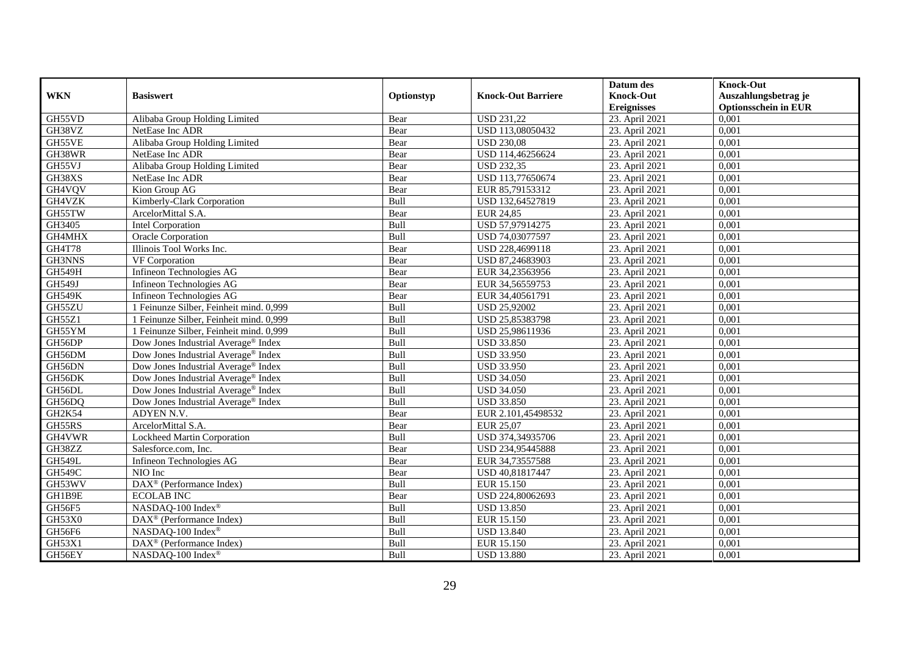|               |                                                 |             |                           | Datum des          | <b>Knock-Out</b>            |
|---------------|-------------------------------------------------|-------------|---------------------------|--------------------|-----------------------------|
| <b>WKN</b>    | <b>Basiswert</b>                                | Optionstyp  | <b>Knock-Out Barriere</b> | <b>Knock-Out</b>   | Auszahlungsbetrag je        |
|               |                                                 |             |                           | <b>Ereignisses</b> | <b>Optionsschein in EUR</b> |
| GH55VD        | Alibaba Group Holding Limited                   | Bear        | <b>USD 231,22</b>         | 23. April 2021     | 0,001                       |
| GH38VZ        | NetEase Inc ADR                                 | Bear        | USD 113,08050432          | 23. April 2021     | 0,001                       |
| GH55VE        | Alibaba Group Holding Limited                   | Bear        | <b>USD 230,08</b>         | 23. April 2021     | 0,001                       |
| GH38WR        | NetEase Inc ADR                                 | Bear        | USD 114,46256624          | 23. April 2021     | 0,001                       |
| GH55VJ        | Alibaba Group Holding Limited                   | Bear        | <b>USD 232,35</b>         | 23. April 2021     | 0,001                       |
| GH38XS        | NetEase Inc ADR                                 | Bear        | USD 113,77650674          | 23. April 2021     | 0,001                       |
| GH4VQV        | Kion Group AG                                   | Bear        | EUR 85,79153312           | 23. April 2021     | 0,001                       |
| GH4VZK        | Kimberly-Clark Corporation                      | Bull        | USD 132,64527819          | 23. April 2021     | 0,001                       |
| GH55TW        | ArcelorMittal S.A.                              | Bear        | <b>EUR 24,85</b>          | 23. April 2021     | 0,001                       |
| GH3405        | Intel Corporation                               | Bull        | USD 57,97914275           | 23. April 2021     | 0,001                       |
| GH4MHX        | <b>Oracle Corporation</b>                       | Bull        | USD 74,03077597           | 23. April 2021     | 0,001                       |
| <b>GH4T78</b> | Illinois Tool Works Inc.                        | Bear        | USD 228,4699118           | 23. April 2021     | 0,001                       |
| GH3NNS        | VF Corporation                                  | Bear        | USD 87,24683903           | 23. April 2021     | 0,001                       |
| <b>GH549H</b> | Infineon Technologies AG                        | Bear        | EUR 34,23563956           | 23. April 2021     | 0,001                       |
| GH549J        | Infineon Technologies AG                        | Bear        | EUR 34,56559753           | 23. April 2021     | 0,001                       |
| <b>GH549K</b> | Infineon Technologies AG                        | Bear        | EUR 34,40561791           | 23. April 2021     | 0,001                       |
| GH55ZU        | 1 Feinunze Silber, Feinheit mind. 0,999         | Bull        | <b>USD 25,92002</b>       | 23. April 2021     | 0,001                       |
| GH55Z1        | 1 Feinunze Silber, Feinheit mind. 0.999         | Bull        | USD 25,85383798           | 23. April 2021     | 0,001                       |
| GH55YM        | 1 Feinunze Silber, Feinheit mind. 0,999         | Bull        | USD 25,98611936           | 23. April 2021     | 0,001                       |
| GH56DP        | Dow Jones Industrial Average <sup>®</sup> Index | Bull        | <b>USD 33.850</b>         | 23. April 2021     | 0,001                       |
| GH56DM        | Dow Jones Industrial Average® Index             | Bull        | <b>USD 33.950</b>         | 23. April 2021     | 0,001                       |
| GH56DN        | Dow Jones Industrial Average <sup>®</sup> Index | Bull        | <b>USD 33.950</b>         | 23. April 2021     | 0,001                       |
| GH56DK        | Dow Jones Industrial Average® Index             | Bull        | <b>USD 34.050</b>         | 23. April 2021     | 0,001                       |
| GH56DL        | Dow Jones Industrial Average® Index             | Bull        | <b>USD 34.050</b>         | 23. April 2021     | 0,001                       |
| GH56DQ        | Dow Jones Industrial Average <sup>®</sup> Index | Bull        | <b>USD 33.850</b>         | 23. April 2021     | 0,001                       |
| GH2K54        | ADYEN N.V.                                      | Bear        | EUR 2.101,45498532        | 23. April 2021     | 0,001                       |
| GH55RS        | ArcelorMittal S.A.                              | Bear        | <b>EUR 25,07</b>          | 23. April 2021     | 0,001                       |
| GH4VWR        | Lockheed Martin Corporation                     | Bull        | USD 374,34935706          | 23. April 2021     | 0.001                       |
| GH38ZZ        | Salesforce.com, Inc.                            | Bear        | USD 234,95445888          | 23. April 2021     | 0,001                       |
| <b>GH549L</b> | Infineon Technologies AG                        | Bear        | EUR 34,73557588           | 23. April 2021     | 0,001                       |
| <b>GH549C</b> | NIO Inc                                         | Bear        | USD 40,81817447           | 23. April 2021     | 0,001                       |
| GH53WV        | DAX <sup>®</sup> (Performance Index)            | <b>Bull</b> | <b>EUR 15.150</b>         | 23. April 2021     | 0.001                       |
| GH1B9E        | <b>ECOLAB INC</b>                               | Bear        | USD 224,80062693          | 23. April 2021     | 0,001                       |
| GH56F5        | NASDAQ-100 Index®                               | Bull        | <b>USD 13.850</b>         | 23. April 2021     | 0,001                       |
| GH53X0        | DAX <sup>®</sup> (Performance Index)            | Bull        | <b>EUR 15.150</b>         | 23. April 2021     | 0,001                       |
| GH56F6        | NASDAQ-100 Index®                               | Bull        | <b>USD 13.840</b>         | 23. April 2021     | 0,001                       |
| GH53X1        | DAX <sup>®</sup> (Performance Index)            | Bull        | EUR 15.150                | 23. April 2021     | 0,001                       |
| GH56EY        | NASDAQ-100 Index®                               | Bull        | <b>USD 13.880</b>         | 23. April 2021     | 0,001                       |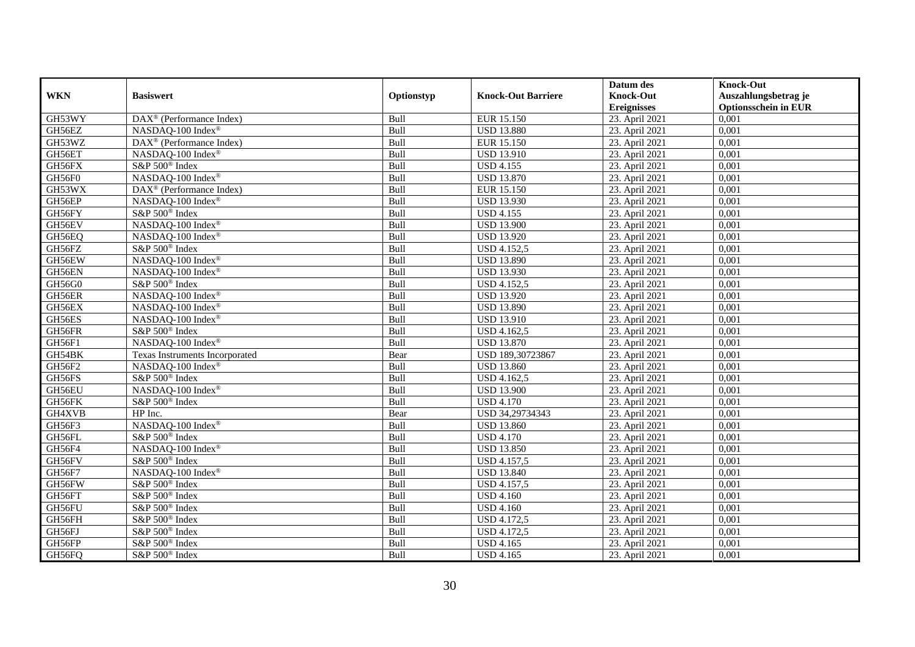|               |                                      |            |                                  | Datum des          | <b>Knock-Out</b>            |
|---------------|--------------------------------------|------------|----------------------------------|--------------------|-----------------------------|
| <b>WKN</b>    | <b>Basiswert</b>                     | Optionstyp | <b>Knock-Out Barriere</b>        | <b>Knock-Out</b>   | Auszahlungsbetrag je        |
|               |                                      |            |                                  | <b>Ereignisses</b> | <b>Optionsschein in EUR</b> |
| GH53WY        | DAX <sup>®</sup> (Performance Index) | Bull       | EUR 15.150                       | 23. April 2021     | 0,001                       |
| GH56EZ        | NASDAQ-100 Index®                    | Bull       | <b>USD 13.880</b>                | 23. April 2021     | 0,001                       |
| GH53WZ        | $DAX^{\otimes}$ (Performance Index)  | Bull       | EUR 15.150                       | 23. April 2021     | 0,001                       |
| GH56ET        | NASDAQ-100 Index®                    | Bull       | <b>USD 13.910</b>                | 23. April 2021     | 0,001                       |
| GH56FX        | S&P 500 <sup>®</sup> Index           | Bull       | <b>USD 4.155</b>                 | 23. April 2021     | 0,001                       |
| GH56F0        | NASDAQ-100 Index®                    | Bull       | <b>USD 13.870</b>                | 23. April 2021     | 0,001                       |
| GH53WX        | $DAX^{\otimes}$ (Performance Index)  | Bull       | EUR 15.150                       | 23. April 2021     | 0,001                       |
| GH56EP        | NASDAQ-100 Index®                    | Bull       | <b>USD 13.930</b>                | 23. April 2021     | 0,001                       |
| GH56FY        | S&P 500 <sup>®</sup> Index           | Bull       | <b>USD 4.155</b>                 | 23. April 2021     | 0,001                       |
| GH56EV        | NASDAQ-100 Index®                    | Bull       | <b>USD 13.900</b>                | 23. April 2021     | 0,001                       |
| GH56EQ        | NASDAQ-100 Index®                    | Bull       | <b>USD 13.920</b>                | 23. April 2021     | 0,001                       |
| GH56FZ        | S&P 500 <sup>®</sup> Index           | Bull       | <b>USD 4.152,5</b>               | 23. April 2021     | 0,001                       |
| GH56EW        | NASDAQ-100 Index®                    | Bull       | <b>USD 13.890</b>                | 23. April 2021     | 0,001                       |
| GH56EN        | NASDAQ-100 Index®                    | Bull       | <b>USD 13.930</b>                | 23. April 2021     | 0,001                       |
| GH56G0        | S&P 500 <sup>®</sup> Index           | Bull       | <b>USD 4.152,5</b>               | 23. April 2021     | 0,001                       |
| GH56ER        | NASDAQ-100 Index®                    | Bull       | <b>USD 13.920</b>                | 23. April 2021     | 0,001                       |
| GH56EX        | NASDAQ-100 Index®                    | Bull       | <b>USD 13.890</b>                | 23. April 2021     | 0,001                       |
| GH56ES        | NASDAQ-100 Index®                    | Bull       | <b>USD 13.910</b>                | 23. April 2021     | 0,001                       |
| GH56FR        | S&P 500 <sup>®</sup> Index           | Bull       | USD 4.162,5                      | 23. April 2021     | 0,001                       |
| GH56F1        | NASDAQ-100 Index®                    | Bull       | <b>USD 13.870</b>                | 23. April 2021     | 0,001                       |
| GH54BK        | Texas Instruments Incorporated       | Bear       | USD 189,30723867                 | 23. April 2021     | 0,001                       |
| GH56F2        | NASDAQ-100 Index®                    | Bull       | <b>USD 13.860</b>                | 23. April 2021     | 0,001                       |
| GH56FS        | S&P 500 <sup>®</sup> Index           | Bull       | $\overline{\text{USD 4}}$ .162,5 | 23. April 2021     | 0,001                       |
| GH56EU        | NASDAQ-100 Index®                    | Bull       | <b>USD 13.900</b>                | 23. April 2021     | 0,001                       |
| GH56FK        | S&P 500 <sup>®</sup> Index           | Bull       | <b>USD 4.170</b>                 | 23. April 2021     | 0,001                       |
| GH4XVB        | HP Inc.                              | Bear       | USD 34,29734343                  | 23. April 2021     | 0,001                       |
| GH56F3        | NASDAQ-100 Index®                    | Bull       | <b>USD 13.860</b>                | 23. April 2021     | 0,001                       |
| GH56FL        | S&P 500 <sup>®</sup> Index           | Bull       | <b>USD 4.170</b>                 | 23. April 2021     | 0,001                       |
| GH56F4        | NASDAQ-100 Index®                    | Bull       | <b>USD 13.850</b>                | 23. April 2021     | 0,001                       |
| GH56FV        | S&P 500 <sup>®</sup> Index           | Bull       | USD 4.157,5                      | 23. April 2021     | 0,001                       |
| <b>GH56F7</b> | NASDAQ-100 Index®                    | Bull       | <b>USD 13.840</b>                | 23. April 2021     | 0,001                       |
| GH56FW        | S&P 500 <sup>®</sup> Index           | Bull       | <b>USD 4.157,5</b>               | 23. April 2021     | 0,001                       |
| GH56FT        | S&P 500 <sup>®</sup> Index           | Bull       | <b>USD 4.160</b>                 | 23. April 2021     | 0,001                       |
| GH56FU        | S&P 500 <sup>®</sup> Index           | Bull       | <b>USD 4.160</b>                 | 23. April 2021     | 0,001                       |
| GH56FH        | S&P 500 <sup>®</sup> Index           | Bull       | <b>USD 4.172,5</b>               | 23. April 2021     | 0,001                       |
| GH56FJ        | S&P $500^\circledast$ Index          | Bull       | <b>USD 4.172,5</b>               | 23. April 2021     | 0,001                       |
| GH56FP        | S&P 500 <sup>®</sup> Index           | Bull       | <b>USD 4.165</b>                 | 23. April 2021     | 0,001                       |
| GH56FQ        | S&P 500 <sup>®</sup> Index           | Bull       | <b>USD 4.165</b>                 | 23. April 2021     | 0,001                       |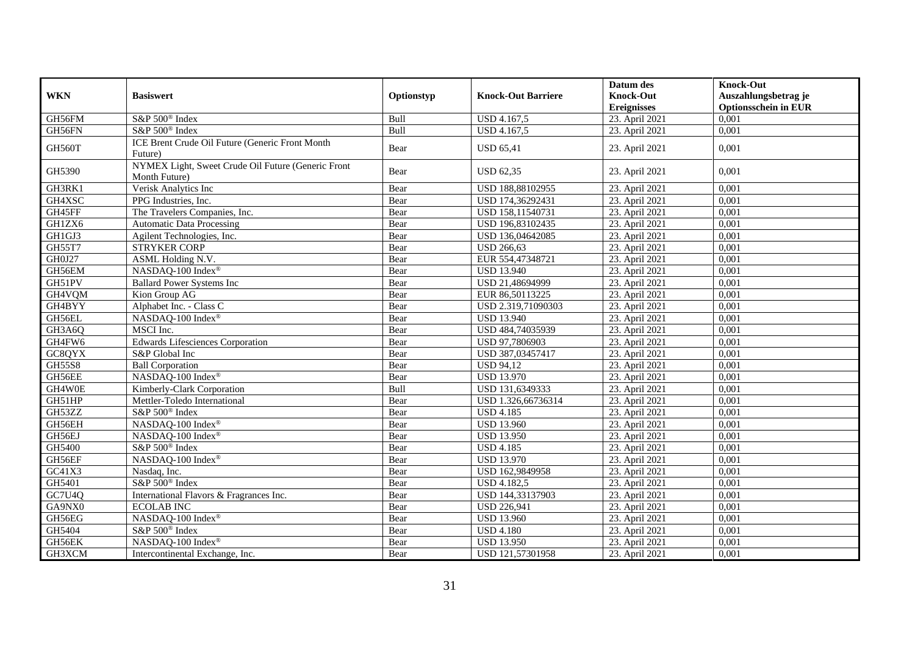|                    |                                                                     |            |                           | Datum des          | <b>Knock-Out</b>            |
|--------------------|---------------------------------------------------------------------|------------|---------------------------|--------------------|-----------------------------|
| <b>WKN</b>         | <b>Basiswert</b>                                                    | Optionstyp | <b>Knock-Out Barriere</b> | <b>Knock-Out</b>   | Auszahlungsbetrag je        |
|                    |                                                                     |            |                           | <b>Ereignisses</b> | <b>Optionsschein in EUR</b> |
| GH56FM             | S&P 500 <sup>®</sup> Index                                          | Bull       | USD 4.167,5               | 23. April 2021     | 0,001                       |
| GH56FN             | S&P 500 <sup>®</sup> Index                                          | Bull       | USD 4.167,5               | 23. April 2021     | 0,001                       |
| <b>GH560T</b>      | <b>ICE Brent Crude Oil Future (Generic Front Month</b><br>Future)   | Bear       | <b>USD 65,41</b>          | 23. April 2021     | 0,001                       |
| GH5390             | NYMEX Light, Sweet Crude Oil Future (Generic Front<br>Month Future) | Bear       | <b>USD 62,35</b>          | 23. April 2021     | 0,001                       |
| GH3RK1             | Verisk Analytics Inc                                                | Bear       | USD 188,88102955          | 23. April 2021     | 0,001                       |
| GH4XSC             | PPG Industries, Inc.                                                | Bear       | USD 174,36292431          | 23. April 2021     | 0,001                       |
| GH45FF             | The Travelers Companies, Inc.                                       | Bear       | USD 158,11540731          | 23. April 2021     | 0,001                       |
| GH1ZX6             | <b>Automatic Data Processing</b>                                    | Bear       | USD 196,83102435          | 23. April 2021     | 0,001                       |
| GH1GJ3             | Agilent Technologies, Inc.                                          | Bear       | USD 136,04642085          | 23. April 2021     | 0,001                       |
| GH55T7             | <b>STRYKER CORP</b>                                                 | Bear       | <b>USD 266,63</b>         | 23. April 2021     | 0,001                       |
| GH0J27             | ASML Holding N.V.                                                   | Bear       | EUR 554,47348721          | 23. April 2021     | 0,001                       |
| GH56EM             | NASDAQ-100 Index®                                                   | Bear       | <b>USD 13.940</b>         | 23. April 2021     | 0,001                       |
| GH51PV             | <b>Ballard Power Systems Inc</b>                                    | Bear       | USD 21,48694999           | 23. April 2021     | 0,001                       |
| GH4VQM             | Kion Group AG                                                       | Bear       | EUR 86,50113225           | 23. April 2021     | 0,001                       |
| GH4BYY             | Alphabet Inc. - Class C                                             | Bear       | USD 2.319,71090303        | 23. April 2021     | 0,001                       |
| GH56EL             | NASDAQ-100 Index®                                                   | Bear       | <b>USD 13.940</b>         | 23. April 2021     | 0,001                       |
| GH3A6Q             | MSCI Inc.                                                           | Bear       | USD 484,74035939          | 23. April 2021     | 0,001                       |
| GH4FW6             | <b>Edwards Lifesciences Corporation</b>                             | Bear       | USD 97,7806903            | 23. April 2021     | 0,001                       |
| GC8QYX             | S&P Global Inc                                                      | Bear       | USD 387,03457417          | 23. April 2021     | 0,001                       |
| <b>GH55S8</b>      | <b>Ball Corporation</b>                                             | Bear       | <b>USD 94,12</b>          | 23. April 2021     | 0,001                       |
| GH56EE             | NASDAO-100 Index®                                                   | Bear       | <b>USD 13.970</b>         | 23. April 2021     | 0,001                       |
| GH4W0E             | Kimberly-Clark Corporation                                          | Bull       | USD 131,6349333           | 23. April 2021     | 0,001                       |
| GH51HP             | Mettler-Toledo International                                        | Bear       | USD 1.326,66736314        | 23. April 2021     | 0,001                       |
| GH53ZZ             | S&P 500 <sup>®</sup> Index                                          | Bear       | <b>USD 4.185</b>          | 23. April 2021     | 0,001                       |
| GH56EH             | NASDAQ-100 Index®                                                   | Bear       | <b>USD 13.960</b>         | 23. April 2021     | 0,001                       |
| GH56EJ             | NASDAQ-100 Index®                                                   | Bear       | <b>USD 13.950</b>         | 23. April 2021     | 0,001                       |
| GH5400             | S&P 500 <sup>®</sup> Index                                          | Bear       | <b>USD 4.185</b>          | 23. April 2021     | 0,001                       |
| GH56EF             | NASDAQ-100 Index®                                                   | Bear       | <b>USD 13.970</b>         | 23. April 2021     | 0,001                       |
| GC41X3             | Nasdaq, Inc.                                                        | Bear       | USD 162,9849958           | 23. April 2021     | 0,001                       |
| GH5401             | S&P 500 <sup>®</sup> Index                                          | Bear       | <b>USD 4.182,5</b>        | 23. April 2021     | 0,001                       |
| G <sub>C7U4O</sub> | International Flavors & Fragrances Inc.                             | Bear       | USD 144,33137903          | 23. April 2021     | 0,001                       |
| GA9NX0             | <b>ECOLAB INC</b>                                                   | Bear       | <b>USD 226,941</b>        | 23. April 2021     | 0,001                       |
| GH56EG             | NASDAQ-100 Index®                                                   | Bear       | <b>USD 13.960</b>         | 23. April 2021     | 0,001                       |
| GH5404             | S&P 500 <sup>®</sup> Index                                          | Bear       | <b>USD 4.180</b>          | 23. April 2021     | 0,001                       |
| GH56EK             | NASDAQ-100 Index®                                                   | Bear       | <b>USD 13.950</b>         | 23. April 2021     | 0,001                       |
| GH3XCM             | Intercontinental Exchange, Inc.                                     | Bear       | USD 121,57301958          | 23. April 2021     | 0,001                       |